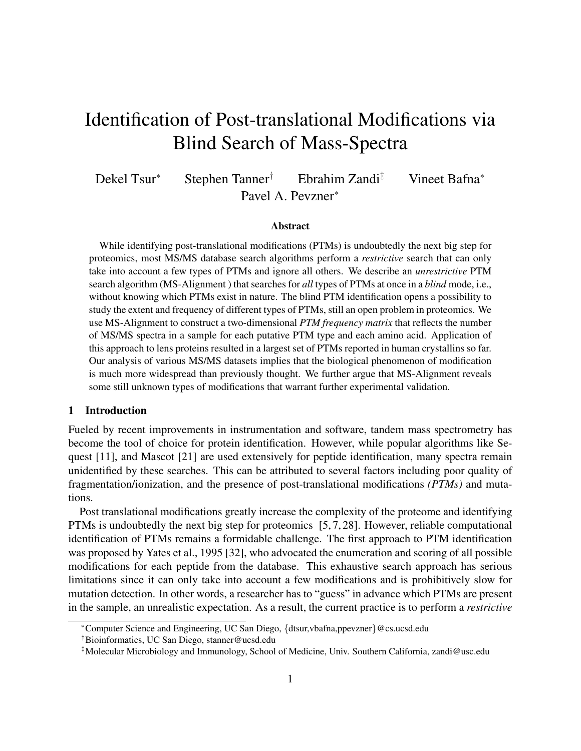# Identification of Post-translational Modifications via Blind Search of Mass-Spectra

Dekel Tsur<sup>∗</sup> Stephen Tanner† Ebrahim Zandi‡ Vineet Bafna<sup>∗</sup> Pavel A. Pevzner<sup>∗</sup>

#### Abstract

While identifying post-translational modifications (PTMs) is undoubtedly the next big step for proteomics, most MS/MS database search algorithms perform a *restrictive* search that can only take into account a few types of PTMs and ignore all others. We describe an *unrestrictive* PTM search algorithm (MS-Alignment ) that searches for *all* types of PTMs at once in a *blind* mode, i.e., without knowing which PTMs exist in nature. The blind PTM identification opens a possibility to study the extent and frequency of different types of PTMs, still an open problem in proteomics. We use MS-Alignment to construct a two-dimensional *PTM frequency matrix* that reflects the number of MS/MS spectra in a sample for each putative PTM type and each amino acid. Application of this approach to lens proteins resulted in a largest set of PTMs reported in human crystallins so far. Our analysis of various MS/MS datasets implies that the biological phenomenon of modification is much more widespread than previously thought. We further argue that MS-Alignment reveals some still unknown types of modifications that warrant further experimental validation.

## 1 Introduction

Fueled by recent improvements in instrumentation and software, tandem mass spectrometry has become the tool of choice for protein identification. However, while popular algorithms like Sequest [11], and Mascot [21] are used extensively for peptide identification, many spectra remain unidentified by these searches. This can be attributed to several factors including poor quality of fragmentation/ionization, and the presence of post-translational modifications *(PTMs)* and mutations.

Post translational modifications greatly increase the complexity of the proteome and identifying PTMs is undoubtedly the next big step for proteomics [5, 7, 28]. However, reliable computational identification of PTMs remains a formidable challenge. The first approach to PTM identification was proposed by Yates et al., 1995 [32], who advocated the enumeration and scoring of all possible modifications for each peptide from the database. This exhaustive search approach has serious limitations since it can only take into account a few modifications and is prohibitively slow for mutation detection. In other words, a researcher has to "guess" in advance which PTMs are present in the sample, an unrealistic expectation. As a result, the current practice is to perform a *restrictive*

<sup>∗</sup>Computer Science and Engineering, UC San Diego, {dtsur,vbafna,ppevzner}@cs.ucsd.edu

<sup>†</sup>Bioinformatics, UC San Diego, stanner@ucsd.edu

<sup>‡</sup>Molecular Microbiology and Immunology, School of Medicine, Univ. Southern California, zandi@usc.edu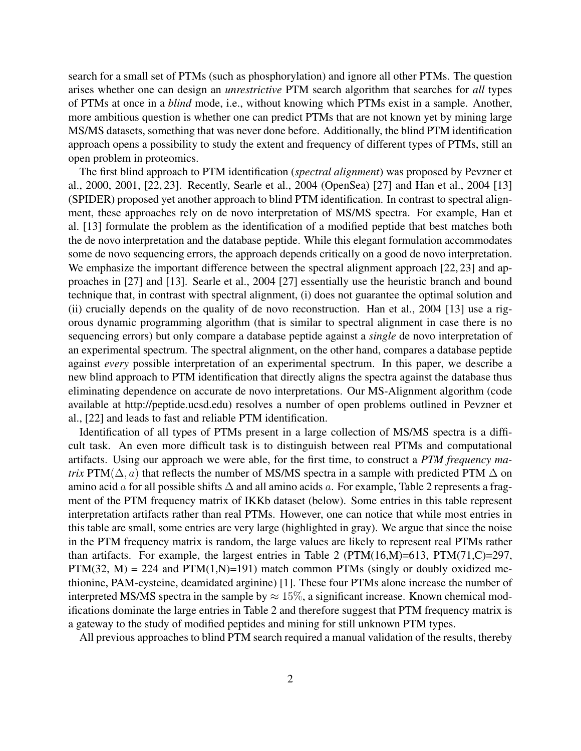search for a small set of PTMs (such as phosphorylation) and ignore all other PTMs. The question arises whether one can design an *unrestrictive* PTM search algorithm that searches for *all* types of PTMs at once in a *blind* mode, i.e., without knowing which PTMs exist in a sample. Another, more ambitious question is whether one can predict PTMs that are not known yet by mining large MS/MS datasets, something that was never done before. Additionally, the blind PTM identification approach opens a possibility to study the extent and frequency of different types of PTMs, still an open problem in proteomics.

The first blind approach to PTM identification (*spectral alignment*) was proposed by Pevzner et al., 2000, 2001, [22, 23]. Recently, Searle et al., 2004 (OpenSea) [27] and Han et al., 2004 [13] (SPIDER) proposed yet another approach to blind PTM identification. In contrast to spectral alignment, these approaches rely on de novo interpretation of MS/MS spectra. For example, Han et al. [13] formulate the problem as the identification of a modified peptide that best matches both the de novo interpretation and the database peptide. While this elegant formulation accommodates some de novo sequencing errors, the approach depends critically on a good de novo interpretation. We emphasize the important difference between the spectral alignment approach [22, 23] and approaches in [27] and [13]. Searle et al., 2004 [27] essentially use the heuristic branch and bound technique that, in contrast with spectral alignment, (i) does not guarantee the optimal solution and (ii) crucially depends on the quality of de novo reconstruction. Han et al., 2004 [13] use a rigorous dynamic programming algorithm (that is similar to spectral alignment in case there is no sequencing errors) but only compare a database peptide against a *single* de novo interpretation of an experimental spectrum. The spectral alignment, on the other hand, compares a database peptide against *every* possible interpretation of an experimental spectrum. In this paper, we describe a new blind approach to PTM identification that directly aligns the spectra against the database thus eliminating dependence on accurate de novo interpretations. Our MS-Alignment algorithm (code available at http://peptide.ucsd.edu) resolves a number of open problems outlined in Pevzner et al., [22] and leads to fast and reliable PTM identification.

Identification of all types of PTMs present in a large collection of MS/MS spectra is a difficult task. An even more difficult task is to distinguish between real PTMs and computational artifacts. Using our approach we were able, for the first time, to construct a *PTM frequency matrix* PTM( $\Delta$ , *a*) that reflects the number of MS/MS spectra in a sample with predicted PTM  $\Delta$  on amino acid a for all possible shifts  $\Delta$  and all amino acids a. For example, Table 2 represents a fragment of the PTM frequency matrix of IKKb dataset (below). Some entries in this table represent interpretation artifacts rather than real PTMs. However, one can notice that while most entries in this table are small, some entries are very large (highlighted in gray). We argue that since the noise in the PTM frequency matrix is random, the large values are likely to represent real PTMs rather than artifacts. For example, the largest entries in Table 2 ( $PTM(16,M)=613$ ,  $PTM(71,C)=297$ , PTM(32, M) = 224 and PTM(1,N)=191) match common PTMs (singly or doubly oxidized methionine, PAM-cysteine, deamidated arginine) [1]. These four PTMs alone increase the number of interpreted MS/MS spectra in the sample by  $\approx 15\%$ , a significant increase. Known chemical modifications dominate the large entries in Table 2 and therefore suggest that PTM frequency matrix is a gateway to the study of modified peptides and mining for still unknown PTM types.

All previous approaches to blind PTM search required a manual validation of the results, thereby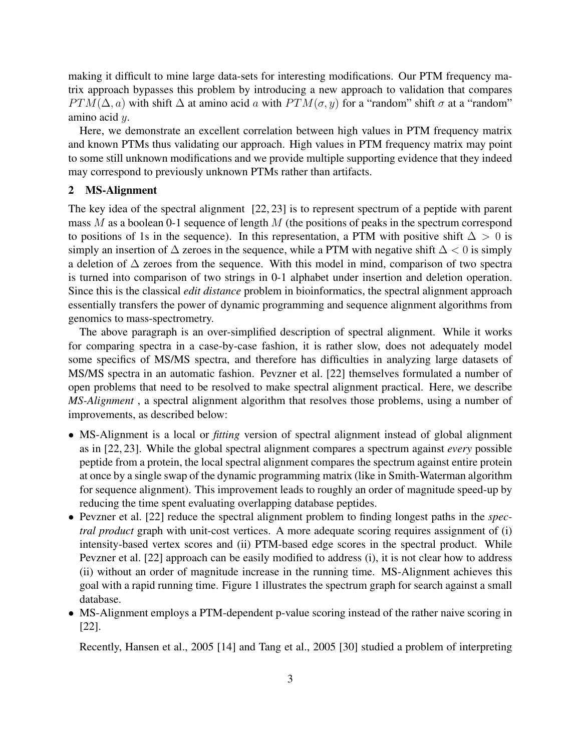making it difficult to mine large data-sets for interesting modifications. Our PTM frequency matrix approach bypasses this problem by introducing a new approach to validation that compares  $PTM(\Delta, a)$  with shift  $\Delta$  at amino acid a with  $PTM(\sigma, y)$  for a "random" shift  $\sigma$  at a "random" amino acid y.

Here, we demonstrate an excellent correlation between high values in PTM frequency matrix and known PTMs thus validating our approach. High values in PTM frequency matrix may point to some still unknown modifications and we provide multiple supporting evidence that they indeed may correspond to previously unknown PTMs rather than artifacts.

# 2 MS-Alignment

The key idea of the spectral alignment [22, 23] is to represent spectrum of a peptide with parent mass  $M$  as a boolean 0-1 sequence of length  $M$  (the positions of peaks in the spectrum correspond to positions of 1s in the sequence). In this representation, a PTM with positive shift  $\Delta > 0$  is simply an insertion of  $\Delta$  zeroes in the sequence, while a PTM with negative shift  $\Delta$  < 0 is simply a deletion of ∆ zeroes from the sequence. With this model in mind, comparison of two spectra is turned into comparison of two strings in 0-1 alphabet under insertion and deletion operation. Since this is the classical *edit distance* problem in bioinformatics, the spectral alignment approach essentially transfers the power of dynamic programming and sequence alignment algorithms from genomics to mass-spectrometry.

The above paragraph is an over-simplified description of spectral alignment. While it works for comparing spectra in a case-by-case fashion, it is rather slow, does not adequately model some specifics of MS/MS spectra, and therefore has difficulties in analyzing large datasets of MS/MS spectra in an automatic fashion. Pevzner et al. [22] themselves formulated a number of open problems that need to be resolved to make spectral alignment practical. Here, we describe *MS-Alignment* , a spectral alignment algorithm that resolves those problems, using a number of improvements, as described below:

- MS-Alignment is a local or *fitting* version of spectral alignment instead of global alignment as in [22, 23]. While the global spectral alignment compares a spectrum against *every* possible peptide from a protein, the local spectral alignment compares the spectrum against entire protein at once by a single swap of the dynamic programming matrix (like in Smith-Waterman algorithm for sequence alignment). This improvement leads to roughly an order of magnitude speed-up by reducing the time spent evaluating overlapping database peptides.
- Pevzner et al. [22] reduce the spectral alignment problem to finding longest paths in the *spectral product* graph with unit-cost vertices. A more adequate scoring requires assignment of (i) intensity-based vertex scores and (ii) PTM-based edge scores in the spectral product. While Pevzner et al. [22] approach can be easily modified to address (i), it is not clear how to address (ii) without an order of magnitude increase in the running time. MS-Alignment achieves this goal with a rapid running time. Figure 1 illustrates the spectrum graph for search against a small database.
- MS-Alignment employs a PTM-dependent p-value scoring instead of the rather naive scoring in [22].

Recently, Hansen et al., 2005 [14] and Tang et al., 2005 [30] studied a problem of interpreting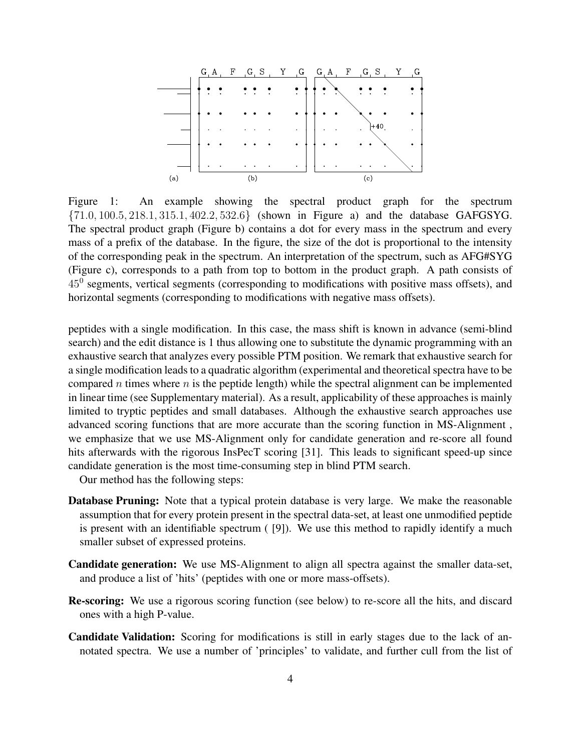

Figure 1: An example showing the spectral product graph for the spectrum {71.0, 100.5, 218.1, 315.1, 402.2, 532.6} (shown in Figure a) and the database GAFGSYG. The spectral product graph (Figure b) contains a dot for every mass in the spectrum and every mass of a prefix of the database. In the figure, the size of the dot is proportional to the intensity of the corresponding peak in the spectrum. An interpretation of the spectrum, such as AFG#SYG (Figure c), corresponds to a path from top to bottom in the product graph. A path consists of  $45<sup>0</sup>$  segments, vertical segments (corresponding to modifications with positive mass offsets), and horizontal segments (corresponding to modifications with negative mass offsets).

peptides with a single modification. In this case, the mass shift is known in advance (semi-blind search) and the edit distance is 1 thus allowing one to substitute the dynamic programming with an exhaustive search that analyzes every possible PTM position. We remark that exhaustive search for a single modification leads to a quadratic algorithm (experimental and theoretical spectra have to be compared n times where  $n$  is the peptide length) while the spectral alignment can be implemented in linear time (see Supplementary material). As a result, applicability of these approaches is mainly limited to tryptic peptides and small databases. Although the exhaustive search approaches use advanced scoring functions that are more accurate than the scoring function in MS-Alignment , we emphasize that we use MS-Alignment only for candidate generation and re-score all found hits afterwards with the rigorous InsPecT scoring [31]. This leads to significant speed-up since candidate generation is the most time-consuming step in blind PTM search.

Our method has the following steps:

- **Database Pruning:** Note that a typical protein database is very large. We make the reasonable assumption that for every protein present in the spectral data-set, at least one unmodified peptide is present with an identifiable spectrum ( [9]). We use this method to rapidly identify a much smaller subset of expressed proteins.
- Candidate generation: We use MS-Alignment to align all spectra against the smaller data-set, and produce a list of 'hits' (peptides with one or more mass-offsets).
- Re-scoring: We use a rigorous scoring function (see below) to re-score all the hits, and discard ones with a high P-value.
- Candidate Validation: Scoring for modifications is still in early stages due to the lack of annotated spectra. We use a number of 'principles' to validate, and further cull from the list of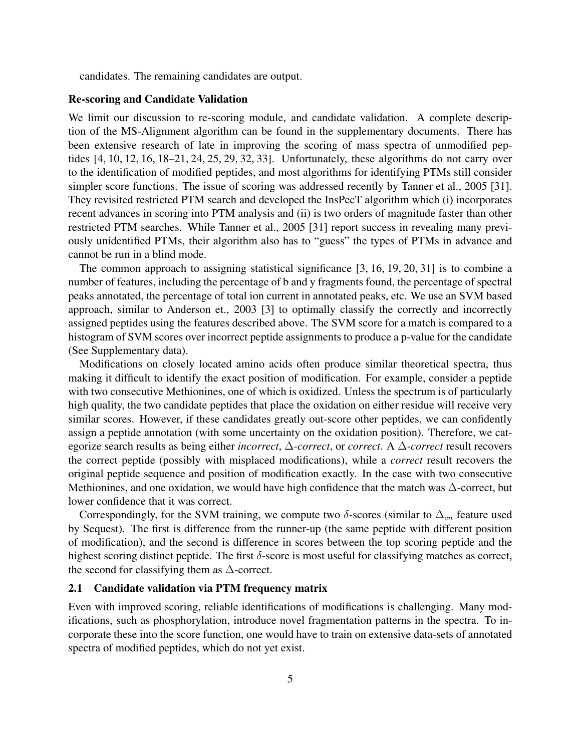candidates. The remaining candidates are output.

## Re-scoring and Candidate Validation

We limit our discussion to re-scoring module, and candidate validation. A complete description of the MS-Alignment algorithm can be found in the supplementary documents. There has been extensive research of late in improving the scoring of mass spectra of unmodified peptides [4, 10, 12, 16, 18–21, 24, 25, 29, 32, 33]. Unfortunately, these algorithms do not carry over to the identification of modified peptides, and most algorithms for identifying PTMs still consider simpler score functions. The issue of scoring was addressed recently by Tanner et al., 2005 [31]. They revisited restricted PTM search and developed the InsPecT algorithm which (i) incorporates recent advances in scoring into PTM analysis and (ii) is two orders of magnitude faster than other restricted PTM searches. While Tanner et al., 2005 [31] report success in revealing many previously unidentified PTMs, their algorithm also has to "guess" the types of PTMs in advance and cannot be run in a blind mode.

The common approach to assigning statistical significance [3, 16, 19, 20, 31] is to combine a number of features, including the percentage of b and y fragments found, the percentage of spectral peaks annotated, the percentage of total ion current in annotated peaks, etc. We use an SVM based approach, similar to Anderson et., 2003 [3] to optimally classify the correctly and incorrectly assigned peptides using the features described above. The SVM score for a match is compared to a histogram of SVM scores over incorrect peptide assignments to produce a p-value for the candidate (See Supplementary data).

Modifications on closely located amino acids often produce similar theoretical spectra, thus making it difficult to identify the exact position of modification. For example, consider a peptide with two consecutive Methionines, one of which is oxidized. Unless the spectrum is of particularly high quality, the two candidate peptides that place the oxidation on either residue will receive very similar scores. However, if these candidates greatly out-score other peptides, we can confidently assign a peptide annotation (with some uncertainty on the oxidation position). Therefore, we categorize search results as being either *incorrect*, ∆*-correct*, or *correct*. A ∆*-correct* result recovers the correct peptide (possibly with misplaced modifications), while a *correct* result recovers the original peptide sequence and position of modification exactly. In the case with two consecutive Methionines, and one oxidation, we would have high confidence that the match was  $\Delta$ -correct, but lower confidence that it was correct.

Correspondingly, for the SVM training, we compute two  $\delta$ -scores (similar to  $\Delta_{cn}$  feature used by Sequest). The first is difference from the runner-up (the same peptide with different position of modification), and the second is difference in scores between the top scoring peptide and the highest scoring distinct peptide. The first  $\delta$ -score is most useful for classifying matches as correct, the second for classifying them as  $\Delta$ -correct.

#### 2.1 Candidate validation via PTM frequency matrix

Even with improved scoring, reliable identifications of modifications is challenging. Many modifications, such as phosphorylation, introduce novel fragmentation patterns in the spectra. To incorporate these into the score function, one would have to train on extensive data-sets of annotated spectra of modified peptides, which do not yet exist.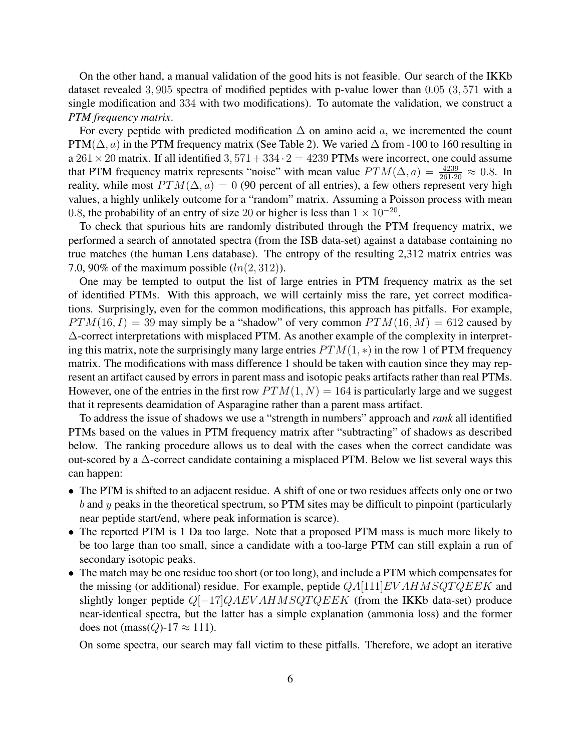On the other hand, a manual validation of the good hits is not feasible. Our search of the IKKb dataset revealed 3, 905 spectra of modified peptides with p-value lower than 0.05 (3, 571 with a single modification and 334 with two modifications). To automate the validation, we construct a *PTM frequency matrix*.

For every peptide with predicted modification  $\Delta$  on amino acid a, we incremented the count PTM( $\Delta$ , a) in the PTM frequency matrix (See Table 2). We varied  $\Delta$  from -100 to 160 resulting in a  $261 \times 20$  matrix. If all identified 3,  $571 + 334 \cdot 2 = 4239$  PTMs were incorrect, one could assume that PTM frequency matrix represents "noise" with mean value  $PTM(\Delta, a) = \frac{4239}{261 \cdot 20} \approx 0.8$ . In reality, while most  $PTM(\Delta, a) = 0$  (90 percent of all entries), a few others represent very high values, a highly unlikely outcome for a "random" matrix. Assuming a Poisson process with mean 0.8, the probability of an entry of size 20 or higher is less than  $1 \times 10^{-20}$ .

To check that spurious hits are randomly distributed through the PTM frequency matrix, we performed a search of annotated spectra (from the ISB data-set) against a database containing no true matches (the human Lens database). The entropy of the resulting 2,312 matrix entries was 7.0, 90% of the maximum possible  $(ln(2, 312))$ .

One may be tempted to output the list of large entries in PTM frequency matrix as the set of identified PTMs. With this approach, we will certainly miss the rare, yet correct modifications. Surprisingly, even for the common modifications, this approach has pitfalls. For example,  $PTM(16, I) = 39$  may simply be a "shadow" of very common  $PTM(16, M) = 612$  caused by ∆-correct interpretations with misplaced PTM. As another example of the complexity in interpreting this matrix, note the surprisingly many large entries  $PTM(1, *)$  in the row 1 of PTM frequency matrix. The modifications with mass difference 1 should be taken with caution since they may represent an artifact caused by errors in parent mass and isotopic peaks artifacts rather than real PTMs. However, one of the entries in the first row  $PTM(1, N) = 164$  is particularly large and we suggest that it represents deamidation of Asparagine rather than a parent mass artifact.

To address the issue of shadows we use a "strength in numbers" approach and *rank* all identified PTMs based on the values in PTM frequency matrix after "subtracting" of shadows as described below. The ranking procedure allows us to deal with the cases when the correct candidate was out-scored by a ∆-correct candidate containing a misplaced PTM. Below we list several ways this can happen:

- The PTM is shifted to an adjacent residue. A shift of one or two residues affects only one or two  $b$  and  $y$  peaks in the theoretical spectrum, so PTM sites may be difficult to pinpoint (particularly near peptide start/end, where peak information is scarce).
- The reported PTM is 1 Da too large. Note that a proposed PTM mass is much more likely to be too large than too small, since a candidate with a too-large PTM can still explain a run of secondary isotopic peaks.
- The match may be one residue too short (or too long), and include a PTM which compensates for the missing (or additional) residue. For example, peptide  $QA[111]EVALUATEEKE$  and slightly longer peptide Q[-17]QAEV AHMSQTQEEK (from the IKKb data-set) produce near-identical spectra, but the latter has a simple explanation (ammonia loss) and the former does not (mass( $Q$ )-17  $\approx$  111).

On some spectra, our search may fall victim to these pitfalls. Therefore, we adopt an iterative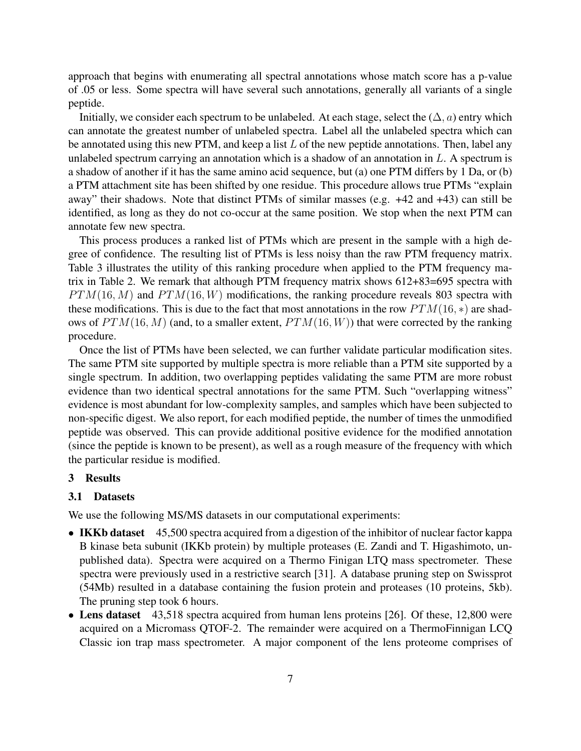approach that begins with enumerating all spectral annotations whose match score has a p-value of .05 or less. Some spectra will have several such annotations, generally all variants of a single peptide.

Initially, we consider each spectrum to be unlabeled. At each stage, select the  $(\Delta, a)$  entry which can annotate the greatest number of unlabeled spectra. Label all the unlabeled spectra which can be annotated using this new PTM, and keep a list  $L$  of the new peptide annotations. Then, label any unlabeled spectrum carrying an annotation which is a shadow of an annotation in  $L$ . A spectrum is a shadow of another if it has the same amino acid sequence, but (a) one PTM differs by 1 Da, or (b) a PTM attachment site has been shifted by one residue. This procedure allows true PTMs "explain away" their shadows. Note that distinct PTMs of similar masses (e.g. +42 and +43) can still be identified, as long as they do not co-occur at the same position. We stop when the next PTM can annotate few new spectra.

This process produces a ranked list of PTMs which are present in the sample with a high degree of confidence. The resulting list of PTMs is less noisy than the raw PTM frequency matrix. Table 3 illustrates the utility of this ranking procedure when applied to the PTM frequency matrix in Table 2. We remark that although PTM frequency matrix shows 612+83=695 spectra with  $PTM(16, M)$  and  $PTM(16, W)$  modifications, the ranking procedure reveals 803 spectra with these modifications. This is due to the fact that most annotations in the row  $PTM(16, *)$  are shadows of  $PTM(16, M)$  (and, to a smaller extent,  $PTM(16, W)$ ) that were corrected by the ranking procedure.

Once the list of PTMs have been selected, we can further validate particular modification sites. The same PTM site supported by multiple spectra is more reliable than a PTM site supported by a single spectrum. In addition, two overlapping peptides validating the same PTM are more robust evidence than two identical spectral annotations for the same PTM. Such "overlapping witness" evidence is most abundant for low-complexity samples, and samples which have been subjected to non-specific digest. We also report, for each modified peptide, the number of times the unmodified peptide was observed. This can provide additional positive evidence for the modified annotation (since the peptide is known to be present), as well as a rough measure of the frequency with which the particular residue is modified.

#### 3 Results

#### 3.1 Datasets

We use the following MS/MS datasets in our computational experiments:

- IKKb dataset 45,500 spectra acquired from a digestion of the inhibitor of nuclear factor kappa B kinase beta subunit (IKKb protein) by multiple proteases (E. Zandi and T. Higashimoto, unpublished data). Spectra were acquired on a Thermo Finigan LTQ mass spectrometer. These spectra were previously used in a restrictive search [31]. A database pruning step on Swissprot (54Mb) resulted in a database containing the fusion protein and proteases (10 proteins, 5kb). The pruning step took 6 hours.
- Lens dataset 43,518 spectra acquired from human lens proteins [26]. Of these, 12,800 were acquired on a Micromass QTOF-2. The remainder were acquired on a ThermoFinnigan LCQ Classic ion trap mass spectrometer. A major component of the lens proteome comprises of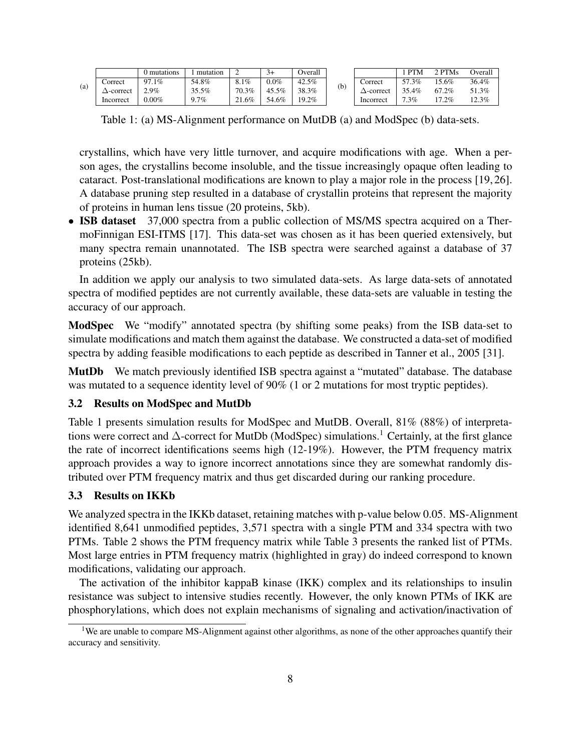|     |           | ) mutations | mutation | ∸     | $3+$    | Overall |     |                   | <b>PTM</b> | 2 PTMs  | Overal |
|-----|-----------|-------------|----------|-------|---------|---------|-----|-------------------|------------|---------|--------|
| (a) | Correct   | 97.1%       | 54.8%    | 8.1%  | $0.0\%$ | 42.5%   | (b) | Correct           | 57.3%      | 5.6%    | 36.4%  |
|     | ∆-correct | 2.9%        | 35.5%    | 70.3% | 45.5%   | 38.3%   |     | $\Delta$ -correct | 35.4%      | 67.2%   | 51.3%  |
|     | Incorrect | $0.00\%$    | $9.7\%$  | 21.6% | 54.6%   | 19.2%   |     | Incorrect         | $7.3\%$    | $7.2\%$ | 12.3%  |

Table 1: (a) MS-Alignment performance on MutDB (a) and ModSpec (b) data-sets.

crystallins, which have very little turnover, and acquire modifications with age. When a person ages, the crystallins become insoluble, and the tissue increasingly opaque often leading to cataract. Post-translational modifications are known to play a major role in the process [19, 26]. A database pruning step resulted in a database of crystallin proteins that represent the majority of proteins in human lens tissue (20 proteins, 5kb).

• **ISB dataset** 37,000 spectra from a public collection of MS/MS spectra acquired on a ThermoFinnigan ESI-ITMS [17]. This data-set was chosen as it has been queried extensively, but many spectra remain unannotated. The ISB spectra were searched against a database of 37 proteins (25kb).

In addition we apply our analysis to two simulated data-sets. As large data-sets of annotated spectra of modified peptides are not currently available, these data-sets are valuable in testing the accuracy of our approach.

ModSpec We "modify" annotated spectra (by shifting some peaks) from the ISB data-set to simulate modifications and match them against the database. We constructed a data-set of modified spectra by adding feasible modifications to each peptide as described in Tanner et al., 2005 [31].

MutDb We match previously identified ISB spectra against a "mutated" database. The database was mutated to a sequence identity level of 90% (1 or 2 mutations for most tryptic peptides).

# 3.2 Results on ModSpec and MutDb

Table 1 presents simulation results for ModSpec and MutDB. Overall, 81% (88%) of interpretations were correct and  $\Delta$ -correct for MutDb (ModSpec) simulations.<sup>1</sup> Certainly, at the first glance the rate of incorrect identifications seems high (12-19%). However, the PTM frequency matrix approach provides a way to ignore incorrect annotations since they are somewhat randomly distributed over PTM frequency matrix and thus get discarded during our ranking procedure.

# 3.3 Results on IKKb

We analyzed spectra in the IKKb dataset, retaining matches with p-value below 0.05. MS-Alignment identified 8,641 unmodified peptides, 3,571 spectra with a single PTM and 334 spectra with two PTMs. Table 2 shows the PTM frequency matrix while Table 3 presents the ranked list of PTMs. Most large entries in PTM frequency matrix (highlighted in gray) do indeed correspond to known modifications, validating our approach.

The activation of the inhibitor kappaB kinase (IKK) complex and its relationships to insulin resistance was subject to intensive studies recently. However, the only known PTMs of IKK are phosphorylations, which does not explain mechanisms of signaling and activation/inactivation of

<sup>&</sup>lt;sup>1</sup>We are unable to compare MS-Alignment against other algorithms, as none of the other approaches quantify their accuracy and sensitivity.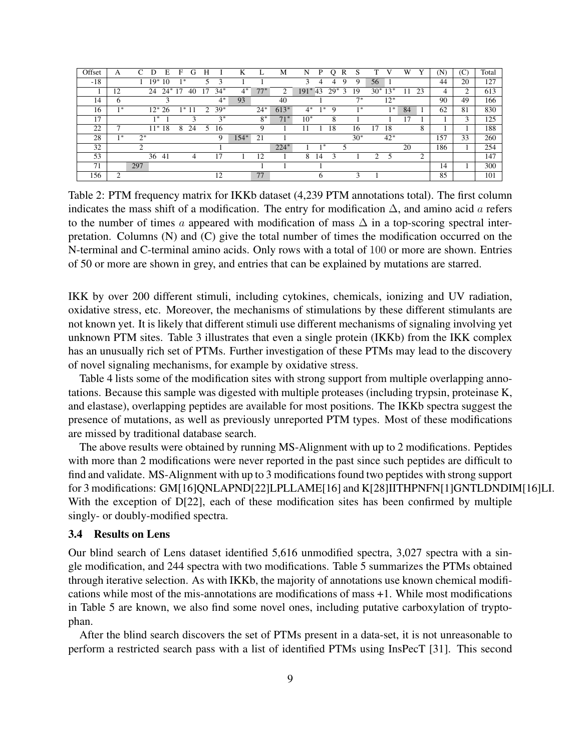| Offset | А    | C<br>E<br>D   | F<br>G     | Н                       | K      | L.    | M      | N<br>P        | R<br>O     | S     | т  |             | W  | v  | (N) | (C) | Total |
|--------|------|---------------|------------|-------------------------|--------|-------|--------|---------------|------------|-------|----|-------------|----|----|-----|-----|-------|
| $-18$  |      | $19*$<br>10   | $1*$       | 3                       |        |       |        | 3<br>4        | 9<br>4     | 9     | 56 |             |    |    | 44  | 20  | 127   |
|        | 12   | $24*17$<br>24 | 40         | $34*$<br>17             | $4*$   | $77*$ | 2      | $191*43$      | $29*$<br>3 | 19    |    | $30^* 13^*$ | 11 | 23 | 4   | 2   | 613   |
| 14     | 6    |               |            | $4^*$                   | 93     |       | 40     |               |            | $7*$  |    | $12*$       |    |    | 90  | 49  | 166   |
| 16     | $1*$ | $12^*$<br>26  | $1*$<br>11 | $39*$<br>$\overline{2}$ |        | $24*$ | $613*$ | $4^*$<br>$1*$ | 9          | $1*$  |    | $1*$        | 84 |    | 62  | 81  | 830   |
| 17     |      | $1*$          | 3          | $3*$                    |        | $8*$  | $71*$  | $10*$         | 8          |       |    |             | 17 |    |     | 3   | 125   |
| 22     |      | $11*$<br>18   | 8<br>24    | 16<br>5                 |        | 9     |        |               | 18         | 16    | 17 | 18          |    | 8  |     |     | 188   |
| 28     | $1*$ | $2^*$         |            | 9                       | $154*$ | 21    |        |               |            | $30*$ |    | $42*$       |    |    | 157 | 33  | 260   |
| 32     |      | ◠             |            |                         |        |       | $224*$ | $1*$          | 5          |       |    |             | 20 |    | 186 |     | 254   |
| 53     |      | 36<br>-41     | 4          |                         |        | 12.   |        | 8<br>14       |            |       | 2  | 5           |    | ◠  |     |     | 147   |
| 71     |      | 297           |            |                         |        |       |        |               |            |       |    |             |    |    | 14  |     | 300   |
| 156    | ◠    |               |            | 12                      |        | 77    |        | h             |            |       |    |             |    |    | 85  |     | 101   |

Table 2: PTM frequency matrix for IKKb dataset (4,239 PTM annotations total). The first column indicates the mass shift of a modification. The entry for modification  $\Delta$ , and amino acid a refers to the number of times a appeared with modification of mass  $\Delta$  in a top-scoring spectral interpretation. Columns (N) and (C) give the total number of times the modification occurred on the N-terminal and C-terminal amino acids. Only rows with a total of 100 or more are shown. Entries of 50 or more are shown in grey, and entries that can be explained by mutations are starred.

IKK by over 200 different stimuli, including cytokines, chemicals, ionizing and UV radiation, oxidative stress, etc. Moreover, the mechanisms of stimulations by these different stimulants are not known yet. It is likely that different stimuli use different mechanisms of signaling involving yet unknown PTM sites. Table 3 illustrates that even a single protein (IKKb) from the IKK complex has an unusually rich set of PTMs. Further investigation of these PTMs may lead to the discovery of novel signaling mechanisms, for example by oxidative stress.

Table 4 lists some of the modification sites with strong support from multiple overlapping annotations. Because this sample was digested with multiple proteases (including trypsin, proteinase K, and elastase), overlapping peptides are available for most positions. The IKKb spectra suggest the presence of mutations, as well as previously unreported PTM types. Most of these modifications are missed by traditional database search.

The above results were obtained by running MS-Alignment with up to 2 modifications. Peptides with more than 2 modifications were never reported in the past since such peptides are difficult to find and validate. MS-Alignment with up to 3 modifications found two peptides with strong support for 3 modifications: GM[16]QNLAPND[22]LPLLAME[16] and K[28]IITHPNFN[1]GNTLDNDIM[16]LI. With the exception of D[22], each of these modification sites has been confirmed by multiple singly- or doubly-modified spectra.

# 3.4 Results on Lens

Our blind search of Lens dataset identified 5,616 unmodified spectra, 3,027 spectra with a single modification, and 244 spectra with two modifications. Table 5 summarizes the PTMs obtained through iterative selection. As with IKKb, the majority of annotations use known chemical modifications while most of the mis-annotations are modifications of mass +1. While most modifications in Table 5 are known, we also find some novel ones, including putative carboxylation of tryptophan.

After the blind search discovers the set of PTMs present in a data-set, it is not unreasonable to perform a restricted search pass with a list of identified PTMs using InsPecT [31]. This second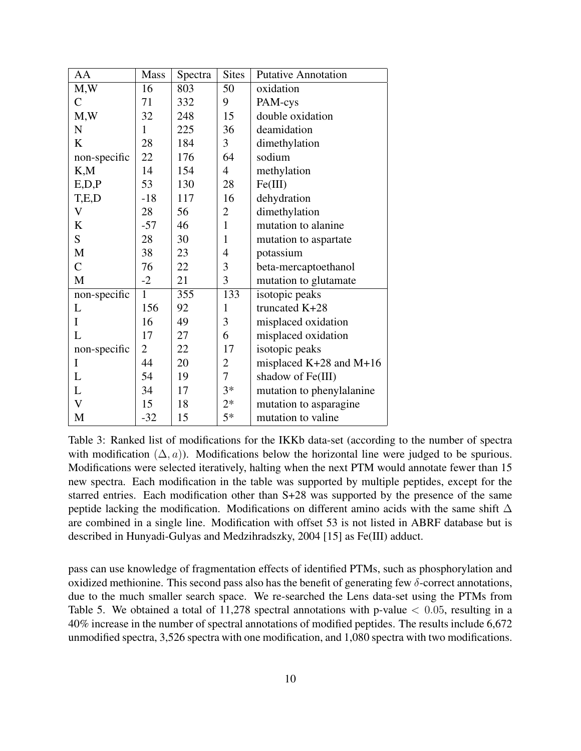| AA           | <b>Mass</b>    | Spectra | <b>Sites</b>   | <b>Putative Annotation</b>  |
|--------------|----------------|---------|----------------|-----------------------------|
| M,W          | 16             | 803     | 50             | oxidation                   |
| $\mathsf{C}$ | 71             | 332     | 9              | PAM-cys                     |
| M,W          | 32             | 248     | 15             | double oxidation            |
| $\mathbf N$  | 1              | 225     | 36             | deamidation                 |
| K            | 28             | 184     | 3              | dimethylation               |
| non-specific | 22             | 176     | 64             | sodium                      |
| K,M          | 14             | 154     | $\overline{4}$ | methylation                 |
| E, D, P      | 53             | 130     | 28             | Fe(III)                     |
| T,E,D        | $-18$          | 117     | 16             | dehydration                 |
| V            | 28             | 56      | $\overline{2}$ | dimethylation               |
| K            | $-57$          | 46      | $\mathbf{1}$   | mutation to alanine.        |
| S            | 28             | 30      | $\mathbf{1}$   | mutation to aspartate       |
| M            | 38             | 23      | $\overline{4}$ | potassium                   |
| $\mathsf{C}$ | 76             | 22      | 3              | beta-mercaptoethanol        |
| M            | $-2$           | 21      | 3              | mutation to glutamate       |
| non-specific | $\mathbf{1}$   | 355     | 133            | isotopic peaks              |
| L            | 156            | 92      | $\mathbf{1}$   | truncated K+28              |
| $\mathbf I$  | 16             | 49      | 3              | misplaced oxidation         |
| L            | 17             | 27      | 6              | misplaced oxidation         |
| non-specific | $\overline{2}$ | 22      | 17             | isotopic peaks              |
| $\mathbf I$  | 44             | 20      | $\overline{2}$ | misplaced $K+28$ and $M+16$ |
| L            | 54             | 19      | $\overline{7}$ | shadow of Fe(III)           |
| L            | 34             | 17      | $3*$           | mutation to phenylalanine   |
| V            | 15             | 18      | $2*$           | mutation to asparagine      |
| M            | $-32$          | 15      | $5*$           | mutation to valine          |

Table 3: Ranked list of modifications for the IKKb data-set (according to the number of spectra with modification  $(\Delta, a)$ ). Modifications below the horizontal line were judged to be spurious. Modifications were selected iteratively, halting when the next PTM would annotate fewer than 15 new spectra. Each modification in the table was supported by multiple peptides, except for the starred entries. Each modification other than S+28 was supported by the presence of the same peptide lacking the modification. Modifications on different amino acids with the same shift  $\Delta$ are combined in a single line. Modification with offset 53 is not listed in ABRF database but is described in Hunyadi-Gulyas and Medzihradszky, 2004 [15] as Fe(III) adduct.

pass can use knowledge of fragmentation effects of identified PTMs, such as phosphorylation and oxidized methionine. This second pass also has the benefit of generating few  $\delta$ -correct annotations, due to the much smaller search space. We re-searched the Lens data-set using the PTMs from Table 5. We obtained a total of 11,278 spectral annotations with p-value  $< 0.05$ , resulting in a 40% increase in the number of spectral annotations of modified peptides. The results include 6,672 unmodified spectra, 3,526 spectra with one modification, and 1,080 spectra with two modifications.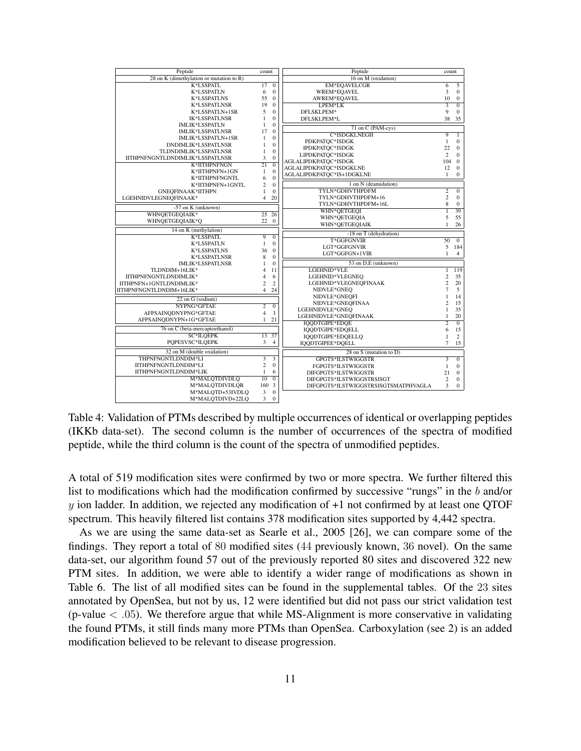| Peptide                                     | count           |                | Peptide                              | count          |                |
|---------------------------------------------|-----------------|----------------|--------------------------------------|----------------|----------------|
| 28 on K (dimethylation or mutation to $R$ ) |                 |                | 16 on M (oxidation)                  |                |                |
| K*LSSPATL                                   | 17              | $\overline{0}$ | <b>EM*EOAVELCGR</b>                  | $\overline{6}$ | $\overline{5}$ |
| K*LSSPATLN                                  | 6               | $\Omega$       | WREM*EQAVEL                          | 3              | $\Omega$       |
| <b>K*LSSPATLNS</b>                          | 55              | $\Omega$       | AWREM*EOAVEL                         | 10             | $\mathbf{0}$   |
| <b>K*LSSPATLNSR</b>                         | 19              | $\Omega$       | LPEM <sup>*</sup> LK                 |                | $\overline{0}$ |
| K*LSSPATLN+1SR                              | 5               | $\Omega$       | DFLSKLPEM*                           | 9              | $\Omega$       |
| <b>IK*LSSPATLNSR</b>                        | 1               | $\overline{0}$ | DFLSKLPEM*L                          | 38             | 35             |
| <b>IMLIK*LSSPATLN</b>                       | 1               | $\overline{0}$ | 71 on C (PAM-cys)                    |                |                |
| <b>IMLIK*LSSPATLNSR</b>                     | 17              | $\theta$       | C*ISDGKLNEGH                         | $\overline{9}$ | $\overline{1}$ |
| IMLIK*LSSPATLN+1SR                          | $\mathbf{1}$    | $\Omega$       | PDKPATOC*ISDGK                       | $\mathbf{1}$   | $\mathbf{0}$   |
| DNDIMLIK*LSSPATLNSR                         | $\mathbf{1}$    | $\overline{0}$ | IPDKPATOC*ISDGK                      | 22             | $\mathbf{0}$   |
| TLDNDIMLIK*LSSPATLNSR                       | $\mathbf{1}$    | $\theta$       | LIPDKPATOC*ISDGK                     | $\overline{c}$ | $\Omega$       |
| IITHPNFNGNTLDNDIMLIK*LSSPATLNSR             | 3               | $\overline{0}$ | AGLALIPDKPATOC*ISDGK                 | 104            | $\mathbf{0}$   |
| K*IITHPNFNGN                                | $\overline{21}$ | $\overline{0}$ | AGLALIPDKPATQC*ISDGKLNE              | 12             | $\Omega$       |
| K*IITHPNFN+1GN                              | 1               | $\mathbf{0}$   | AGLALIPDKPATQC*IS+1DGKLNE            | $\mathbf{1}$   | $\mathbf{0}$   |
| K*IITHPNFNGNTL                              | 6               | $\overline{0}$ |                                      |                |                |
| K*IITHPNFN+1GNTL                            | $\overline{c}$  | $\mathbf{0}$   | 1 on N (deamidation)                 |                |                |
| GNEOFINAAK*IITHPN                           | $\mathbf{1}$    | $\theta$       | TYLN*GDHVTHPDFM                      | $\overline{2}$ | $\overline{0}$ |
| LGEHNIDVLEGNEQFINAAK*                       | $\overline{4}$  | 20             | TYLN*GDHVTHPDFM+16                   | $\overline{c}$ | $\mathbf{0}$   |
| $-57$ on K (unknown)                        |                 |                | TYLN*GDHVTHPDFM+16L                  | 8              | $\mathbf{0}$   |
| WHNQETGEQIAIK*                              | $\overline{25}$ | 26             | WHN*OETGEOI                          | $\overline{1}$ | 39             |
| WHNOETGEOIAIK*O                             | $22 \ 0$        |                | WHN*QETGEOIA                         | 5              | 55             |
|                                             |                 |                | WHN*QETGEQIAIK                       | $\mathbf{1}$   | 26             |
| 14 on K (methylation)                       |                 |                | -18 on T (dehydration)               |                |                |
| K*LSSPATL                                   | $\overline{9}$  | $\overline{0}$ | T*GGFGNVIR                           | 50             | $\overline{0}$ |
| <b>K*LSSPATLN</b>                           | $\mathbf{1}$    | $\theta$       | LGT*GGFGNVIR                         | 5              | 184            |
| <b>K*LSSPATLNS</b>                          | 36              | $\Omega$       | LGT*GGFGN+1VIR                       | $\mathbf{1}$   | $\overline{4}$ |
| <b>K*LSSPATLNSR</b>                         | 8               | $\Omega$       |                                      |                |                |
| <b>IMLIK*LSSPATLNSR</b>                     | $\mathbf{1}$    | $\theta$       | 53 on D.E (unknown)                  |                |                |
| TLDNDIM+16LIK*                              | 4               | 11             | LGEHNID*VLE                          | $\mathbf{1}$   | 119            |
| IITHPNFNGNTLDNDIMLIK*                       | $\overline{4}$  | 6              | LGEHNID*VLEGNEQ                      | $\overline{c}$ | 35             |
| IITHPNFN+1GNTLDNDIMLIK*                     | $\overline{c}$  | $\overline{c}$ | LGEHNID*VLEGNEQFINAAK                | $\overline{c}$ | 20             |
| IITHPNFNGNTLDNDIM+16LIK*                    | $\overline{4}$  | 24             | NIDVLE*GNEO                          | $\overline{7}$ | 5              |
| 22 on G (sodium)                            |                 |                | NIDVLE*GNEOFI                        | 1              | 14             |
| NYPNG*GFTAE                                 | 2               | $\overline{0}$ | NIDVLE*GNEQFINAA                     | 2              | 15             |
| AFPSAINODNYPNG*GFTAE                        | $\overline{4}$  | 3              | LGEHNIDVLE*GNEQ                      | $\mathbf{1}$   | 35             |
| AFPSAINQDNYPN+1G*GFTAE                      | $\mathbf{1}$    | 21             | LGEHNIDVLE*GNEQFINAAK                | 1              | 20             |
| 76 on C (beta-mercaptoethanol)              |                 |                | IQQDTGIPE*EDOE                       | $\overline{2}$ | $\overline{0}$ |
| SC*ILQEPK                                   |                 | 37             | IQQDTGIPE*EDQELL                     | 6              | 15             |
|                                             | 13              |                | IQQDTGIPE*EDQELLQ                    | $\mathbf{1}$   | $\overline{c}$ |
| POPESVSC*ILOEPK                             | 3               | $\overline{4}$ | IQQDTGIPEE*DQELL                     | $\overline{7}$ | 15             |
| 32 on M (double oxidation)                  |                 |                | 28 on S (mutation to D)              |                |                |
| THPNFNGNTLDNDIM*LI                          |                 | $\overline{3}$ | GPGTS*ILSTWIGGSTR                    |                | $\overline{0}$ |
| IITHPNFNGNTLDNDIM*LI                        | $\overline{c}$  | $\theta$       | FGPGTS*ILSTWIGGSTR                   | $\mathbf{1}$   | $\mathbf{0}$   |
| IITHPNFNGNTLDNDIM*LIK                       | $\mathbf{1}$    | 6              | DIFGPGTS*ILSTWIGGSTR                 | 21             | $\mathbf{0}$   |
| M*MALQTDIVDLQ                               | 10              | $\overline{0}$ | DIFGPGTS*ILSTWIGGSTRSISGT            | $\overline{c}$ | $\mathbf{0}$   |
| M*MALOTDIVDLOR                              | 160             | $\overline{3}$ | DIFGPGTS*ILSTWIGGSTRSISGTSMATPHVAGLA | 3              | $\mathbf{0}$   |
| M*MALOTD+53IVDLQ                            | 3               | $\overline{0}$ |                                      |                |                |
| M*MALQTDIVD+22LQ                            | 3               | $\theta$       |                                      |                |                |

Table 4: Validation of PTMs described by multiple occurrences of identical or overlapping peptides (IKKb data-set). The second column is the number of occurrences of the spectra of modified peptide, while the third column is the count of the spectra of unmodified peptides.

A total of 519 modification sites were confirmed by two or more spectra. We further filtered this list to modifications which had the modification confirmed by successive "rungs" in the b and/or  $y$  ion ladder. In addition, we rejected any modification of  $+1$  not confirmed by at least one QTOF spectrum. This heavily filtered list contains 378 modification sites supported by 4,442 spectra.

As we are using the same data-set as Searle et al., 2005 [26], we can compare some of the findings. They report a total of 80 modified sites (44 previously known, 36 novel). On the same data-set, our algorithm found 57 out of the previously reported 80 sites and discovered 322 new PTM sites. In addition, we were able to identify a wider range of modifications as shown in Table 6. The list of all modified sites can be found in the supplemental tables. Of the 23 sites annotated by OpenSea, but not by us, 12 were identified but did not pass our strict validation test (p-value  $< .05$ ). We therefore argue that while MS-Alignment is more conservative in validating the found PTMs, it still finds many more PTMs than OpenSea. Carboxylation (see 2) is an added modification believed to be relevant to disease progression.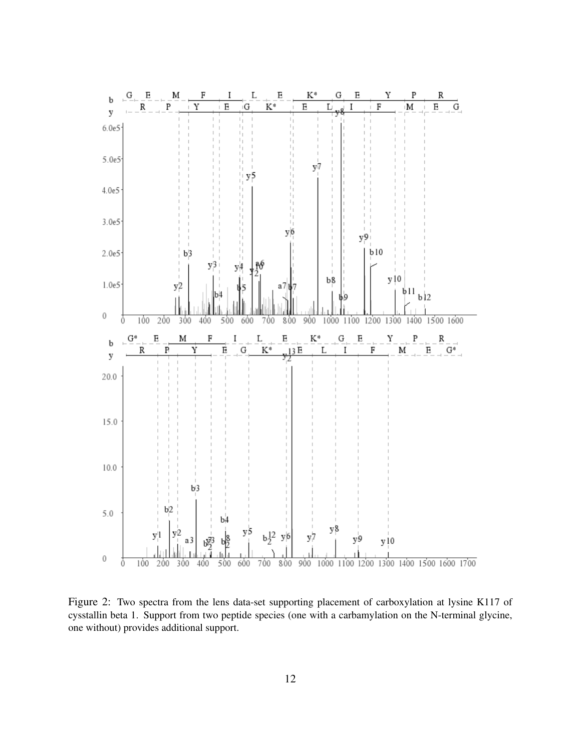

Figure 2: Two spectra from the lens data-set supporting placement of carboxylation at lysine K117 of cysstallin beta 1. Support from two peptide species (one with a carbamylation on the N-terminal glycine, one without) provides additional support.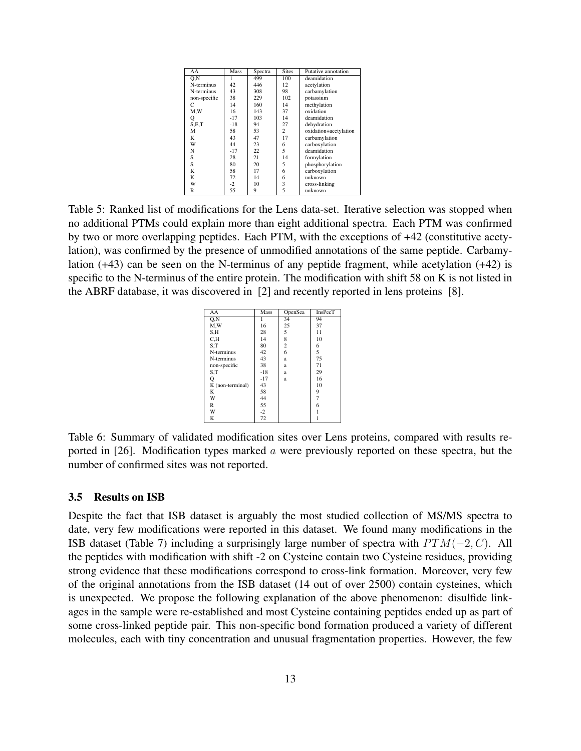| AA           | Mass  | Spectra | <b>Sites</b> | Putative annotation   |
|--------------|-------|---------|--------------|-----------------------|
| O.N          |       | 499     | 100          | deamidation           |
| N-terminus   | 42    | 446     | 12           | acetylation           |
| N-terminus   | 43    | 308     | 98           | carbamylation         |
| non-specific | 38    | 229     | 102          | potassium             |
| С            | 14    | 160     | 14           | methylation           |
| M.W          | 16    | 143     | 37           | oxidation             |
| Q            | $-17$ | 103     | 14           | deamidation           |
| S.E.T        | $-18$ | 94      | 27           | dehydration           |
| М            | 58    | 53      | 2            | oxidation+acetylation |
| K            | 43    | 47      | 17           | carbamylation         |
| W            | 44    | 23      | 6            | carboxylation         |
| N            | $-17$ | 22      | 5            | deamidation           |
| S            | 28    | 21      | 14           | formylation           |
| S            | 80    | 20      | 5            | phosphorylation       |
| K            | 58    | 17      | 6            | carboxylation         |
| K            | 72    | 14      | 6            | unknown               |
| W            | $-2$  | 10      | 3            | cross-linking         |
| R            | 55    | 9       | 5            | unknown               |

Table 5: Ranked list of modifications for the Lens data-set. Iterative selection was stopped when no additional PTMs could explain more than eight additional spectra. Each PTM was confirmed by two or more overlapping peptides. Each PTM, with the exceptions of +42 (constitutive acetylation), was confirmed by the presence of unmodified annotations of the same peptide. Carbamylation (+43) can be seen on the N-terminus of any peptide fragment, while acetylation (+42) is specific to the N-terminus of the entire protein. The modification with shift 58 on K is not listed in the ABRF database, it was discovered in [2] and recently reported in lens proteins [8].

| AA               | <b>Mass</b> | <b>OpenSea</b> | <b>InsPecT</b> |
|------------------|-------------|----------------|----------------|
| O.N              |             | 34             | 94             |
| M.W              | 16          | 25             | 37             |
| S.H              | 28          | 5              | 11             |
| C <sub>1</sub> H | 14          | 8              | 10             |
| S.T              | 80          | $\overline{c}$ | 6              |
| N-terminus       | 42          | 6              | 5              |
| N-terminus       | 43          | a              | 75             |
| non-specific     | 38          | a              | 71             |
| S.T              | $-18$       | a              | 29             |
| Q                | $-17$       | a              | 16             |
| K (non-terminal) | 43          |                | 10             |
| K                | 58          |                | 9              |
| W                | 44          |                | $\overline{7}$ |
| R                | 55          |                | 6              |
| W                | $-2$        |                |                |
| K                | 72          |                |                |

Table 6: Summary of validated modification sites over Lens proteins, compared with results reported in [26]. Modification types marked  $\alpha$  were previously reported on these spectra, but the number of confirmed sites was not reported.

## 3.5 Results on ISB

Despite the fact that ISB dataset is arguably the most studied collection of MS/MS spectra to date, very few modifications were reported in this dataset. We found many modifications in the ISB dataset (Table 7) including a surprisingly large number of spectra with  $PTM(-2, C)$ . All the peptides with modification with shift -2 on Cysteine contain two Cysteine residues, providing strong evidence that these modifications correspond to cross-link formation. Moreover, very few of the original annotations from the ISB dataset (14 out of over 2500) contain cysteines, which is unexpected. We propose the following explanation of the above phenomenon: disulfide linkages in the sample were re-established and most Cysteine containing peptides ended up as part of some cross-linked peptide pair. This non-specific bond formation produced a variety of different molecules, each with tiny concentration and unusual fragmentation properties. However, the few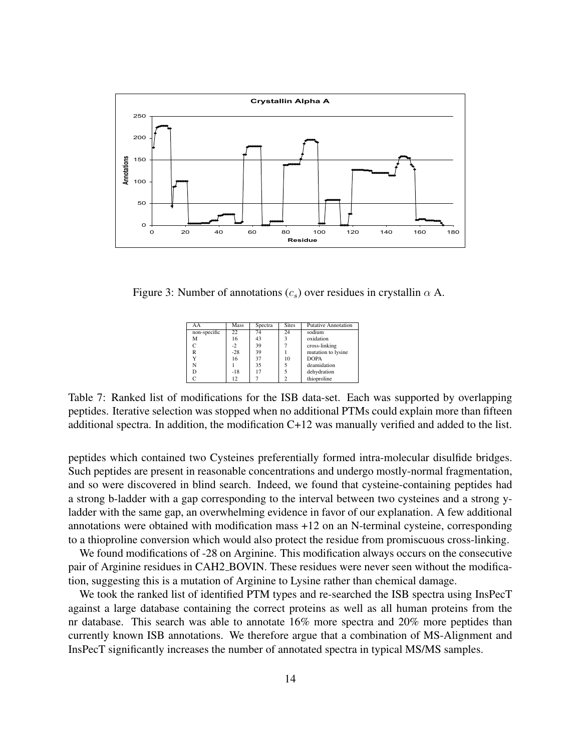

Figure 3: Number of annotations  $(c_s)$  over residues in crystallin  $\alpha$  A.

| AA           | Mass  | Spectra | <b>Sites</b> | <b>Putative Annotation</b> |
|--------------|-------|---------|--------------|----------------------------|
| non-specific | 22    | 74      | 24           | sodium                     |
| М            | 16    | 43      |              | oxidation                  |
|              | -2    | 39      |              | cross-linking              |
| R            | $-28$ | 39      |              | mutation to lysine         |
|              | 16    | 37      | 10           | <b>DOPA</b>                |
| N            |       | 35      |              | deamidation                |
|              | $-18$ |         |              | dehydration                |
|              | 12    |         |              | thioproline                |

Table 7: Ranked list of modifications for the ISB data-set. Each was supported by overlapping peptides. Iterative selection was stopped when no additional PTMs could explain more than fifteen additional spectra. In addition, the modification C+12 was manually verified and added to the list.

peptides which contained two Cysteines preferentially formed intra-molecular disulfide bridges. Such peptides are present in reasonable concentrations and undergo mostly-normal fragmentation, and so were discovered in blind search. Indeed, we found that cysteine-containing peptides had a strong b-ladder with a gap corresponding to the interval between two cysteines and a strong yladder with the same gap, an overwhelming evidence in favor of our explanation. A few additional annotations were obtained with modification mass +12 on an N-terminal cysteine, corresponding to a thioproline conversion which would also protect the residue from promiscuous cross-linking.

We found modifications of -28 on Arginine. This modification always occurs on the consecutive pair of Arginine residues in CAH2 BOVIN. These residues were never seen without the modification, suggesting this is a mutation of Arginine to Lysine rather than chemical damage.

We took the ranked list of identified PTM types and re-searched the ISB spectra using InsPecT against a large database containing the correct proteins as well as all human proteins from the nr database. This search was able to annotate 16% more spectra and 20% more peptides than currently known ISB annotations. We therefore argue that a combination of MS-Alignment and InsPecT significantly increases the number of annotated spectra in typical MS/MS samples.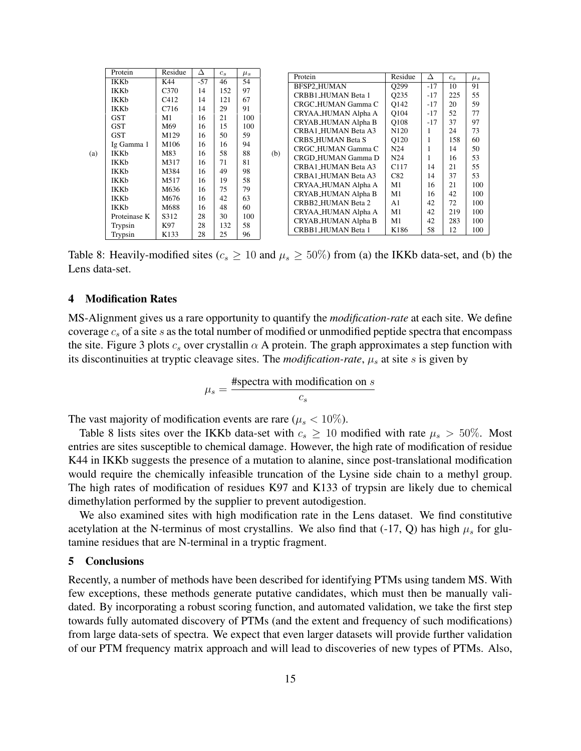|     | Protein      | Residue          | Δ     | $c_s$ | $\mu_s$ |     |                     |                   |       |         |         |
|-----|--------------|------------------|-------|-------|---------|-----|---------------------|-------------------|-------|---------|---------|
|     | <b>IKKb</b>  | K44              | $-57$ | 46    | 54      |     | Protein             | Residue           | Δ     | $c_{s}$ | $\mu_s$ |
|     | <b>IKKb</b>  | C <sub>370</sub> | 14    | 152   | 97      |     | BFSP2_HUMAN         | O299              | $-17$ | 10      | 91      |
|     |              |                  |       |       |         |     | CRBB1_HUMAN Beta 1  | O <sub>2</sub> 35 | $-17$ | 225     | 55      |
|     | <b>IKKb</b>  | C412             | 14    | 121   | 67      |     | CRGC_HUMAN Gamma C  | O142              | $-17$ | 20      | 59      |
|     | <b>IKKb</b>  | C716             | 14    | 29    | 91      |     | CRYAA_HUMAN Alpha A | O104              | $-17$ | 52      | 77      |
|     | <b>GST</b>   | M1               | 16    | 21    | 100     |     | CRYAB_HUMAN Alpha B | O108              | $-17$ | 37      | 97      |
|     | <b>GST</b>   | M69              | 16    | 15    | 100     |     |                     |                   |       |         |         |
|     | <b>GST</b>   | M129             | 16    | 50    | 59      |     | CRBA1_HUMAN Beta A3 | N <sub>120</sub>  | 1     | 24      | 73      |
|     | Ig Gamma 1   | M106             | 16    | 16    | 94      |     | CRBS_HUMAN Beta S   | O120              | 1     | 158     | 60      |
|     | IKKb         | M83              | 16    | 58    | 88      |     | CRGC_HUMAN Gamma C  | N <sub>24</sub>   | 1     | 14      | 50      |
| (a) |              |                  |       |       |         | (b) | CRGD_HUMAN Gamma D  | N <sub>24</sub>   | 1     | 16      | 53      |
|     | <b>IKKb</b>  | M317             | 16    | 71    | 81      |     | CRBA1_HUMAN Beta A3 | C <sub>117</sub>  | 14    | 21      | 55      |
|     | <b>IKKb</b>  | M384             | 16    | 49    | 98      |     | CRBA1_HUMAN Beta A3 | C82               | 14    | 37      | 53      |
|     | <b>IKKb</b>  | M517             | 16    | 19    | 58      |     |                     | M1                | 16    | 21      | 100     |
|     | <b>IKKb</b>  | M636             | 16    | 75    | 79      |     | CRYAA_HUMAN Alpha A |                   |       |         |         |
|     | <b>IKKb</b>  | M676             | 16    | 42    | 63      |     | CRYAB_HUMAN Alpha B | M1                | 16    | 42      | 100     |
|     | <b>IKKb</b>  | M688             | 16    | 48    | 60      |     | CRBB2_HUMAN Beta 2  | A1                | 42    | 72      | 100     |
|     |              |                  | 28    | 30    | 100     |     | CRYAA_HUMAN Alpha A | M1                | 42    | 219     | 100     |
|     | Proteinase K | S312             |       |       |         |     | CRYAB_HUMAN Alpha B | M1                | 42    | 283     | 100     |
|     | Trypsin      | K97              | 28    | 132   | 58      |     | CRBB1_HUMAN Beta 1  | K186              | 58    | 12      | 100     |
|     | Trypsin      | K133             | 28    | 25    | 96      |     |                     |                   |       |         |         |

Table 8: Heavily-modified sites ( $c_s \ge 10$  and  $\mu_s \ge 50\%$ ) from (a) the IKKb data-set, and (b) the Lens data-set.

#### 4 Modification Rates

MS-Alignment gives us a rare opportunity to quantify the *modification-rate* at each site. We define coverage  $c_s$  of a site s as the total number of modified or unmodified peptide spectra that encompass the site. Figure 3 plots  $c_s$  over crystallin  $\alpha$  A protein. The graph approximates a step function with its discontinuities at tryptic cleavage sites. The *modification-rate*,  $\mu_s$  at site s is given by

$$
\mu_s = \frac{\text{Hspectra with modification on } s}{c_s}
$$

The vast majority of modification events are rare ( $\mu_s < 10\%$ ).

Table 8 lists sites over the IKKb data-set with  $c_s \ge 10$  modified with rate  $\mu_s > 50\%$ . Most entries are sites susceptible to chemical damage. However, the high rate of modification of residue K44 in IKKb suggests the presence of a mutation to alanine, since post-translational modification would require the chemically infeasible truncation of the Lysine side chain to a methyl group. The high rates of modification of residues K97 and K133 of trypsin are likely due to chemical dimethylation performed by the supplier to prevent autodigestion.

We also examined sites with high modification rate in the Lens dataset. We find constitutive acetylation at the N-terminus of most crystallins. We also find that  $(-17, Q)$  has high  $\mu_s$  for glutamine residues that are N-terminal in a tryptic fragment.

#### 5 Conclusions

Recently, a number of methods have been described for identifying PTMs using tandem MS. With few exceptions, these methods generate putative candidates, which must then be manually validated. By incorporating a robust scoring function, and automated validation, we take the first step towards fully automated discovery of PTMs (and the extent and frequency of such modifications) from large data-sets of spectra. We expect that even larger datasets will provide further validation of our PTM frequency matrix approach and will lead to discoveries of new types of PTMs. Also,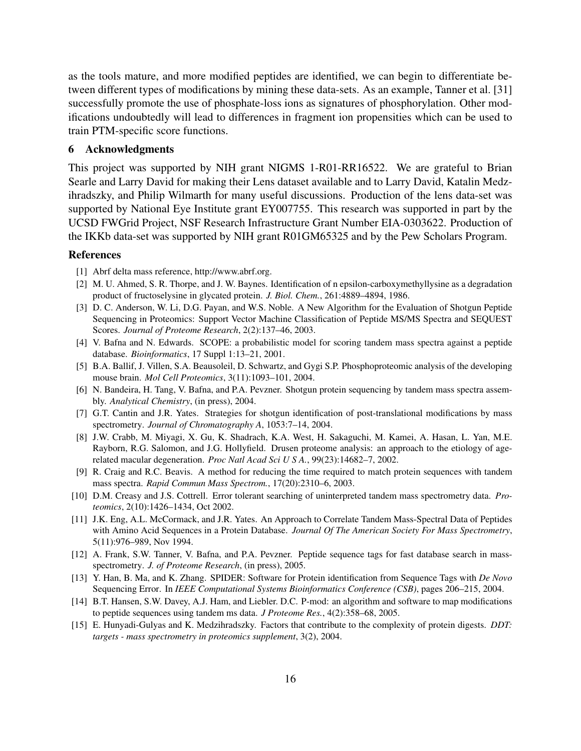as the tools mature, and more modified peptides are identified, we can begin to differentiate between different types of modifications by mining these data-sets. As an example, Tanner et al. [31] successfully promote the use of phosphate-loss ions as signatures of phosphorylation. Other modifications undoubtedly will lead to differences in fragment ion propensities which can be used to train PTM-specific score functions.

#### 6 Acknowledgments

This project was supported by NIH grant NIGMS 1-R01-RR16522. We are grateful to Brian Searle and Larry David for making their Lens dataset available and to Larry David, Katalin Medzihradszky, and Philip Wilmarth for many useful discussions. Production of the lens data-set was supported by National Eye Institute grant EY007755. This research was supported in part by the UCSD FWGrid Project, NSF Research Infrastructure Grant Number EIA-0303622. Production of the IKKb data-set was supported by NIH grant R01GM65325 and by the Pew Scholars Program.

#### References

- [1] Abrf delta mass reference, http://www.abrf.org.
- [2] M. U. Ahmed, S. R. Thorpe, and J. W. Baynes. Identification of n epsilon-carboxymethyllysine as a degradation product of fructoselysine in glycated protein. *J. Biol. Chem.*, 261:4889–4894, 1986.
- [3] D. C. Anderson, W. Li, D.G. Payan, and W.S. Noble. A New Algorithm for the Evaluation of Shotgun Peptide Sequencing in Proteomics: Support Vector Machine Classification of Peptide MS/MS Spectra and SEQUEST Scores. *Journal of Proteome Research*, 2(2):137–46, 2003.
- [4] V. Bafna and N. Edwards. SCOPE: a probabilistic model for scoring tandem mass spectra against a peptide database. *Bioinformatics*, 17 Suppl 1:13–21, 2001.
- [5] B.A. Ballif, J. Villen, S.A. Beausoleil, D. Schwartz, and Gygi S.P. Phosphoproteomic analysis of the developing mouse brain. *Mol Cell Proteomics*, 3(11):1093–101, 2004.
- [6] N. Bandeira, H. Tang, V. Bafna, and P.A. Pevzner. Shotgun protein sequencing by tandem mass spectra assembly. *Analytical Chemistry*, (in press), 2004.
- [7] G.T. Cantin and J.R. Yates. Strategies for shotgun identification of post-translational modifications by mass spectrometry. *Journal of Chromatography A*, 1053:7–14, 2004.
- [8] J.W. Crabb, M. Miyagi, X. Gu, K. Shadrach, K.A. West, H. Sakaguchi, M. Kamei, A. Hasan, L. Yan, M.E. Rayborn, R.G. Salomon, and J.G. Hollyfield. Drusen proteome analysis: an approach to the etiology of agerelated macular degeneration. *Proc Natl Acad Sci U S A.*, 99(23):14682–7, 2002.
- [9] R. Craig and R.C. Beavis. A method for reducing the time required to match protein sequences with tandem mass spectra. *Rapid Commun Mass Spectrom.*, 17(20):2310–6, 2003.
- [10] D.M. Creasy and J.S. Cottrell. Error tolerant searching of uninterpreted tandem mass spectrometry data. *Proteomics*, 2(10):1426–1434, Oct 2002.
- [11] J.K. Eng, A.L. McCormack, and J.R. Yates. An Approach to Correlate Tandem Mass-Spectral Data of Peptides with Amino Acid Sequences in a Protein Database. *Journal Of The American Society For Mass Spectrometry*, 5(11):976–989, Nov 1994.
- [12] A. Frank, S.W. Tanner, V. Bafna, and P.A. Pevzner. Peptide sequence tags for fast database search in massspectrometry. *J. of Proteome Research*, (in press), 2005.
- [13] Y. Han, B. Ma, and K. Zhang. SPIDER: Software for Protein identification from Sequence Tags with *De Novo* Sequencing Error. In *IEEE Computational Systems Bioinformatics Conference (CSB)*, pages 206–215, 2004.
- [14] B.T. Hansen, S.W. Davey, A.J. Ham, and Liebler. D.C. P-mod: an algorithm and software to map modifications to peptide sequences using tandem ms data. *J Proteome Res.*, 4(2):358–68, 2005.
- [15] E. Hunyadi-Gulyas and K. Medzihradszky. Factors that contribute to the complexity of protein digests. *DDT: targets - mass spectrometry in proteomics supplement*, 3(2), 2004.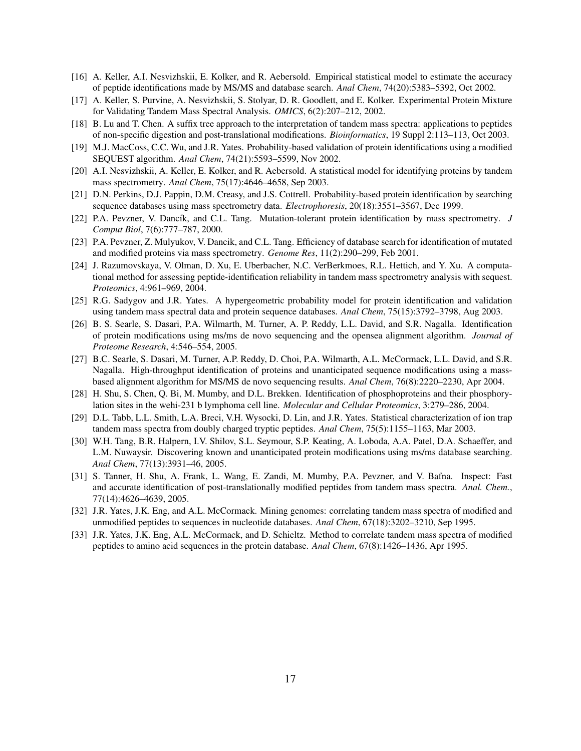- [16] A. Keller, A.I. Nesvizhskii, E. Kolker, and R. Aebersold. Empirical statistical model to estimate the accuracy of peptide identifications made by MS/MS and database search. *Anal Chem*, 74(20):5383–5392, Oct 2002.
- [17] A. Keller, S. Purvine, A. Nesvizhskii, S. Stolyar, D. R. Goodlett, and E. Kolker. Experimental Protein Mixture for Validating Tandem Mass Spectral Analysis. *OMICS*, 6(2):207–212, 2002.
- [18] B. Lu and T. Chen. A suffix tree approach to the interpretation of tandem mass spectra: applications to peptides of non-specific digestion and post-translational modifications. *Bioinformatics*, 19 Suppl 2:113–113, Oct 2003.
- [19] M.J. MacCoss, C.C. Wu, and J.R. Yates. Probability-based validation of protein identifications using a modified SEQUEST algorithm. *Anal Chem*, 74(21):5593–5599, Nov 2002.
- [20] A.I. Nesvizhskii, A. Keller, E. Kolker, and R. Aebersold. A statistical model for identifying proteins by tandem mass spectrometry. *Anal Chem*, 75(17):4646–4658, Sep 2003.
- [21] D.N. Perkins, D.J. Pappin, D.M. Creasy, and J.S. Cottrell. Probability-based protein identification by searching sequence databases using mass spectrometry data. *Electrophoresis*, 20(18):3551–3567, Dec 1999.
- [22] P.A. Pevzner, V. Dancík, and C.L. Tang. Mutation-tolerant protein identification by mass spectrometry. *J Comput Biol*, 7(6):777–787, 2000.
- [23] P.A. Pevzner, Z. Mulyukov, V. Dancik, and C.L. Tang. Efficiency of database search for identification of mutated and modified proteins via mass spectrometry. *Genome Res*, 11(2):290–299, Feb 2001.
- [24] J. Razumovskaya, V. Olman, D. Xu, E. Uberbacher, N.C. VerBerkmoes, R.L. Hettich, and Y. Xu. A computational method for assessing peptide-identification reliability in tandem mass spectrometry analysis with sequest. *Proteomics*, 4:961–969, 2004.
- [25] R.G. Sadygov and J.R. Yates. A hypergeometric probability model for protein identification and validation using tandem mass spectral data and protein sequence databases. *Anal Chem*, 75(15):3792–3798, Aug 2003.
- [26] B. S. Searle, S. Dasari, P.A. Wilmarth, M. Turner, A. P. Reddy, L.L. David, and S.R. Nagalla. Identification of protein modifications using ms/ms de novo sequencing and the opensea alignment algorithm. *Journal of Proteome Research*, 4:546–554, 2005.
- [27] B.C. Searle, S. Dasari, M. Turner, A.P. Reddy, D. Choi, P.A. Wilmarth, A.L. McCormack, L.L. David, and S.R. Nagalla. High-throughput identification of proteins and unanticipated sequence modifications using a massbased alignment algorithm for MS/MS de novo sequencing results. *Anal Chem*, 76(8):2220–2230, Apr 2004.
- [28] H. Shu, S. Chen, Q. Bi, M. Mumby, and D.L. Brekken. Identification of phosphoproteins and their phosphorylation sites in the wehi-231 b lymphoma cell line. *Molecular and Cellular Proteomics*, 3:279–286, 2004.
- [29] D.L. Tabb, L.L. Smith, L.A. Breci, V.H. Wysocki, D. Lin, and J.R. Yates. Statistical characterization of ion trap tandem mass spectra from doubly charged tryptic peptides. *Anal Chem*, 75(5):1155–1163, Mar 2003.
- [30] W.H. Tang, B.R. Halpern, I.V. Shilov, S.L. Seymour, S.P. Keating, A. Loboda, A.A. Patel, D.A. Schaeffer, and L.M. Nuwaysir. Discovering known and unanticipated protein modifications using ms/ms database searching. *Anal Chem*, 77(13):3931–46, 2005.
- [31] S. Tanner, H. Shu, A. Frank, L. Wang, E. Zandi, M. Mumby, P.A. Pevzner, and V. Bafna. Inspect: Fast and accurate identification of post-translationally modified peptides from tandem mass spectra. *Anal. Chem.*, 77(14):4626–4639, 2005.
- [32] J.R. Yates, J.K. Eng, and A.L. McCormack. Mining genomes: correlating tandem mass spectra of modified and unmodified peptides to sequences in nucleotide databases. *Anal Chem*, 67(18):3202–3210, Sep 1995.
- [33] J.R. Yates, J.K. Eng, A.L. McCormack, and D. Schieltz. Method to correlate tandem mass spectra of modified peptides to amino acid sequences in the protein database. *Anal Chem*, 67(8):1426–1436, Apr 1995.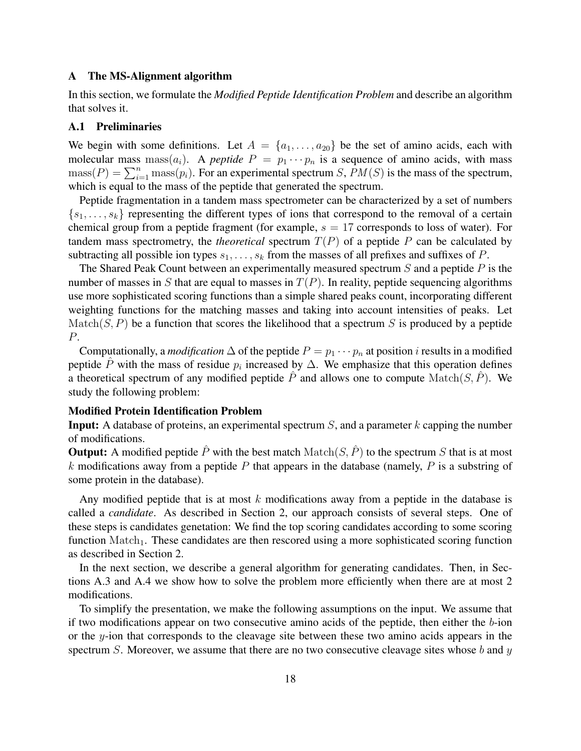#### A The MS-Alignment algorithm

In this section, we formulate the *Modified Peptide Identification Problem* and describe an algorithm that solves it.

# A.1 Preliminaries

We begin with some definitions. Let  $A = \{a_1, \ldots, a_{20}\}\$  be the set of amino acids, each with molecular mass mass( $a_i$ ). A *peptide*  $P = p_1 \cdots p_n$  is a sequence of amino acids, with mass  $\text{mass}(P) = \sum_{i=1}^{n} \text{mass}(p_i)$ . For an experimental spectrum S,  $PM(S)$  is the mass of the spectrum, which is equal to the mass of the peptide that generated the spectrum.

Peptide fragmentation in a tandem mass spectrometer can be characterized by a set of numbers  $\{s_1, \ldots, s_k\}$  representing the different types of ions that correspond to the removal of a certain chemical group from a peptide fragment (for example,  $s = 17$  corresponds to loss of water). For tandem mass spectrometry, the *theoretical* spectrum  $T(P)$  of a peptide P can be calculated by subtracting all possible ion types  $s_1, \ldots, s_k$  from the masses of all prefixes and suffixes of P.

The Shared Peak Count between an experimentally measured spectrum  $S$  and a peptide  $P$  is the number of masses in S that are equal to masses in  $T(P)$ . In reality, peptide sequencing algorithms use more sophisticated scoring functions than a simple shared peaks count, incorporating different weighting functions for the matching masses and taking into account intensities of peaks. Let  $\text{Match}(S, P)$  be a function that scores the likelihood that a spectrum S is produced by a peptide P.

Computationally, a *modification*  $\Delta$  of the peptide  $P = p_1 \cdots p_n$  at position *i* results in a modified peptide  $\hat{P}$  with the mass of residue  $p_i$  increased by  $\Delta$ . We emphasize that this operation defines a theoretical spectrum of any modified peptide  $\hat{P}$  and allows one to compute Match(S,  $\hat{P}$ ). We study the following problem:

# Modified Protein Identification Problem

**Input:** A database of proteins, an experimental spectrum  $S$ , and a parameter k capping the number of modifications.

**Output:** A modified peptide  $\hat{P}$  with the best match  $Match(S, \hat{P})$  to the spectrum S that is at most k modifications away from a peptide  $P$  that appears in the database (namely,  $P$  is a substring of some protein in the database).

Any modified peptide that is at most  $k$  modifications away from a peptide in the database is called a *candidate*. As described in Section 2, our approach consists of several steps. One of these steps is candidates genetation: We find the top scoring candidates according to some scoring function  $Match<sub>1</sub>$ . These candidates are then rescored using a more sophisticated scoring function as described in Section 2.

In the next section, we describe a general algorithm for generating candidates. Then, in Sections A.3 and A.4 we show how to solve the problem more efficiently when there are at most 2 modifications.

To simplify the presentation, we make the following assumptions on the input. We assume that if two modifications appear on two consecutive amino acids of the peptide, then either the  $b$ -ion or the y-ion that corresponds to the cleavage site between these two amino acids appears in the spectrum S. Moreover, we assume that there are no two consecutive cleavage sites whose  $b$  and  $y$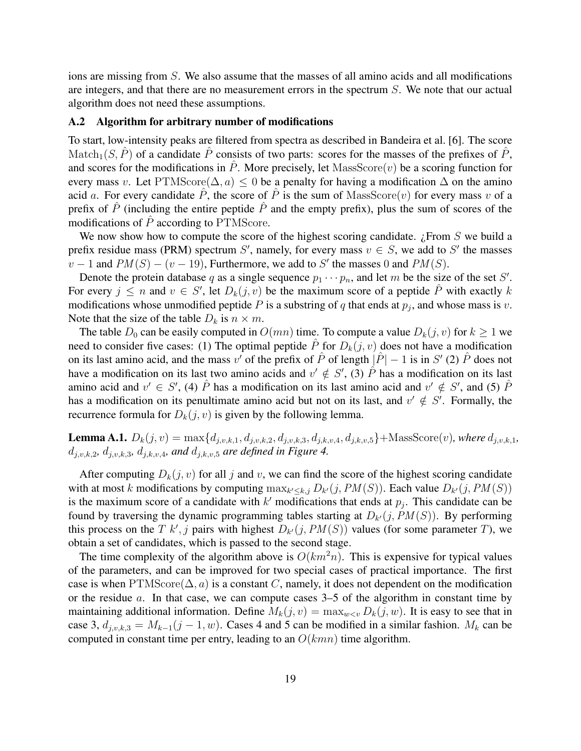ions are missing from  $S$ . We also assume that the masses of all amino acids and all modifications are integers, and that there are no measurement errors in the spectrum S. We note that our actual algorithm does not need these assumptions.

### A.2 Algorithm for arbitrary number of modifications

To start, low-intensity peaks are filtered from spectra as described in Bandeira et al. [6]. The score Match<sub>1</sub>(S,  $\hat{P}$ ) of a candidate  $\hat{P}$  consists of two parts: scores for the masses of the prefixes of  $\hat{P}$ , and scores for the modifications in  $\hat{P}$ . More precisely, let MassScore $(v)$  be a scoring function for every mass v. Let PTMScore( $\Delta$ , a) < 0 be a penalty for having a modification  $\Delta$  on the amino acid a. For every candidate  $\hat{P}$ , the score of  $\hat{P}$  is the sum of MassScore(v) for every mass v of a prefix of  $\hat{P}$  (including the entire peptide  $\hat{P}$  and the empty prefix), plus the sum of scores of the modifications of  $\hat{P}$  according to PTMScore.

We now show how to compute the score of the highest scoring candidate.  $i$  From S we build a prefix residue mass (PRM) spectrum S', namely, for every mass  $v \in S$ , we add to S' the masses  $v-1$  and  $PM(S) - (v-19)$ , Furthermore, we add to S' the masses 0 and  $PM(S)$ .

Denote the protein database q as a single sequence  $p_1 \cdots p_n$ , and let m be the size of the set S'. For every  $j \leq n$  and  $v \in S'$ , let  $D_k(j, v)$  be the maximum score of a peptide  $\hat{P}$  with exactly k modifications whose unmodified peptide P is a substring of q that ends at  $p_j$ , and whose mass is v. Note that the size of the table  $D_k$  is  $n \times m$ .

The table  $D_0$  can be easily computed in  $O(mn)$  time. To compute a value  $D_k(j, v)$  for  $k \geq 1$  we need to consider five cases: (1) The optimal peptide  $\hat{P}$  for  $D_k(j, v)$  does not have a modification on its last amino acid, and the mass v' of the prefix of  $\hat{P}$  of length  $|\hat{P}| - 1$  is in S' (2)  $\hat{P}$  does not have a modification on its last two amino acids and  $v' \notin S'$ , (3)  $\hat{P}$  has a modification on its last amino acid and  $v' \in S'$ , (4)  $\hat{P}$  has a modification on its last amino acid and  $v' \notin S'$ , and (5)  $\hat{P}$ has a modification on its penultimate amino acid but not on its last, and  $v' \notin S'$ . Formally, the recurrence formula for  $D_k(j, v)$  is given by the following lemma.

**Lemma A.1.**  $D_k(j, v) = \max\{d_{j, v, k, 1}, d_{j, v, k, 2}, d_{j, v, k, 3}, d_{j, k, v, 4}, d_{j, k, v, 5}\}$ +MassScore $(v)$ *, where*  $d_{j, v, k, 1}$ *,*  $d_{j,v,k,2}, d_{j,v,k,3}, d_{j,k,v,4},$  and  $d_{j,k,v,5}$  are defined in Figure 4.

After computing  $D_k(j, v)$  for all j and v, we can find the score of the highest scoring candidate with at most k modifications by computing  $\max_{k' \leq k,j} D_{k'}(j, PM(S))$ . Each value  $D_{k'}(j, PM(S))$ is the maximum score of a candidate with  $k'$  modifications that ends at  $p_j$ . This candidate can be found by traversing the dynamic programming tables starting at  $D_{k'}(j, PM(S))$ . By performing this process on the T  $k'$ , j pairs with highest  $D_{k'}(j, PM(S))$  values (for some parameter T), we obtain a set of candidates, which is passed to the second stage.

The time complexity of the algorithm above is  $O(km^2n)$ . This is expensive for typical values of the parameters, and can be improved for two special cases of practical importance. The first case is when PTMScore( $\Delta$ , a) is a constant C, namely, it does not dependent on the modification or the residue  $a$ . In that case, we can compute cases  $3-5$  of the algorithm in constant time by maintaining additional information. Define  $M_k(j, v) = \max_{w \leq v} D_k(j, w)$ . It is easy to see that in case 3,  $d_{i,v,k,3} = M_{k-1}(j-1,w)$ . Cases 4 and 5 can be modified in a similar fashion.  $M_k$  can be computed in constant time per entry, leading to an  $O(kmn)$  time algorithm.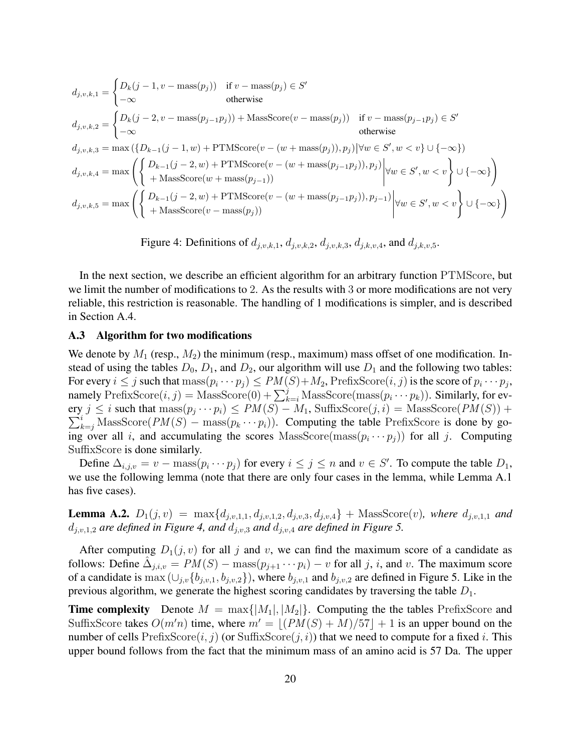$$
d_{j,v,k,1} = \begin{cases} D_k(j-1, v-\text{mass}(p_j)) & \text{if } v-\text{mass}(p_j) \in S' \\ -\infty & \text{otherwise} \end{cases}
$$
\n
$$
d_{j,v,k,2} = \begin{cases} D_k(j-2, v-\text{mass}(p_{j-1}p_j)) + \text{MassScore}(v-\text{mass}(p_j)) & \text{if } v-\text{mass}(p_{j-1}p_j) \in S' \\ -\infty & \text{otherwise} \end{cases}
$$
\n
$$
d_{j,v,k,3} = \max\left(\{D_{k-1}(j-1,w) + \text{PTMScore}(v-(w+\text{mass}(p_j)), p_j) | \forall w \in S', w < v\} \cup \{-\infty\}\right)
$$
\n
$$
d_{j,v,k,4} = \max\left(\begin{cases} D_{k-1}(j-2,w) + \text{PTMScore}(v-(w+\text{mass}(p_{j-1}p_j)), p_j) \\ + \text{MassScore}(w+\text{mass}(p_{j-1})) \end{cases} \middle| \forall w \in S', w < v \end{cases} \cup \{-\infty\}\right)
$$
\n
$$
d_{j,v,k,5} = \max\left(\begin{cases} D_{k-1}(j-2,w) + \text{PTMScore}(v-(w+\text{mass}(p_{j-1}p_j)), p_{j-1}) \\ + \text{MassScore}(v-\text{mass}(p_j)) \end{cases} \middle| \forall w \in S', w < v \end{cases} \cup \{-\infty\}\right)
$$

Figure 4: Definitions of 
$$
d_{j,v,k,1}
$$
,  $d_{j,v,k,2}$ ,  $d_{j,v,k,3}$ ,  $d_{j,k,v,4}$ , and  $d_{j,k,v,5}$ .

In the next section, we describe an efficient algorithm for an arbitrary function PTMScore, but we limit the number of modifications to 2. As the results with 3 or more modifications are not very reliable, this restriction is reasonable. The handling of 1 modifications is simpler, and is described in Section A.4.

#### A.3 Algorithm for two modifications

We denote by  $M_1$  (resp.,  $M_2$ ) the minimum (resp., maximum) mass offset of one modification. Instead of using the tables  $D_0$ ,  $D_1$ , and  $D_2$ , our algorithm will use  $D_1$  and the following two tables: For every  $i \leq j$  such that  $\text{mass}(p_i \cdots p_j) \leq PM(S) + M_2$ ,  $\text{PrefixScore}(i, j)$  is the score of  $p_i \cdots p_j$ , namely PrefixScore $(i, j) =$ MassScore $(0) + \sum_{k=i}^{j}$ MassScore(mass $(p_i \cdots p_k)$ ). Similarly, for every  $j \le i$  such that  $\text{mass}(p_j \cdots p_i) \le PM(S) - M_1$ , SuffixScore $(j, i) = \text{MassScore}(PM(S)) + \sum_{k=i}^{i} \text{MassScore}(PM(S) - \text{mass}(p_k \cdots p_i))$ . Computing the table PrefixScore is done by go- $\sum_{k=j}^{i}$  MassScore $(PM(S) - \text{mass}(p_k \cdots p_i))$ . Computing the table PrefixScore is done by going over all i, and accumulating the scores MassScore( $\text{mass}(p_i \cdots p_j)$ ) for all j. Computing SuffixScore is done similarly.

Define  $\Delta_{i,j,v} = v - \text{mass}(p_i \cdots p_j)$  for every  $i \le j \le n$  and  $v \in S'$ . To compute the table  $D_1$ , we use the following lemma (note that there are only four cases in the lemma, while Lemma A.1 has five cases).

**Lemma A.2.**  $D_1(j, v) = \max\{d_{j, v, 1, 1}, d_{j, v, 1, 2}, d_{j, v, 3}, d_{j, v, 4}\}$  + MassScore(v), where  $d_{j, v, 1, 1}$  and  $d_{j,v,1,2}$  *are defined in Figure 4, and*  $d_{j,v,3}$  *and*  $d_{j,v,4}$  *are defined in Figure 5.* 

After computing  $D_1(j, v)$  for all j and v, we can find the maximum score of a candidate as follows: Define  $\hat{\Delta}_{j,i,v} = PM(S) - \text{mass}(p_{j+1} \cdots p_i) - v$  for all j, i, and v. The maximum score of a candidate is max  $(\cup_{j,v} \{b_{j,v,1}, b_{j,v,2}\})$ , where  $b_{j,v,1}$  and  $b_{j,v,2}$  are defined in Figure 5. Like in the previous algorithm, we generate the highest scoring candidates by traversing the table  $D_1$ .

**Time complexity** Denote  $M = \max\{|M_1|, |M_2|\}$ . Computing the the tables PrefixScore and SuffixScore takes  $O(m'n)$  time, where  $m' = |(PM(S) + M)/57| + 1$  is an upper bound on the number of cells  $PrefixScore(i, j)$  (or  $SuffixScore(j, i)$ ) that we need to compute for a fixed i. This upper bound follows from the fact that the minimum mass of an amino acid is 57 Da. The upper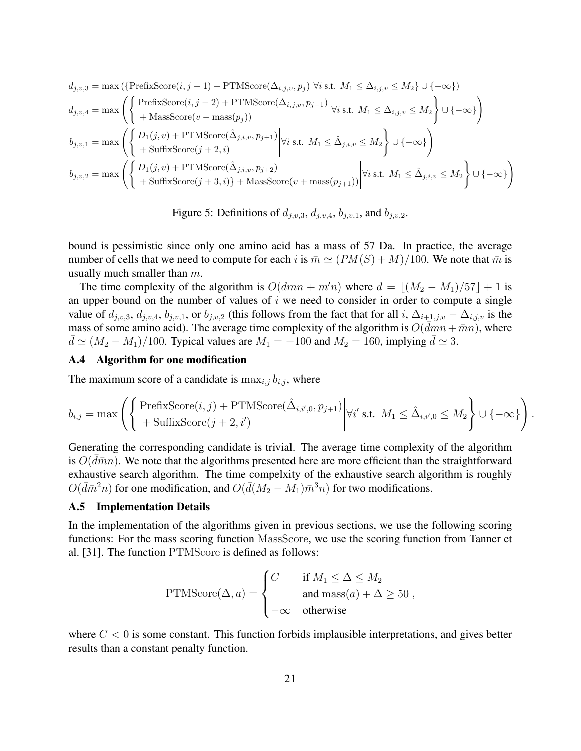$$
\begin{aligned} d_{j,v,3} &= \max\left(\left\{\text{PrefixScore}(i,j-1)+\text{PTMScore}(\Delta_{i,j,v},p_j)\middle|\forall i \text{ s.t. } M_1 \leq \Delta_{i,j,v} \leq M_2\right\} \cup \{-\infty\}\right) \\ d_{j,v,4} &= \max\left(\left\{\begin{aligned} \text{PrefixScore}(i,j-2)+\text{PTMScore}(\Delta_{i,j,v},p_{j-1})&\middle|\forall i \text{ s.t. } M_1 \leq \Delta_{i,j,v} \leq M_2\right\} \cup \{-\infty\}\right) \\ b_{j,v,1} &= \max\left(\left\{\begin{aligned} D_1(j,v)+\text{PTMScore}(\hat{\Delta}_{j,i,v},p_{j+1})&\middle|\forall i \text{ s.t. } M_1 \leq \hat{\Delta}_{j,i,v} \leq M_2\right\} \cup \{-\infty\}\right) \\ +\text{SuffixScore}(j+2,i) \\ b_{j,v,2} &= \max\left(\left\{\begin{aligned} D_1(j,v)+\text{PTMScore}(\hat{\Delta}_{j,i,v},p_{j+2})&\middle|\forall i \text{ s.t. } M_1 \leq \hat{\Delta}_{j,i,v} \leq M_2\right\} \cup \{-\infty\}\right) \\ +\text{SuffixScore}(j+3,i)\}+\text{MassScore}(v+\text{mass}(p_{j+1})) \end{aligned}\end{aligned}\right.
$$

Figure 5: Definitions of  $d_{j,v,3}$ ,  $d_{j,v,4}$ ,  $b_{j,v,1}$ , and  $b_{j,v,2}$ .

bound is pessimistic since only one amino acid has a mass of 57 Da. In practice, the average number of cells that we need to compute for each i is  $\bar{m} \simeq (PM(S) + M)/100$ . We note that  $\bar{m}$  is usually much smaller than m.

The time complexity of the algorithm is  $O(dmn + m'n)$  where  $d = |(M_2 - M_1)/57| + 1$  is an upper bound on the number of values of  $i$  we need to consider in order to compute a single value of  $d_{j,v,3}$ ,  $d_{j,v,4}$ ,  $b_{j,v,1}$ , or  $b_{j,v,2}$  (this follows from the fact that for all i,  $\Delta_{i+1,j,v} - \Delta_{i,j,v}$  is the mass of some amino acid). The average time complexity of the algorithm is  $O(\overline{dmn} + \overline{m}n)$ , where  $d \simeq (M_2 - M_1)/100$ . Typical values are  $M_1 = -100$  and  $M_2 = 160$ , implying  $d \simeq 3$ .

## A.4 Algorithm for one modification

The maximum score of a candidate is  $\max_{i,j} b_{i,j}$ , where

$$
b_{i,j} = \max \left( \left\{ \text{PrefixScore}(i,j) + \text{PTMScore}(\hat{\Delta}_{i,i',0}, p_{j+1}) \middle| \forall i' \text{ s.t. } M_1 \leq \hat{\Delta}_{i,i',0} \leq M_2 \right\} \cup \{-\infty\} \right)
$$

.

Generating the corresponding candidate is trivial. The average time complexity of the algorithm is  $O(\bar{d} \bar{m} n)$ . We note that the algorithms presented here are more efficient than the straightforward exhaustive search algorithm. The time compelxity of the exhaustive search algorithm is roughly  $O(\bar{d}\bar{m}^2n)$  for one modification, and  $O(\bar{d}(M_2 - M_1)\bar{m}^3n)$  for two modifications.

## A.5 Implementation Details

In the implementation of the algorithms given in previous sections, we use the following scoring functions: For the mass scoring function MassScore, we use the scoring function from Tanner et al. [31]. The function PTMScore is defined as follows:

PTMScore(
$$
\Delta
$$
, a) = 
$$
\begin{cases} C & \text{if } M_1 \leq \Delta \leq M_2 \\ & \text{and } \text{mass}(a) + \Delta \geq 50 \\ -\infty & \text{otherwise} \end{cases}
$$

where  $C < 0$  is some constant. This function forbids implausible interpretations, and gives better results than a constant penalty function.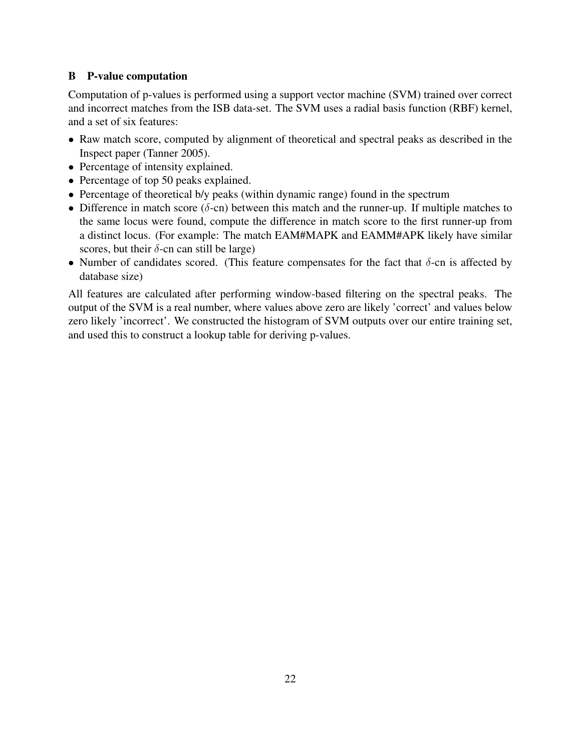# B P-value computation

Computation of p-values is performed using a support vector machine (SVM) trained over correct and incorrect matches from the ISB data-set. The SVM uses a radial basis function (RBF) kernel, and a set of six features:

- Raw match score, computed by alignment of theoretical and spectral peaks as described in the Inspect paper (Tanner 2005).
- Percentage of intensity explained.
- Percentage of top 50 peaks explained.
- Percentage of theoretical b/y peaks (within dynamic range) found in the spectrum
- Difference in match score ( $\delta$ -cn) between this match and the runner-up. If multiple matches to the same locus were found, compute the difference in match score to the first runner-up from a distinct locus. (For example: The match EAM#MAPK and EAMM#APK likely have similar scores, but their  $\delta$ -cn can still be large)
- Number of candidates scored. (This feature compensates for the fact that  $\delta$ -cn is affected by database size)

All features are calculated after performing window-based filtering on the spectral peaks. The output of the SVM is a real number, where values above zero are likely 'correct' and values below zero likely 'incorrect'. We constructed the histogram of SVM outputs over our entire training set, and used this to construct a lookup table for deriving p-values.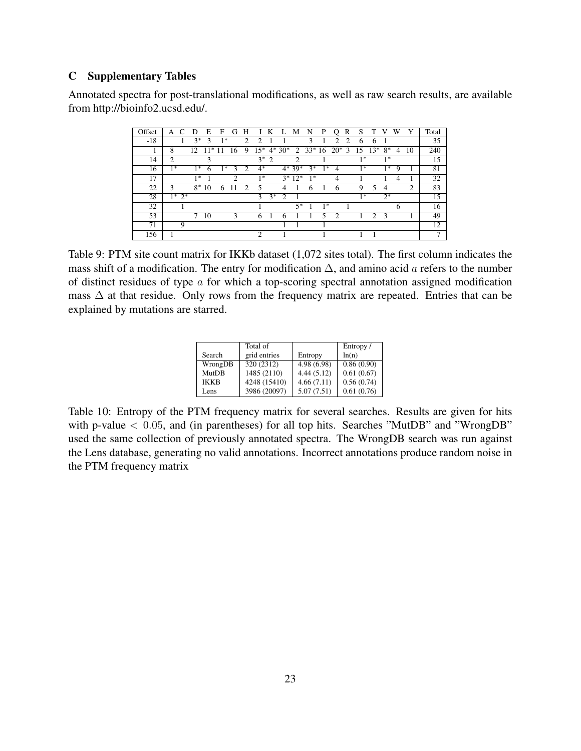# C Supplementary Tables

Annotated spectra for post-translational modifications, as well as raw search results, are available from http://bioinfo2.ucsd.edu/.

| Offset | А              |           | Ð      | E     | F    | G              | Н              |       | Κ      | L             | M              | N                  | P    | $\lambda$      | R | S    |            |                |   |    | Total |
|--------|----------------|-----------|--------|-------|------|----------------|----------------|-------|--------|---------------|----------------|--------------------|------|----------------|---|------|------------|----------------|---|----|-------|
| $-18$  |                |           | $3^*$  | 3     | $1*$ |                | $\mathcal{D}$  | ∍     |        |               |                | 3                  |      | C              | っ | 6    | 6          |                |   |    | 35    |
|        | 8              |           | 12.    | $11*$ |      | 16             | 9              | $15*$ |        | $4*30*$       |                | $2 \t33*16 \t20*3$ |      |                |   |      | $15 \t13*$ | $8*$           | 4 | 10 | 240   |
| 14     | $\mathfrak{D}$ |           |        | 3     |      |                |                |       | $3^*2$ |               | $\mathfrak{D}$ |                    |      |                |   | $1*$ |            | $1*$           |   |    | 15    |
| 16     | $1*$           |           | $1*$   | 6     | *    | $\mathcal{F}$  | っ              | $4^*$ |        |               | $4*39*$        | $3*$               | $1*$ | $\overline{4}$ |   | $1*$ |            | $1*$           | 9 |    | 81    |
| 17     |                |           | $1*$   |       |      | $\overline{2}$ |                | $1*$  |        |               | $3*12*$        | $1^*$              |      | 4              |   |      |            |                | 4 |    | 32    |
| 22     | 3              |           | $8*$   | 10    | 6    |                | $\mathfrak{D}$ | 5     |        | 4             |                | 6                  |      | 6              |   | 9    | 5          | $\overline{4}$ |   | 2  | 83    |
| 28     |                | $1^* 2^*$ |        |       |      |                |                | 3     | $3^*$  | $\mathcal{D}$ |                |                    |      |                |   | $1*$ |            | $2^*$          |   |    | 15    |
| 32     |                |           |        |       |      |                |                |       |        |               | $5*$           |                    | $1*$ |                |   |      |            |                | 6 |    | 16    |
| 53     |                |           | $\tau$ | 10    |      | 3              |                | 6     |        | h             |                |                    | 5    | $\mathcal{D}$  |   |      | 2          | -3             |   |    | 49    |
| 71     |                | 9         |        |       |      |                |                |       |        |               |                |                    |      |                |   |      |            |                |   |    | 12    |
| 156    |                |           |        |       |      |                |                | 2     |        |               |                |                    |      |                |   |      |            |                |   |    | 7     |

Table 9: PTM site count matrix for IKKb dataset (1,072 sites total). The first column indicates the mass shift of a modification. The entry for modification  $\Delta$ , and amino acid a refers to the number of distinct residues of type  $\alpha$  for which a top-scoring spectral annotation assigned modification mass  $\Delta$  at that residue. Only rows from the frequency matrix are repeated. Entries that can be explained by mutations are starred.

|             | Total of     |             | Entropy /  |
|-------------|--------------|-------------|------------|
| Search      | grid entries | Entropy     | ln(n)      |
| WrongDB     | 320 (2312)   | 4.98 (6.98) | 0.86(0.90) |
| MutDB       | 1485 (2110)  | 4.44(5.12)  | 0.61(0.67) |
| <b>IKKB</b> | 4248 (15410) | 4.66(7.11)  | 0.56(0.74) |
| Lens        | 3986 (20097) | 5.07(7.51)  | 0.61(0.76) |

Table 10: Entropy of the PTM frequency matrix for several searches. Results are given for hits with p-value  $< 0.05$ , and (in parentheses) for all top hits. Searches "MutDB" and "WrongDB" used the same collection of previously annotated spectra. The WrongDB search was run against the Lens database, generating no valid annotations. Incorrect annotations produce random noise in the PTM frequency matrix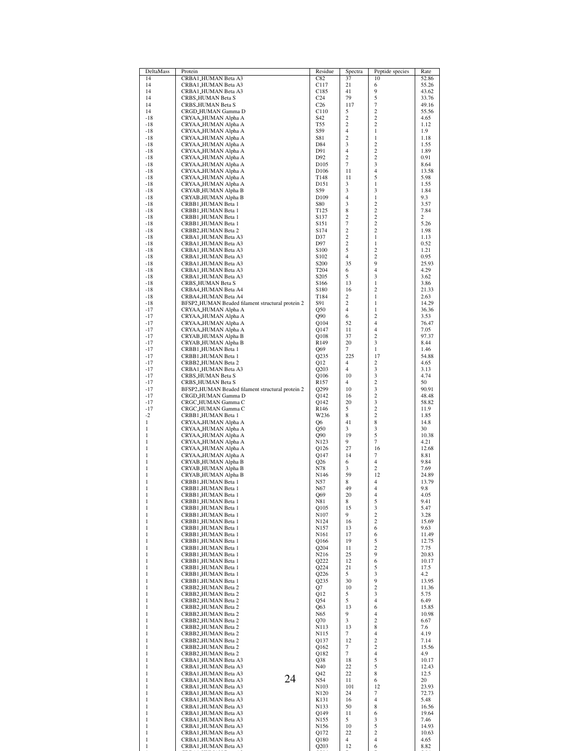| 14<br>CRBA1_HUMAN Beta A3<br>37<br>52.86<br>C82<br>10<br>14<br>CRBA1_HUMAN Beta A3<br>C117<br>21<br>6<br>55.26<br>9<br>14<br>CRBA1_HUMAN Beta A3<br>C185<br>41<br>43.62<br>5<br>79<br>14<br>CRBS_HUMAN Beta S<br>C <sub>24</sub><br>33.76<br>117<br>7<br>14<br>C <sub>26</sub><br>CRBS_HUMAN Beta S<br>49.16<br>$\overline{c}$<br>14<br>CRGD_HUMAN Gamma D<br>C110<br>5<br>55.56<br>$\overline{c}$<br>$\overline{c}$<br>$-18$<br>CRYAA_HUMAN Alpha A<br>S42<br>4.65<br>$\mathfrak{2}$<br>$\overline{c}$<br>$-18$<br><b>T55</b><br>CRYAA_HUMAN Alpha A<br>1.12<br>$\overline{4}$<br>$\mathbf{1}$<br>$-18$<br>CRYAA_HUMAN Alpha A<br>S59<br>1.9<br>$\overline{c}$<br>$\,1$<br>$-18$<br>CRYAA_HUMAN Alpha A<br>S81<br>1.18<br>3<br>$\overline{\mathbf{c}}$<br>$-18$<br>CRYAA_HUMAN Alpha A<br>D84<br>1.55<br>$\overline{c}$<br>D91<br>4<br>$-18$<br>CRYAA_HUMAN Alpha A<br>1.89<br>$\overline{c}$<br>$\overline{c}$<br>$-18$<br>CRYAA_HUMAN Alpha A<br>D92<br>0.91<br>$\overline{7}$<br>3<br>$-18$<br>CRYAA_HUMAN Alpha A<br>D <sub>105</sub><br>8.64<br>11<br>4<br>$-18$<br>CRYAA_HUMAN Alpha A<br>D <sub>106</sub><br>13.58<br>5<br>11<br>5.98<br>$-18$<br>CRYAA_HUMAN Alpha A<br>T148<br>D151<br>3<br>$\mathbf{1}$<br>$-18$<br>CRYAA_HUMAN Alpha A<br>1.55<br>3<br>CRYAB_HUMAN Alpha B<br>S59<br>3<br>$-18$<br>1.84<br>$\overline{4}$<br>$\,1$<br>$-18$<br>CRYAB_HUMAN Alpha B<br>D <sub>109</sub><br>9.3<br>3<br>$\overline{c}$<br>$-18$<br>CRBB1_HUMAN Beta 1<br><b>S80</b><br>3.57<br>8<br>$\overline{c}$<br>CRBB1_HUMAN Beta 1<br>T <sub>125</sub><br>7.84<br>$-18$<br>$\mathfrak{2}$<br>$\overline{c}$<br>2<br>$-18$<br>CRBB1_HUMAN Beta 1<br>S <sub>137</sub><br>$\tau$<br>$\overline{c}$<br>$-18$<br>CRBB1_HUMAN Beta 1<br>S151<br>5.26<br>$\mathfrak{2}$<br>$\overline{c}$<br>$-18$<br>CRBB2_HUMAN Beta 2<br>S174<br>1.98<br>$\mathfrak{2}$<br>$\,1$<br>$-18$<br>CRBA1_HUMAN Beta A3<br>D37<br>1.13<br>$\overline{c}$<br>$-18$<br>CRBA1_HUMAN Beta A3<br>D97<br>$\mathbf{1}$<br>0.52<br>5<br>$\overline{c}$<br>$-18$<br>CRBA1_HUMAN Beta A3<br>S <sub>100</sub><br>1.21<br>$\overline{4}$<br>$\overline{c}$<br>CRBA1_HUMAN Beta A3<br>$-18$<br>S <sub>102</sub><br>0.95<br>35<br>9<br>$-18$<br>CRBA1_HUMAN Beta A3<br>S <sub>200</sub><br>25.93<br>4<br>6<br>$-18$<br>CRBA1_HUMAN Beta A3<br>T <sub>204</sub><br>4.29<br>5<br>3<br>CRBA1_HUMAN Beta A3<br>S <sub>205</sub><br>$-18$<br>3.62<br>13<br>$\mathbf{1}$<br>$-18$<br>CRBS_HUMAN Beta S<br>S <sub>166</sub><br>3.86<br>$\overline{c}$<br>S180<br>16<br>$-18$<br>CRBA4_HUMAN Beta A4<br>21.33<br>$-18$<br>CRBA4_HUMAN Beta A4<br>T184<br>2<br>$\mathbf{1}$<br>2.63<br>$\overline{c}$<br>BFSP2_HUMAN Beaded filament structural protein 2<br>S91<br>$\mathbf{1}$<br>$-18$<br>14.29<br>$\overline{4}$<br>CRYAA_HUMAN Alpha A<br><b>Q50</b><br>$\mathbf{1}$<br>$-17$<br>36.36<br>$-17$<br>CRYAA_HUMAN Alpha A<br>6<br>$\overline{c}$<br>Q90<br>3.53<br>$-17$<br>CRYAA_HUMAN Alpha A<br>Q104<br>52<br>4<br>76.47<br>$\overline{4}$<br>11<br>$-17$<br>CRYAA_HUMAN Alpha A<br>Q147<br>7.05<br>37<br>$\overline{c}$<br>$-17$<br>CRYAB_HUMAN Alpha B<br>Q108<br>97.37<br>3<br>CRYAB_HUMAN Alpha B<br>R149<br>20<br>$-17$<br>8.44<br>$\tau$<br>$\mathbf{1}$<br>$-17$<br>CRBB1_HUMAN Beta 1<br>Q69<br>1.46<br>$-17$<br>Q235<br>225<br>17<br>54.88<br>CRBB1_HUMAN Beta 1<br>$\overline{c}$<br>$\overline{4}$<br>$-17$<br>CRBB2_HUMAN Beta 2<br>Q12<br>4.65<br>3<br>$-17$<br>4<br>3.13<br>CRBA1_HUMAN Beta A3<br>Q203<br>3<br>$-17$<br>CRBS_HUMAN Beta S<br>Q106<br>10<br>4.74<br>$\overline{c}$<br>$\overline{4}$<br>$-17$<br>CRBS_HUMAN Beta S<br>R157<br>50<br>3<br>$-17$<br>Q299<br>10<br>90.91<br>BFSP2_HUMAN Beaded filament structural protein 2<br>$\overline{c}$<br>$-17$<br>CRGD_HUMAN Gamma D<br>Q142<br>16<br>48.48<br>3<br>20<br>$-17$<br>CRGC_HUMAN Gamma C<br>Q142<br>58.82<br>$-17$<br>5<br>$\overline{c}$<br>CRGC_HUMAN Gamma C<br>R <sub>146</sub><br>11.9<br>$\overline{c}$<br>$-2$<br>W236<br>8<br>CRBB1_HUMAN Beta 1<br>1.85<br>8<br>$\mathbf{1}$<br>41<br>CRYAA_HUMAN Alpha A<br>Q6<br>14.8<br>3<br>$\mathbf{1}$<br>3<br>30<br>CRYAA_HUMAN Alpha A<br>Q50<br>5<br>$\mathbf{1}$<br>CRYAA_HUMAN Alpha A<br>Q90<br>19<br>10.38<br>$\overline{7}$<br>$\,1$<br>9<br>CRYAA_HUMAN Alpha A<br>N <sub>123</sub><br>4.21<br>$\mathbf{1}$<br>CRYAA_HUMAN Alpha A<br>27<br>16<br>Q126<br>12.68<br>$\mathbf{1}$<br>CRYAA_HUMAN Alpha A<br>14<br>7<br>O147<br>8.81<br>$\,1$<br>$\overline{4}$<br>CRYAB_HUMAN Alpha B<br>Q26<br>6<br>9.84<br>$\mathbf{1}$<br>N78<br>3<br>2<br>7.69<br>CRYAB_HUMAN Alpha B<br>$\mathbf{1}$<br>CRYAB_HUMAN Alpha B<br>59<br>12<br>N <sub>146</sub><br>24.89<br>$\mathbf{1}$<br>4<br>CRBB1_HUMAN Beta 1<br>N57<br>8<br>13.79<br>$\mathbf{1}$<br>N67<br>49<br>4<br>9.8<br>CRBB1_HUMAN Beta 1<br>1<br>CRBB1_HUMAN Beta 1<br>20<br>4<br>4.05<br>Q69<br>5<br>$\mathbf{1}$<br>8<br>CRBB1_HUMAN Beta 1<br>N81<br>9.41<br>3<br>$\mathbf{1}$<br>CRBB1_HUMAN Beta 1<br>Q105<br>15<br>5.47<br>$\overline{c}$<br>$\mathbf{1}$<br>9<br>CRBB1_HUMAN Beta 1<br>N107<br>3.28<br>16<br>$\overline{c}$<br>$\mathbf{1}$<br>CRBB1_HUMAN Beta 1<br>N <sub>124</sub><br>15.69<br>$\mathbf{1}$<br>CRBB1_HUMAN Beta 1<br>13<br>6<br>N157<br>9.63<br>17<br>$\mathbf{1}$<br>CRBB1_HUMAN Beta 1<br>6<br>N <sub>161</sub><br>11.49<br>19<br>5<br>$\mathbf{1}$<br>CRBB1_HUMAN Beta 1<br>Q166<br>12.75<br>$\overline{c}$<br>$\mathbf{1}$<br>CRBB1_HUMAN Beta 1<br>Q204<br>11<br>7.75<br>9<br>25<br>$\mathbf{1}$<br>CRBB1_HUMAN Beta 1<br>N216<br>20.83<br>6<br>$\mathbf{1}$<br>CRBB1_HUMAN Beta 1<br>Q222<br>12<br>10.17<br>21<br>5<br>$\mathbf{1}$<br>CRBB1_HUMAN Beta 1<br>Q224<br>17.5<br>3<br>5<br>$\mathbf{1}$<br>CRBB1_HUMAN Beta 1<br>Q226<br>4.2<br>30<br>9<br>$\mathbf{1}$<br>CRBB1_HUMAN Beta 1<br>Q235<br>13.95<br>$\overline{c}$<br>10<br>$\mathbf{1}$<br>CRBB2_HUMAN Beta 2<br>Q7<br>11.36<br>5<br>3<br>$\mathbf{1}$<br>CRBB2_HUMAN Beta 2<br>Q12<br>5.75<br>$\mathbf{1}$<br>5<br>$\overline{4}$<br>CRBB2_HUMAN Beta 2<br>Q54<br>6.49<br>$\mathbf{1}$<br>13<br>6<br>CRBB2_HUMAN Beta 2<br>Q63<br>15.85<br>9<br>$\overline{4}$<br>$\mathbf{1}$<br>CRBB2_HUMAN Beta 2<br>N65<br>10.98<br>3<br>$\overline{c}$<br>$\mathbf{1}$<br>CRBB2_HUMAN Beta 2<br>Q70<br>6.67<br>8<br>$\mathbf{1}$<br>13<br>CRBB2_HUMAN Beta 2<br>N113<br>7.6<br>$\tau$<br>$\overline{4}$<br>$\mathbf{1}$<br>CRBB2_HUMAN Beta 2<br>N115<br>4.19<br>$\overline{c}$<br>$\mathbf{1}$<br>CRBB2_HUMAN Beta 2<br>12<br>Q137<br>7.14<br>$\overline{c}$<br>$\mathbf{1}$<br>$\overline{7}$<br>CRBB2_HUMAN Beta 2<br>Q162<br>15.56<br>$\tau$<br>$\overline{4}$<br>$\mathbf{1}$<br>CRBB2_HUMAN Beta 2<br>Q182<br>4.9<br>$\mathbf{1}$<br>CRBA1_HUMAN Beta A3<br>18<br>5<br>Q38<br>10.17<br>5<br>$\mathbf{1}$<br>22<br>CRBA1_HUMAN Beta A3<br>N40<br>12.43<br>8<br>$\mathbf{1}$<br>CRBA1_HUMAN Beta A3<br>Q42<br>22<br>12.5<br>24<br>$\mathbf{1}$<br>CRBA1_HUMAN Beta A3<br>N54<br>11<br>6<br>20<br>$\mathbf{1}$<br>101<br>CRBA1_HUMAN Beta A3<br>12<br>N <sub>103</sub><br>23.93<br>$\mathbf{1}$<br>CRBA1_HUMAN Beta A3<br>N120<br>24<br>7<br>72.73<br>$\mathbf{1}$<br>CRBA1_HUMAN Beta A3<br>K131<br>16<br>4<br>5.48<br>50<br>8<br>$\mathbf{1}$<br>CRBA1_HUMAN Beta A3<br>N133<br>16.56<br>$\mathbf{1}$<br>CRBA1_HUMAN Beta A3<br>Q149<br>11<br>6<br>19.64<br>$\mathbf{1}$<br>CRBA1_HUMAN Beta A3<br>N <sub>155</sub><br>5<br>3<br>7.46<br>$\,1$<br>10<br>5<br>CRBA1_HUMAN Beta A3<br>N <sub>156</sub><br>14.93<br>22<br>$\overline{c}$<br>$\mathbf{1}$<br>CRBA1_HUMAN Beta A3<br>Q172<br>10.63<br>$\mathbf{1}$<br>CRBA1_HUMAN Beta A3<br>4<br>4<br>Q180<br>4.65<br>$\mathbf{1}$<br>CRBA1_HUMAN Beta A3<br>12<br>6<br>Q203<br>8.82 | DeltaMass | Protein | Residue | Spectra | Peptide species | Rate |
|------------------------------------------------------------------------------------------------------------------------------------------------------------------------------------------------------------------------------------------------------------------------------------------------------------------------------------------------------------------------------------------------------------------------------------------------------------------------------------------------------------------------------------------------------------------------------------------------------------------------------------------------------------------------------------------------------------------------------------------------------------------------------------------------------------------------------------------------------------------------------------------------------------------------------------------------------------------------------------------------------------------------------------------------------------------------------------------------------------------------------------------------------------------------------------------------------------------------------------------------------------------------------------------------------------------------------------------------------------------------------------------------------------------------------------------------------------------------------------------------------------------------------------------------------------------------------------------------------------------------------------------------------------------------------------------------------------------------------------------------------------------------------------------------------------------------------------------------------------------------------------------------------------------------------------------------------------------------------------------------------------------------------------------------------------------------------------------------------------------------------------------------------------------------------------------------------------------------------------------------------------------------------------------------------------------------------------------------------------------------------------------------------------------------------------------------------------------------------------------------------------------------------------------------------------------------------------------------------------------------------------------------------------------------------------------------------------------------------------------------------------------------------------------------------------------------------------------------------------------------------------------------------------------------------------------------------------------------------------------------------------------------------------------------------------------------------------------------------------------------------------------------------------------------------------------------------------------------------------------------------------------------------------------------------------------------------------------------------------------------------------------------------------------------------------------------------------------------------------------------------------------------------------------------------------------------------------------------------------------------------------------------------------------------------------------------------------------------------------------------------------------------------------------------------------------------------------------------------------------------------------------------------------------------------------------------------------------------------------------------------------------------------------------------------------------------------------------------------------------------------------------------------------------------------------------------------------------------------------------------------------------------------------------------------------------------------------------------------------------------------------------------------------------------------------------------------------------------------------------------------------------------------------------------------------------------------------------------------------------------------------------------------------------------------------------------------------------------------------------------------------------------------------------------------------------------------------------------------------------------------------------------------------------------------------------------------------------------------------------------------------------------------------------------------------------------------------------------------------------------------------------------------------------------------------------------------------------------------------------------------------------------------------------------------------------------------------------------------------------------------------------------------------------------------------------------------------------------------------------------------------------------------------------------------------------------------------------------------------------------------------------------------------------------------------------------------------------------------------------------------------------------------------------------------------------------------------------------------------------------------------------------------------------------------------------------------------------------------------------------------------------------------------------------------------------------------------------------------------------------------------------------------------------------------------------------------------------------------------------------------------------------------------------------------------------------------------------------------------------------------------------------------------------------------------------------------------------------------------------------------------------------------------------------------------------------------------------------------------------------------------------------------------------------------------------------------------------------------------------------------------------------------------------------------------------------------------------------------------------------------------------------------------------------------------------------------------------------------------------------------------------------------------------------------------------------------------------------------------------------------------------------------------------------------------------------------------------------------------------------------------------------------------------------------------------------------------------------------------------------------------------------------------------------------------------------------------------------------------------------------------------------------------------------------------------------------------------------------------------------------------------------------------------|-----------|---------|---------|---------|-----------------|------|
|                                                                                                                                                                                                                                                                                                                                                                                                                                                                                                                                                                                                                                                                                                                                                                                                                                                                                                                                                                                                                                                                                                                                                                                                                                                                                                                                                                                                                                                                                                                                                                                                                                                                                                                                                                                                                                                                                                                                                                                                                                                                                                                                                                                                                                                                                                                                                                                                                                                                                                                                                                                                                                                                                                                                                                                                                                                                                                                                                                                                                                                                                                                                                                                                                                                                                                                                                                                                                                                                                                                                                                                                                                                                                                                                                                                                                                                                                                                                                                                                                                                                                                                                                                                                                                                                                                                                                                                                                                                                                                                                                                                                                                                                                                                                                                                                                                                                                                                                                                                                                                                                                                                                                                                                                                                                                                                                                                                                                                                                                                                                                                                                                                                                                                                                                                                                                                                                                                                                                                                                                                                                                                                                                                                                                                                                                                                                                                                                                                                                                                                                                                                                                                                                                                                                                                                                                                                                                                                                                                                                                                                                                                                                                                                                                                                                                                                                                                                                                                                                                                                                                                                                                                                                  |           |         |         |         |                 |      |
|                                                                                                                                                                                                                                                                                                                                                                                                                                                                                                                                                                                                                                                                                                                                                                                                                                                                                                                                                                                                                                                                                                                                                                                                                                                                                                                                                                                                                                                                                                                                                                                                                                                                                                                                                                                                                                                                                                                                                                                                                                                                                                                                                                                                                                                                                                                                                                                                                                                                                                                                                                                                                                                                                                                                                                                                                                                                                                                                                                                                                                                                                                                                                                                                                                                                                                                                                                                                                                                                                                                                                                                                                                                                                                                                                                                                                                                                                                                                                                                                                                                                                                                                                                                                                                                                                                                                                                                                                                                                                                                                                                                                                                                                                                                                                                                                                                                                                                                                                                                                                                                                                                                                                                                                                                                                                                                                                                                                                                                                                                                                                                                                                                                                                                                                                                                                                                                                                                                                                                                                                                                                                                                                                                                                                                                                                                                                                                                                                                                                                                                                                                                                                                                                                                                                                                                                                                                                                                                                                                                                                                                                                                                                                                                                                                                                                                                                                                                                                                                                                                                                                                                                                                                                  |           |         |         |         |                 |      |
|                                                                                                                                                                                                                                                                                                                                                                                                                                                                                                                                                                                                                                                                                                                                                                                                                                                                                                                                                                                                                                                                                                                                                                                                                                                                                                                                                                                                                                                                                                                                                                                                                                                                                                                                                                                                                                                                                                                                                                                                                                                                                                                                                                                                                                                                                                                                                                                                                                                                                                                                                                                                                                                                                                                                                                                                                                                                                                                                                                                                                                                                                                                                                                                                                                                                                                                                                                                                                                                                                                                                                                                                                                                                                                                                                                                                                                                                                                                                                                                                                                                                                                                                                                                                                                                                                                                                                                                                                                                                                                                                                                                                                                                                                                                                                                                                                                                                                                                                                                                                                                                                                                                                                                                                                                                                                                                                                                                                                                                                                                                                                                                                                                                                                                                                                                                                                                                                                                                                                                                                                                                                                                                                                                                                                                                                                                                                                                                                                                                                                                                                                                                                                                                                                                                                                                                                                                                                                                                                                                                                                                                                                                                                                                                                                                                                                                                                                                                                                                                                                                                                                                                                                                                                  |           |         |         |         |                 |      |
|                                                                                                                                                                                                                                                                                                                                                                                                                                                                                                                                                                                                                                                                                                                                                                                                                                                                                                                                                                                                                                                                                                                                                                                                                                                                                                                                                                                                                                                                                                                                                                                                                                                                                                                                                                                                                                                                                                                                                                                                                                                                                                                                                                                                                                                                                                                                                                                                                                                                                                                                                                                                                                                                                                                                                                                                                                                                                                                                                                                                                                                                                                                                                                                                                                                                                                                                                                                                                                                                                                                                                                                                                                                                                                                                                                                                                                                                                                                                                                                                                                                                                                                                                                                                                                                                                                                                                                                                                                                                                                                                                                                                                                                                                                                                                                                                                                                                                                                                                                                                                                                                                                                                                                                                                                                                                                                                                                                                                                                                                                                                                                                                                                                                                                                                                                                                                                                                                                                                                                                                                                                                                                                                                                                                                                                                                                                                                                                                                                                                                                                                                                                                                                                                                                                                                                                                                                                                                                                                                                                                                                                                                                                                                                                                                                                                                                                                                                                                                                                                                                                                                                                                                                                                  |           |         |         |         |                 |      |
|                                                                                                                                                                                                                                                                                                                                                                                                                                                                                                                                                                                                                                                                                                                                                                                                                                                                                                                                                                                                                                                                                                                                                                                                                                                                                                                                                                                                                                                                                                                                                                                                                                                                                                                                                                                                                                                                                                                                                                                                                                                                                                                                                                                                                                                                                                                                                                                                                                                                                                                                                                                                                                                                                                                                                                                                                                                                                                                                                                                                                                                                                                                                                                                                                                                                                                                                                                                                                                                                                                                                                                                                                                                                                                                                                                                                                                                                                                                                                                                                                                                                                                                                                                                                                                                                                                                                                                                                                                                                                                                                                                                                                                                                                                                                                                                                                                                                                                                                                                                                                                                                                                                                                                                                                                                                                                                                                                                                                                                                                                                                                                                                                                                                                                                                                                                                                                                                                                                                                                                                                                                                                                                                                                                                                                                                                                                                                                                                                                                                                                                                                                                                                                                                                                                                                                                                                                                                                                                                                                                                                                                                                                                                                                                                                                                                                                                                                                                                                                                                                                                                                                                                                                                                  |           |         |         |         |                 |      |
|                                                                                                                                                                                                                                                                                                                                                                                                                                                                                                                                                                                                                                                                                                                                                                                                                                                                                                                                                                                                                                                                                                                                                                                                                                                                                                                                                                                                                                                                                                                                                                                                                                                                                                                                                                                                                                                                                                                                                                                                                                                                                                                                                                                                                                                                                                                                                                                                                                                                                                                                                                                                                                                                                                                                                                                                                                                                                                                                                                                                                                                                                                                                                                                                                                                                                                                                                                                                                                                                                                                                                                                                                                                                                                                                                                                                                                                                                                                                                                                                                                                                                                                                                                                                                                                                                                                                                                                                                                                                                                                                                                                                                                                                                                                                                                                                                                                                                                                                                                                                                                                                                                                                                                                                                                                                                                                                                                                                                                                                                                                                                                                                                                                                                                                                                                                                                                                                                                                                                                                                                                                                                                                                                                                                                                                                                                                                                                                                                                                                                                                                                                                                                                                                                                                                                                                                                                                                                                                                                                                                                                                                                                                                                                                                                                                                                                                                                                                                                                                                                                                                                                                                                                                                  |           |         |         |         |                 |      |
|                                                                                                                                                                                                                                                                                                                                                                                                                                                                                                                                                                                                                                                                                                                                                                                                                                                                                                                                                                                                                                                                                                                                                                                                                                                                                                                                                                                                                                                                                                                                                                                                                                                                                                                                                                                                                                                                                                                                                                                                                                                                                                                                                                                                                                                                                                                                                                                                                                                                                                                                                                                                                                                                                                                                                                                                                                                                                                                                                                                                                                                                                                                                                                                                                                                                                                                                                                                                                                                                                                                                                                                                                                                                                                                                                                                                                                                                                                                                                                                                                                                                                                                                                                                                                                                                                                                                                                                                                                                                                                                                                                                                                                                                                                                                                                                                                                                                                                                                                                                                                                                                                                                                                                                                                                                                                                                                                                                                                                                                                                                                                                                                                                                                                                                                                                                                                                                                                                                                                                                                                                                                                                                                                                                                                                                                                                                                                                                                                                                                                                                                                                                                                                                                                                                                                                                                                                                                                                                                                                                                                                                                                                                                                                                                                                                                                                                                                                                                                                                                                                                                                                                                                                                                  |           |         |         |         |                 |      |
|                                                                                                                                                                                                                                                                                                                                                                                                                                                                                                                                                                                                                                                                                                                                                                                                                                                                                                                                                                                                                                                                                                                                                                                                                                                                                                                                                                                                                                                                                                                                                                                                                                                                                                                                                                                                                                                                                                                                                                                                                                                                                                                                                                                                                                                                                                                                                                                                                                                                                                                                                                                                                                                                                                                                                                                                                                                                                                                                                                                                                                                                                                                                                                                                                                                                                                                                                                                                                                                                                                                                                                                                                                                                                                                                                                                                                                                                                                                                                                                                                                                                                                                                                                                                                                                                                                                                                                                                                                                                                                                                                                                                                                                                                                                                                                                                                                                                                                                                                                                                                                                                                                                                                                                                                                                                                                                                                                                                                                                                                                                                                                                                                                                                                                                                                                                                                                                                                                                                                                                                                                                                                                                                                                                                                                                                                                                                                                                                                                                                                                                                                                                                                                                                                                                                                                                                                                                                                                                                                                                                                                                                                                                                                                                                                                                                                                                                                                                                                                                                                                                                                                                                                                                                  |           |         |         |         |                 |      |
|                                                                                                                                                                                                                                                                                                                                                                                                                                                                                                                                                                                                                                                                                                                                                                                                                                                                                                                                                                                                                                                                                                                                                                                                                                                                                                                                                                                                                                                                                                                                                                                                                                                                                                                                                                                                                                                                                                                                                                                                                                                                                                                                                                                                                                                                                                                                                                                                                                                                                                                                                                                                                                                                                                                                                                                                                                                                                                                                                                                                                                                                                                                                                                                                                                                                                                                                                                                                                                                                                                                                                                                                                                                                                                                                                                                                                                                                                                                                                                                                                                                                                                                                                                                                                                                                                                                                                                                                                                                                                                                                                                                                                                                                                                                                                                                                                                                                                                                                                                                                                                                                                                                                                                                                                                                                                                                                                                                                                                                                                                                                                                                                                                                                                                                                                                                                                                                                                                                                                                                                                                                                                                                                                                                                                                                                                                                                                                                                                                                                                                                                                                                                                                                                                                                                                                                                                                                                                                                                                                                                                                                                                                                                                                                                                                                                                                                                                                                                                                                                                                                                                                                                                                                                  |           |         |         |         |                 |      |
|                                                                                                                                                                                                                                                                                                                                                                                                                                                                                                                                                                                                                                                                                                                                                                                                                                                                                                                                                                                                                                                                                                                                                                                                                                                                                                                                                                                                                                                                                                                                                                                                                                                                                                                                                                                                                                                                                                                                                                                                                                                                                                                                                                                                                                                                                                                                                                                                                                                                                                                                                                                                                                                                                                                                                                                                                                                                                                                                                                                                                                                                                                                                                                                                                                                                                                                                                                                                                                                                                                                                                                                                                                                                                                                                                                                                                                                                                                                                                                                                                                                                                                                                                                                                                                                                                                                                                                                                                                                                                                                                                                                                                                                                                                                                                                                                                                                                                                                                                                                                                                                                                                                                                                                                                                                                                                                                                                                                                                                                                                                                                                                                                                                                                                                                                                                                                                                                                                                                                                                                                                                                                                                                                                                                                                                                                                                                                                                                                                                                                                                                                                                                                                                                                                                                                                                                                                                                                                                                                                                                                                                                                                                                                                                                                                                                                                                                                                                                                                                                                                                                                                                                                                                                  |           |         |         |         |                 |      |
|                                                                                                                                                                                                                                                                                                                                                                                                                                                                                                                                                                                                                                                                                                                                                                                                                                                                                                                                                                                                                                                                                                                                                                                                                                                                                                                                                                                                                                                                                                                                                                                                                                                                                                                                                                                                                                                                                                                                                                                                                                                                                                                                                                                                                                                                                                                                                                                                                                                                                                                                                                                                                                                                                                                                                                                                                                                                                                                                                                                                                                                                                                                                                                                                                                                                                                                                                                                                                                                                                                                                                                                                                                                                                                                                                                                                                                                                                                                                                                                                                                                                                                                                                                                                                                                                                                                                                                                                                                                                                                                                                                                                                                                                                                                                                                                                                                                                                                                                                                                                                                                                                                                                                                                                                                                                                                                                                                                                                                                                                                                                                                                                                                                                                                                                                                                                                                                                                                                                                                                                                                                                                                                                                                                                                                                                                                                                                                                                                                                                                                                                                                                                                                                                                                                                                                                                                                                                                                                                                                                                                                                                                                                                                                                                                                                                                                                                                                                                                                                                                                                                                                                                                                                                  |           |         |         |         |                 |      |
|                                                                                                                                                                                                                                                                                                                                                                                                                                                                                                                                                                                                                                                                                                                                                                                                                                                                                                                                                                                                                                                                                                                                                                                                                                                                                                                                                                                                                                                                                                                                                                                                                                                                                                                                                                                                                                                                                                                                                                                                                                                                                                                                                                                                                                                                                                                                                                                                                                                                                                                                                                                                                                                                                                                                                                                                                                                                                                                                                                                                                                                                                                                                                                                                                                                                                                                                                                                                                                                                                                                                                                                                                                                                                                                                                                                                                                                                                                                                                                                                                                                                                                                                                                                                                                                                                                                                                                                                                                                                                                                                                                                                                                                                                                                                                                                                                                                                                                                                                                                                                                                                                                                                                                                                                                                                                                                                                                                                                                                                                                                                                                                                                                                                                                                                                                                                                                                                                                                                                                                                                                                                                                                                                                                                                                                                                                                                                                                                                                                                                                                                                                                                                                                                                                                                                                                                                                                                                                                                                                                                                                                                                                                                                                                                                                                                                                                                                                                                                                                                                                                                                                                                                                                                  |           |         |         |         |                 |      |
|                                                                                                                                                                                                                                                                                                                                                                                                                                                                                                                                                                                                                                                                                                                                                                                                                                                                                                                                                                                                                                                                                                                                                                                                                                                                                                                                                                                                                                                                                                                                                                                                                                                                                                                                                                                                                                                                                                                                                                                                                                                                                                                                                                                                                                                                                                                                                                                                                                                                                                                                                                                                                                                                                                                                                                                                                                                                                                                                                                                                                                                                                                                                                                                                                                                                                                                                                                                                                                                                                                                                                                                                                                                                                                                                                                                                                                                                                                                                                                                                                                                                                                                                                                                                                                                                                                                                                                                                                                                                                                                                                                                                                                                                                                                                                                                                                                                                                                                                                                                                                                                                                                                                                                                                                                                                                                                                                                                                                                                                                                                                                                                                                                                                                                                                                                                                                                                                                                                                                                                                                                                                                                                                                                                                                                                                                                                                                                                                                                                                                                                                                                                                                                                                                                                                                                                                                                                                                                                                                                                                                                                                                                                                                                                                                                                                                                                                                                                                                                                                                                                                                                                                                                                                  |           |         |         |         |                 |      |
|                                                                                                                                                                                                                                                                                                                                                                                                                                                                                                                                                                                                                                                                                                                                                                                                                                                                                                                                                                                                                                                                                                                                                                                                                                                                                                                                                                                                                                                                                                                                                                                                                                                                                                                                                                                                                                                                                                                                                                                                                                                                                                                                                                                                                                                                                                                                                                                                                                                                                                                                                                                                                                                                                                                                                                                                                                                                                                                                                                                                                                                                                                                                                                                                                                                                                                                                                                                                                                                                                                                                                                                                                                                                                                                                                                                                                                                                                                                                                                                                                                                                                                                                                                                                                                                                                                                                                                                                                                                                                                                                                                                                                                                                                                                                                                                                                                                                                                                                                                                                                                                                                                                                                                                                                                                                                                                                                                                                                                                                                                                                                                                                                                                                                                                                                                                                                                                                                                                                                                                                                                                                                                                                                                                                                                                                                                                                                                                                                                                                                                                                                                                                                                                                                                                                                                                                                                                                                                                                                                                                                                                                                                                                                                                                                                                                                                                                                                                                                                                                                                                                                                                                                                                                  |           |         |         |         |                 |      |
|                                                                                                                                                                                                                                                                                                                                                                                                                                                                                                                                                                                                                                                                                                                                                                                                                                                                                                                                                                                                                                                                                                                                                                                                                                                                                                                                                                                                                                                                                                                                                                                                                                                                                                                                                                                                                                                                                                                                                                                                                                                                                                                                                                                                                                                                                                                                                                                                                                                                                                                                                                                                                                                                                                                                                                                                                                                                                                                                                                                                                                                                                                                                                                                                                                                                                                                                                                                                                                                                                                                                                                                                                                                                                                                                                                                                                                                                                                                                                                                                                                                                                                                                                                                                                                                                                                                                                                                                                                                                                                                                                                                                                                                                                                                                                                                                                                                                                                                                                                                                                                                                                                                                                                                                                                                                                                                                                                                                                                                                                                                                                                                                                                                                                                                                                                                                                                                                                                                                                                                                                                                                                                                                                                                                                                                                                                                                                                                                                                                                                                                                                                                                                                                                                                                                                                                                                                                                                                                                                                                                                                                                                                                                                                                                                                                                                                                                                                                                                                                                                                                                                                                                                                                                  |           |         |         |         |                 |      |
|                                                                                                                                                                                                                                                                                                                                                                                                                                                                                                                                                                                                                                                                                                                                                                                                                                                                                                                                                                                                                                                                                                                                                                                                                                                                                                                                                                                                                                                                                                                                                                                                                                                                                                                                                                                                                                                                                                                                                                                                                                                                                                                                                                                                                                                                                                                                                                                                                                                                                                                                                                                                                                                                                                                                                                                                                                                                                                                                                                                                                                                                                                                                                                                                                                                                                                                                                                                                                                                                                                                                                                                                                                                                                                                                                                                                                                                                                                                                                                                                                                                                                                                                                                                                                                                                                                                                                                                                                                                                                                                                                                                                                                                                                                                                                                                                                                                                                                                                                                                                                                                                                                                                                                                                                                                                                                                                                                                                                                                                                                                                                                                                                                                                                                                                                                                                                                                                                                                                                                                                                                                                                                                                                                                                                                                                                                                                                                                                                                                                                                                                                                                                                                                                                                                                                                                                                                                                                                                                                                                                                                                                                                                                                                                                                                                                                                                                                                                                                                                                                                                                                                                                                                                                  |           |         |         |         |                 |      |
|                                                                                                                                                                                                                                                                                                                                                                                                                                                                                                                                                                                                                                                                                                                                                                                                                                                                                                                                                                                                                                                                                                                                                                                                                                                                                                                                                                                                                                                                                                                                                                                                                                                                                                                                                                                                                                                                                                                                                                                                                                                                                                                                                                                                                                                                                                                                                                                                                                                                                                                                                                                                                                                                                                                                                                                                                                                                                                                                                                                                                                                                                                                                                                                                                                                                                                                                                                                                                                                                                                                                                                                                                                                                                                                                                                                                                                                                                                                                                                                                                                                                                                                                                                                                                                                                                                                                                                                                                                                                                                                                                                                                                                                                                                                                                                                                                                                                                                                                                                                                                                                                                                                                                                                                                                                                                                                                                                                                                                                                                                                                                                                                                                                                                                                                                                                                                                                                                                                                                                                                                                                                                                                                                                                                                                                                                                                                                                                                                                                                                                                                                                                                                                                                                                                                                                                                                                                                                                                                                                                                                                                                                                                                                                                                                                                                                                                                                                                                                                                                                                                                                                                                                                                                  |           |         |         |         |                 |      |
|                                                                                                                                                                                                                                                                                                                                                                                                                                                                                                                                                                                                                                                                                                                                                                                                                                                                                                                                                                                                                                                                                                                                                                                                                                                                                                                                                                                                                                                                                                                                                                                                                                                                                                                                                                                                                                                                                                                                                                                                                                                                                                                                                                                                                                                                                                                                                                                                                                                                                                                                                                                                                                                                                                                                                                                                                                                                                                                                                                                                                                                                                                                                                                                                                                                                                                                                                                                                                                                                                                                                                                                                                                                                                                                                                                                                                                                                                                                                                                                                                                                                                                                                                                                                                                                                                                                                                                                                                                                                                                                                                                                                                                                                                                                                                                                                                                                                                                                                                                                                                                                                                                                                                                                                                                                                                                                                                                                                                                                                                                                                                                                                                                                                                                                                                                                                                                                                                                                                                                                                                                                                                                                                                                                                                                                                                                                                                                                                                                                                                                                                                                                                                                                                                                                                                                                                                                                                                                                                                                                                                                                                                                                                                                                                                                                                                                                                                                                                                                                                                                                                                                                                                                                                  |           |         |         |         |                 |      |
|                                                                                                                                                                                                                                                                                                                                                                                                                                                                                                                                                                                                                                                                                                                                                                                                                                                                                                                                                                                                                                                                                                                                                                                                                                                                                                                                                                                                                                                                                                                                                                                                                                                                                                                                                                                                                                                                                                                                                                                                                                                                                                                                                                                                                                                                                                                                                                                                                                                                                                                                                                                                                                                                                                                                                                                                                                                                                                                                                                                                                                                                                                                                                                                                                                                                                                                                                                                                                                                                                                                                                                                                                                                                                                                                                                                                                                                                                                                                                                                                                                                                                                                                                                                                                                                                                                                                                                                                                                                                                                                                                                                                                                                                                                                                                                                                                                                                                                                                                                                                                                                                                                                                                                                                                                                                                                                                                                                                                                                                                                                                                                                                                                                                                                                                                                                                                                                                                                                                                                                                                                                                                                                                                                                                                                                                                                                                                                                                                                                                                                                                                                                                                                                                                                                                                                                                                                                                                                                                                                                                                                                                                                                                                                                                                                                                                                                                                                                                                                                                                                                                                                                                                                                                  |           |         |         |         |                 |      |
|                                                                                                                                                                                                                                                                                                                                                                                                                                                                                                                                                                                                                                                                                                                                                                                                                                                                                                                                                                                                                                                                                                                                                                                                                                                                                                                                                                                                                                                                                                                                                                                                                                                                                                                                                                                                                                                                                                                                                                                                                                                                                                                                                                                                                                                                                                                                                                                                                                                                                                                                                                                                                                                                                                                                                                                                                                                                                                                                                                                                                                                                                                                                                                                                                                                                                                                                                                                                                                                                                                                                                                                                                                                                                                                                                                                                                                                                                                                                                                                                                                                                                                                                                                                                                                                                                                                                                                                                                                                                                                                                                                                                                                                                                                                                                                                                                                                                                                                                                                                                                                                                                                                                                                                                                                                                                                                                                                                                                                                                                                                                                                                                                                                                                                                                                                                                                                                                                                                                                                                                                                                                                                                                                                                                                                                                                                                                                                                                                                                                                                                                                                                                                                                                                                                                                                                                                                                                                                                                                                                                                                                                                                                                                                                                                                                                                                                                                                                                                                                                                                                                                                                                                                                                  |           |         |         |         |                 |      |
|                                                                                                                                                                                                                                                                                                                                                                                                                                                                                                                                                                                                                                                                                                                                                                                                                                                                                                                                                                                                                                                                                                                                                                                                                                                                                                                                                                                                                                                                                                                                                                                                                                                                                                                                                                                                                                                                                                                                                                                                                                                                                                                                                                                                                                                                                                                                                                                                                                                                                                                                                                                                                                                                                                                                                                                                                                                                                                                                                                                                                                                                                                                                                                                                                                                                                                                                                                                                                                                                                                                                                                                                                                                                                                                                                                                                                                                                                                                                                                                                                                                                                                                                                                                                                                                                                                                                                                                                                                                                                                                                                                                                                                                                                                                                                                                                                                                                                                                                                                                                                                                                                                                                                                                                                                                                                                                                                                                                                                                                                                                                                                                                                                                                                                                                                                                                                                                                                                                                                                                                                                                                                                                                                                                                                                                                                                                                                                                                                                                                                                                                                                                                                                                                                                                                                                                                                                                                                                                                                                                                                                                                                                                                                                                                                                                                                                                                                                                                                                                                                                                                                                                                                                                                  |           |         |         |         |                 |      |
|                                                                                                                                                                                                                                                                                                                                                                                                                                                                                                                                                                                                                                                                                                                                                                                                                                                                                                                                                                                                                                                                                                                                                                                                                                                                                                                                                                                                                                                                                                                                                                                                                                                                                                                                                                                                                                                                                                                                                                                                                                                                                                                                                                                                                                                                                                                                                                                                                                                                                                                                                                                                                                                                                                                                                                                                                                                                                                                                                                                                                                                                                                                                                                                                                                                                                                                                                                                                                                                                                                                                                                                                                                                                                                                                                                                                                                                                                                                                                                                                                                                                                                                                                                                                                                                                                                                                                                                                                                                                                                                                                                                                                                                                                                                                                                                                                                                                                                                                                                                                                                                                                                                                                                                                                                                                                                                                                                                                                                                                                                                                                                                                                                                                                                                                                                                                                                                                                                                                                                                                                                                                                                                                                                                                                                                                                                                                                                                                                                                                                                                                                                                                                                                                                                                                                                                                                                                                                                                                                                                                                                                                                                                                                                                                                                                                                                                                                                                                                                                                                                                                                                                                                                                                  |           |         |         |         |                 |      |
|                                                                                                                                                                                                                                                                                                                                                                                                                                                                                                                                                                                                                                                                                                                                                                                                                                                                                                                                                                                                                                                                                                                                                                                                                                                                                                                                                                                                                                                                                                                                                                                                                                                                                                                                                                                                                                                                                                                                                                                                                                                                                                                                                                                                                                                                                                                                                                                                                                                                                                                                                                                                                                                                                                                                                                                                                                                                                                                                                                                                                                                                                                                                                                                                                                                                                                                                                                                                                                                                                                                                                                                                                                                                                                                                                                                                                                                                                                                                                                                                                                                                                                                                                                                                                                                                                                                                                                                                                                                                                                                                                                                                                                                                                                                                                                                                                                                                                                                                                                                                                                                                                                                                                                                                                                                                                                                                                                                                                                                                                                                                                                                                                                                                                                                                                                                                                                                                                                                                                                                                                                                                                                                                                                                                                                                                                                                                                                                                                                                                                                                                                                                                                                                                                                                                                                                                                                                                                                                                                                                                                                                                                                                                                                                                                                                                                                                                                                                                                                                                                                                                                                                                                                                                  |           |         |         |         |                 |      |
|                                                                                                                                                                                                                                                                                                                                                                                                                                                                                                                                                                                                                                                                                                                                                                                                                                                                                                                                                                                                                                                                                                                                                                                                                                                                                                                                                                                                                                                                                                                                                                                                                                                                                                                                                                                                                                                                                                                                                                                                                                                                                                                                                                                                                                                                                                                                                                                                                                                                                                                                                                                                                                                                                                                                                                                                                                                                                                                                                                                                                                                                                                                                                                                                                                                                                                                                                                                                                                                                                                                                                                                                                                                                                                                                                                                                                                                                                                                                                                                                                                                                                                                                                                                                                                                                                                                                                                                                                                                                                                                                                                                                                                                                                                                                                                                                                                                                                                                                                                                                                                                                                                                                                                                                                                                                                                                                                                                                                                                                                                                                                                                                                                                                                                                                                                                                                                                                                                                                                                                                                                                                                                                                                                                                                                                                                                                                                                                                                                                                                                                                                                                                                                                                                                                                                                                                                                                                                                                                                                                                                                                                                                                                                                                                                                                                                                                                                                                                                                                                                                                                                                                                                                                                  |           |         |         |         |                 |      |
|                                                                                                                                                                                                                                                                                                                                                                                                                                                                                                                                                                                                                                                                                                                                                                                                                                                                                                                                                                                                                                                                                                                                                                                                                                                                                                                                                                                                                                                                                                                                                                                                                                                                                                                                                                                                                                                                                                                                                                                                                                                                                                                                                                                                                                                                                                                                                                                                                                                                                                                                                                                                                                                                                                                                                                                                                                                                                                                                                                                                                                                                                                                                                                                                                                                                                                                                                                                                                                                                                                                                                                                                                                                                                                                                                                                                                                                                                                                                                                                                                                                                                                                                                                                                                                                                                                                                                                                                                                                                                                                                                                                                                                                                                                                                                                                                                                                                                                                                                                                                                                                                                                                                                                                                                                                                                                                                                                                                                                                                                                                                                                                                                                                                                                                                                                                                                                                                                                                                                                                                                                                                                                                                                                                                                                                                                                                                                                                                                                                                                                                                                                                                                                                                                                                                                                                                                                                                                                                                                                                                                                                                                                                                                                                                                                                                                                                                                                                                                                                                                                                                                                                                                                                                  |           |         |         |         |                 |      |
|                                                                                                                                                                                                                                                                                                                                                                                                                                                                                                                                                                                                                                                                                                                                                                                                                                                                                                                                                                                                                                                                                                                                                                                                                                                                                                                                                                                                                                                                                                                                                                                                                                                                                                                                                                                                                                                                                                                                                                                                                                                                                                                                                                                                                                                                                                                                                                                                                                                                                                                                                                                                                                                                                                                                                                                                                                                                                                                                                                                                                                                                                                                                                                                                                                                                                                                                                                                                                                                                                                                                                                                                                                                                                                                                                                                                                                                                                                                                                                                                                                                                                                                                                                                                                                                                                                                                                                                                                                                                                                                                                                                                                                                                                                                                                                                                                                                                                                                                                                                                                                                                                                                                                                                                                                                                                                                                                                                                                                                                                                                                                                                                                                                                                                                                                                                                                                                                                                                                                                                                                                                                                                                                                                                                                                                                                                                                                                                                                                                                                                                                                                                                                                                                                                                                                                                                                                                                                                                                                                                                                                                                                                                                                                                                                                                                                                                                                                                                                                                                                                                                                                                                                                                                  |           |         |         |         |                 |      |
|                                                                                                                                                                                                                                                                                                                                                                                                                                                                                                                                                                                                                                                                                                                                                                                                                                                                                                                                                                                                                                                                                                                                                                                                                                                                                                                                                                                                                                                                                                                                                                                                                                                                                                                                                                                                                                                                                                                                                                                                                                                                                                                                                                                                                                                                                                                                                                                                                                                                                                                                                                                                                                                                                                                                                                                                                                                                                                                                                                                                                                                                                                                                                                                                                                                                                                                                                                                                                                                                                                                                                                                                                                                                                                                                                                                                                                                                                                                                                                                                                                                                                                                                                                                                                                                                                                                                                                                                                                                                                                                                                                                                                                                                                                                                                                                                                                                                                                                                                                                                                                                                                                                                                                                                                                                                                                                                                                                                                                                                                                                                                                                                                                                                                                                                                                                                                                                                                                                                                                                                                                                                                                                                                                                                                                                                                                                                                                                                                                                                                                                                                                                                                                                                                                                                                                                                                                                                                                                                                                                                                                                                                                                                                                                                                                                                                                                                                                                                                                                                                                                                                                                                                                                                  |           |         |         |         |                 |      |
|                                                                                                                                                                                                                                                                                                                                                                                                                                                                                                                                                                                                                                                                                                                                                                                                                                                                                                                                                                                                                                                                                                                                                                                                                                                                                                                                                                                                                                                                                                                                                                                                                                                                                                                                                                                                                                                                                                                                                                                                                                                                                                                                                                                                                                                                                                                                                                                                                                                                                                                                                                                                                                                                                                                                                                                                                                                                                                                                                                                                                                                                                                                                                                                                                                                                                                                                                                                                                                                                                                                                                                                                                                                                                                                                                                                                                                                                                                                                                                                                                                                                                                                                                                                                                                                                                                                                                                                                                                                                                                                                                                                                                                                                                                                                                                                                                                                                                                                                                                                                                                                                                                                                                                                                                                                                                                                                                                                                                                                                                                                                                                                                                                                                                                                                                                                                                                                                                                                                                                                                                                                                                                                                                                                                                                                                                                                                                                                                                                                                                                                                                                                                                                                                                                                                                                                                                                                                                                                                                                                                                                                                                                                                                                                                                                                                                                                                                                                                                                                                                                                                                                                                                                                                  |           |         |         |         |                 |      |
|                                                                                                                                                                                                                                                                                                                                                                                                                                                                                                                                                                                                                                                                                                                                                                                                                                                                                                                                                                                                                                                                                                                                                                                                                                                                                                                                                                                                                                                                                                                                                                                                                                                                                                                                                                                                                                                                                                                                                                                                                                                                                                                                                                                                                                                                                                                                                                                                                                                                                                                                                                                                                                                                                                                                                                                                                                                                                                                                                                                                                                                                                                                                                                                                                                                                                                                                                                                                                                                                                                                                                                                                                                                                                                                                                                                                                                                                                                                                                                                                                                                                                                                                                                                                                                                                                                                                                                                                                                                                                                                                                                                                                                                                                                                                                                                                                                                                                                                                                                                                                                                                                                                                                                                                                                                                                                                                                                                                                                                                                                                                                                                                                                                                                                                                                                                                                                                                                                                                                                                                                                                                                                                                                                                                                                                                                                                                                                                                                                                                                                                                                                                                                                                                                                                                                                                                                                                                                                                                                                                                                                                                                                                                                                                                                                                                                                                                                                                                                                                                                                                                                                                                                                                                  |           |         |         |         |                 |      |
|                                                                                                                                                                                                                                                                                                                                                                                                                                                                                                                                                                                                                                                                                                                                                                                                                                                                                                                                                                                                                                                                                                                                                                                                                                                                                                                                                                                                                                                                                                                                                                                                                                                                                                                                                                                                                                                                                                                                                                                                                                                                                                                                                                                                                                                                                                                                                                                                                                                                                                                                                                                                                                                                                                                                                                                                                                                                                                                                                                                                                                                                                                                                                                                                                                                                                                                                                                                                                                                                                                                                                                                                                                                                                                                                                                                                                                                                                                                                                                                                                                                                                                                                                                                                                                                                                                                                                                                                                                                                                                                                                                                                                                                                                                                                                                                                                                                                                                                                                                                                                                                                                                                                                                                                                                                                                                                                                                                                                                                                                                                                                                                                                                                                                                                                                                                                                                                                                                                                                                                                                                                                                                                                                                                                                                                                                                                                                                                                                                                                                                                                                                                                                                                                                                                                                                                                                                                                                                                                                                                                                                                                                                                                                                                                                                                                                                                                                                                                                                                                                                                                                                                                                                                                  |           |         |         |         |                 |      |
|                                                                                                                                                                                                                                                                                                                                                                                                                                                                                                                                                                                                                                                                                                                                                                                                                                                                                                                                                                                                                                                                                                                                                                                                                                                                                                                                                                                                                                                                                                                                                                                                                                                                                                                                                                                                                                                                                                                                                                                                                                                                                                                                                                                                                                                                                                                                                                                                                                                                                                                                                                                                                                                                                                                                                                                                                                                                                                                                                                                                                                                                                                                                                                                                                                                                                                                                                                                                                                                                                                                                                                                                                                                                                                                                                                                                                                                                                                                                                                                                                                                                                                                                                                                                                                                                                                                                                                                                                                                                                                                                                                                                                                                                                                                                                                                                                                                                                                                                                                                                                                                                                                                                                                                                                                                                                                                                                                                                                                                                                                                                                                                                                                                                                                                                                                                                                                                                                                                                                                                                                                                                                                                                                                                                                                                                                                                                                                                                                                                                                                                                                                                                                                                                                                                                                                                                                                                                                                                                                                                                                                                                                                                                                                                                                                                                                                                                                                                                                                                                                                                                                                                                                                                                  |           |         |         |         |                 |      |
|                                                                                                                                                                                                                                                                                                                                                                                                                                                                                                                                                                                                                                                                                                                                                                                                                                                                                                                                                                                                                                                                                                                                                                                                                                                                                                                                                                                                                                                                                                                                                                                                                                                                                                                                                                                                                                                                                                                                                                                                                                                                                                                                                                                                                                                                                                                                                                                                                                                                                                                                                                                                                                                                                                                                                                                                                                                                                                                                                                                                                                                                                                                                                                                                                                                                                                                                                                                                                                                                                                                                                                                                                                                                                                                                                                                                                                                                                                                                                                                                                                                                                                                                                                                                                                                                                                                                                                                                                                                                                                                                                                                                                                                                                                                                                                                                                                                                                                                                                                                                                                                                                                                                                                                                                                                                                                                                                                                                                                                                                                                                                                                                                                                                                                                                                                                                                                                                                                                                                                                                                                                                                                                                                                                                                                                                                                                                                                                                                                                                                                                                                                                                                                                                                                                                                                                                                                                                                                                                                                                                                                                                                                                                                                                                                                                                                                                                                                                                                                                                                                                                                                                                                                                                  |           |         |         |         |                 |      |
|                                                                                                                                                                                                                                                                                                                                                                                                                                                                                                                                                                                                                                                                                                                                                                                                                                                                                                                                                                                                                                                                                                                                                                                                                                                                                                                                                                                                                                                                                                                                                                                                                                                                                                                                                                                                                                                                                                                                                                                                                                                                                                                                                                                                                                                                                                                                                                                                                                                                                                                                                                                                                                                                                                                                                                                                                                                                                                                                                                                                                                                                                                                                                                                                                                                                                                                                                                                                                                                                                                                                                                                                                                                                                                                                                                                                                                                                                                                                                                                                                                                                                                                                                                                                                                                                                                                                                                                                                                                                                                                                                                                                                                                                                                                                                                                                                                                                                                                                                                                                                                                                                                                                                                                                                                                                                                                                                                                                                                                                                                                                                                                                                                                                                                                                                                                                                                                                                                                                                                                                                                                                                                                                                                                                                                                                                                                                                                                                                                                                                                                                                                                                                                                                                                                                                                                                                                                                                                                                                                                                                                                                                                                                                                                                                                                                                                                                                                                                                                                                                                                                                                                                                                                                  |           |         |         |         |                 |      |
|                                                                                                                                                                                                                                                                                                                                                                                                                                                                                                                                                                                                                                                                                                                                                                                                                                                                                                                                                                                                                                                                                                                                                                                                                                                                                                                                                                                                                                                                                                                                                                                                                                                                                                                                                                                                                                                                                                                                                                                                                                                                                                                                                                                                                                                                                                                                                                                                                                                                                                                                                                                                                                                                                                                                                                                                                                                                                                                                                                                                                                                                                                                                                                                                                                                                                                                                                                                                                                                                                                                                                                                                                                                                                                                                                                                                                                                                                                                                                                                                                                                                                                                                                                                                                                                                                                                                                                                                                                                                                                                                                                                                                                                                                                                                                                                                                                                                                                                                                                                                                                                                                                                                                                                                                                                                                                                                                                                                                                                                                                                                                                                                                                                                                                                                                                                                                                                                                                                                                                                                                                                                                                                                                                                                                                                                                                                                                                                                                                                                                                                                                                                                                                                                                                                                                                                                                                                                                                                                                                                                                                                                                                                                                                                                                                                                                                                                                                                                                                                                                                                                                                                                                                                                  |           |         |         |         |                 |      |
|                                                                                                                                                                                                                                                                                                                                                                                                                                                                                                                                                                                                                                                                                                                                                                                                                                                                                                                                                                                                                                                                                                                                                                                                                                                                                                                                                                                                                                                                                                                                                                                                                                                                                                                                                                                                                                                                                                                                                                                                                                                                                                                                                                                                                                                                                                                                                                                                                                                                                                                                                                                                                                                                                                                                                                                                                                                                                                                                                                                                                                                                                                                                                                                                                                                                                                                                                                                                                                                                                                                                                                                                                                                                                                                                                                                                                                                                                                                                                                                                                                                                                                                                                                                                                                                                                                                                                                                                                                                                                                                                                                                                                                                                                                                                                                                                                                                                                                                                                                                                                                                                                                                                                                                                                                                                                                                                                                                                                                                                                                                                                                                                                                                                                                                                                                                                                                                                                                                                                                                                                                                                                                                                                                                                                                                                                                                                                                                                                                                                                                                                                                                                                                                                                                                                                                                                                                                                                                                                                                                                                                                                                                                                                                                                                                                                                                                                                                                                                                                                                                                                                                                                                                                                  |           |         |         |         |                 |      |
|                                                                                                                                                                                                                                                                                                                                                                                                                                                                                                                                                                                                                                                                                                                                                                                                                                                                                                                                                                                                                                                                                                                                                                                                                                                                                                                                                                                                                                                                                                                                                                                                                                                                                                                                                                                                                                                                                                                                                                                                                                                                                                                                                                                                                                                                                                                                                                                                                                                                                                                                                                                                                                                                                                                                                                                                                                                                                                                                                                                                                                                                                                                                                                                                                                                                                                                                                                                                                                                                                                                                                                                                                                                                                                                                                                                                                                                                                                                                                                                                                                                                                                                                                                                                                                                                                                                                                                                                                                                                                                                                                                                                                                                                                                                                                                                                                                                                                                                                                                                                                                                                                                                                                                                                                                                                                                                                                                                                                                                                                                                                                                                                                                                                                                                                                                                                                                                                                                                                                                                                                                                                                                                                                                                                                                                                                                                                                                                                                                                                                                                                                                                                                                                                                                                                                                                                                                                                                                                                                                                                                                                                                                                                                                                                                                                                                                                                                                                                                                                                                                                                                                                                                                                                  |           |         |         |         |                 |      |
|                                                                                                                                                                                                                                                                                                                                                                                                                                                                                                                                                                                                                                                                                                                                                                                                                                                                                                                                                                                                                                                                                                                                                                                                                                                                                                                                                                                                                                                                                                                                                                                                                                                                                                                                                                                                                                                                                                                                                                                                                                                                                                                                                                                                                                                                                                                                                                                                                                                                                                                                                                                                                                                                                                                                                                                                                                                                                                                                                                                                                                                                                                                                                                                                                                                                                                                                                                                                                                                                                                                                                                                                                                                                                                                                                                                                                                                                                                                                                                                                                                                                                                                                                                                                                                                                                                                                                                                                                                                                                                                                                                                                                                                                                                                                                                                                                                                                                                                                                                                                                                                                                                                                                                                                                                                                                                                                                                                                                                                                                                                                                                                                                                                                                                                                                                                                                                                                                                                                                                                                                                                                                                                                                                                                                                                                                                                                                                                                                                                                                                                                                                                                                                                                                                                                                                                                                                                                                                                                                                                                                                                                                                                                                                                                                                                                                                                                                                                                                                                                                                                                                                                                                                                                  |           |         |         |         |                 |      |
|                                                                                                                                                                                                                                                                                                                                                                                                                                                                                                                                                                                                                                                                                                                                                                                                                                                                                                                                                                                                                                                                                                                                                                                                                                                                                                                                                                                                                                                                                                                                                                                                                                                                                                                                                                                                                                                                                                                                                                                                                                                                                                                                                                                                                                                                                                                                                                                                                                                                                                                                                                                                                                                                                                                                                                                                                                                                                                                                                                                                                                                                                                                                                                                                                                                                                                                                                                                                                                                                                                                                                                                                                                                                                                                                                                                                                                                                                                                                                                                                                                                                                                                                                                                                                                                                                                                                                                                                                                                                                                                                                                                                                                                                                                                                                                                                                                                                                                                                                                                                                                                                                                                                                                                                                                                                                                                                                                                                                                                                                                                                                                                                                                                                                                                                                                                                                                                                                                                                                                                                                                                                                                                                                                                                                                                                                                                                                                                                                                                                                                                                                                                                                                                                                                                                                                                                                                                                                                                                                                                                                                                                                                                                                                                                                                                                                                                                                                                                                                                                                                                                                                                                                                                                  |           |         |         |         |                 |      |
|                                                                                                                                                                                                                                                                                                                                                                                                                                                                                                                                                                                                                                                                                                                                                                                                                                                                                                                                                                                                                                                                                                                                                                                                                                                                                                                                                                                                                                                                                                                                                                                                                                                                                                                                                                                                                                                                                                                                                                                                                                                                                                                                                                                                                                                                                                                                                                                                                                                                                                                                                                                                                                                                                                                                                                                                                                                                                                                                                                                                                                                                                                                                                                                                                                                                                                                                                                                                                                                                                                                                                                                                                                                                                                                                                                                                                                                                                                                                                                                                                                                                                                                                                                                                                                                                                                                                                                                                                                                                                                                                                                                                                                                                                                                                                                                                                                                                                                                                                                                                                                                                                                                                                                                                                                                                                                                                                                                                                                                                                                                                                                                                                                                                                                                                                                                                                                                                                                                                                                                                                                                                                                                                                                                                                                                                                                                                                                                                                                                                                                                                                                                                                                                                                                                                                                                                                                                                                                                                                                                                                                                                                                                                                                                                                                                                                                                                                                                                                                                                                                                                                                                                                                                                  |           |         |         |         |                 |      |
|                                                                                                                                                                                                                                                                                                                                                                                                                                                                                                                                                                                                                                                                                                                                                                                                                                                                                                                                                                                                                                                                                                                                                                                                                                                                                                                                                                                                                                                                                                                                                                                                                                                                                                                                                                                                                                                                                                                                                                                                                                                                                                                                                                                                                                                                                                                                                                                                                                                                                                                                                                                                                                                                                                                                                                                                                                                                                                                                                                                                                                                                                                                                                                                                                                                                                                                                                                                                                                                                                                                                                                                                                                                                                                                                                                                                                                                                                                                                                                                                                                                                                                                                                                                                                                                                                                                                                                                                                                                                                                                                                                                                                                                                                                                                                                                                                                                                                                                                                                                                                                                                                                                                                                                                                                                                                                                                                                                                                                                                                                                                                                                                                                                                                                                                                                                                                                                                                                                                                                                                                                                                                                                                                                                                                                                                                                                                                                                                                                                                                                                                                                                                                                                                                                                                                                                                                                                                                                                                                                                                                                                                                                                                                                                                                                                                                                                                                                                                                                                                                                                                                                                                                                                                  |           |         |         |         |                 |      |
|                                                                                                                                                                                                                                                                                                                                                                                                                                                                                                                                                                                                                                                                                                                                                                                                                                                                                                                                                                                                                                                                                                                                                                                                                                                                                                                                                                                                                                                                                                                                                                                                                                                                                                                                                                                                                                                                                                                                                                                                                                                                                                                                                                                                                                                                                                                                                                                                                                                                                                                                                                                                                                                                                                                                                                                                                                                                                                                                                                                                                                                                                                                                                                                                                                                                                                                                                                                                                                                                                                                                                                                                                                                                                                                                                                                                                                                                                                                                                                                                                                                                                                                                                                                                                                                                                                                                                                                                                                                                                                                                                                                                                                                                                                                                                                                                                                                                                                                                                                                                                                                                                                                                                                                                                                                                                                                                                                                                                                                                                                                                                                                                                                                                                                                                                                                                                                                                                                                                                                                                                                                                                                                                                                                                                                                                                                                                                                                                                                                                                                                                                                                                                                                                                                                                                                                                                                                                                                                                                                                                                                                                                                                                                                                                                                                                                                                                                                                                                                                                                                                                                                                                                                                                  |           |         |         |         |                 |      |
|                                                                                                                                                                                                                                                                                                                                                                                                                                                                                                                                                                                                                                                                                                                                                                                                                                                                                                                                                                                                                                                                                                                                                                                                                                                                                                                                                                                                                                                                                                                                                                                                                                                                                                                                                                                                                                                                                                                                                                                                                                                                                                                                                                                                                                                                                                                                                                                                                                                                                                                                                                                                                                                                                                                                                                                                                                                                                                                                                                                                                                                                                                                                                                                                                                                                                                                                                                                                                                                                                                                                                                                                                                                                                                                                                                                                                                                                                                                                                                                                                                                                                                                                                                                                                                                                                                                                                                                                                                                                                                                                                                                                                                                                                                                                                                                                                                                                                                                                                                                                                                                                                                                                                                                                                                                                                                                                                                                                                                                                                                                                                                                                                                                                                                                                                                                                                                                                                                                                                                                                                                                                                                                                                                                                                                                                                                                                                                                                                                                                                                                                                                                                                                                                                                                                                                                                                                                                                                                                                                                                                                                                                                                                                                                                                                                                                                                                                                                                                                                                                                                                                                                                                                                                  |           |         |         |         |                 |      |
|                                                                                                                                                                                                                                                                                                                                                                                                                                                                                                                                                                                                                                                                                                                                                                                                                                                                                                                                                                                                                                                                                                                                                                                                                                                                                                                                                                                                                                                                                                                                                                                                                                                                                                                                                                                                                                                                                                                                                                                                                                                                                                                                                                                                                                                                                                                                                                                                                                                                                                                                                                                                                                                                                                                                                                                                                                                                                                                                                                                                                                                                                                                                                                                                                                                                                                                                                                                                                                                                                                                                                                                                                                                                                                                                                                                                                                                                                                                                                                                                                                                                                                                                                                                                                                                                                                                                                                                                                                                                                                                                                                                                                                                                                                                                                                                                                                                                                                                                                                                                                                                                                                                                                                                                                                                                                                                                                                                                                                                                                                                                                                                                                                                                                                                                                                                                                                                                                                                                                                                                                                                                                                                                                                                                                                                                                                                                                                                                                                                                                                                                                                                                                                                                                                                                                                                                                                                                                                                                                                                                                                                                                                                                                                                                                                                                                                                                                                                                                                                                                                                                                                                                                                                                  |           |         |         |         |                 |      |
|                                                                                                                                                                                                                                                                                                                                                                                                                                                                                                                                                                                                                                                                                                                                                                                                                                                                                                                                                                                                                                                                                                                                                                                                                                                                                                                                                                                                                                                                                                                                                                                                                                                                                                                                                                                                                                                                                                                                                                                                                                                                                                                                                                                                                                                                                                                                                                                                                                                                                                                                                                                                                                                                                                                                                                                                                                                                                                                                                                                                                                                                                                                                                                                                                                                                                                                                                                                                                                                                                                                                                                                                                                                                                                                                                                                                                                                                                                                                                                                                                                                                                                                                                                                                                                                                                                                                                                                                                                                                                                                                                                                                                                                                                                                                                                                                                                                                                                                                                                                                                                                                                                                                                                                                                                                                                                                                                                                                                                                                                                                                                                                                                                                                                                                                                                                                                                                                                                                                                                                                                                                                                                                                                                                                                                                                                                                                                                                                                                                                                                                                                                                                                                                                                                                                                                                                                                                                                                                                                                                                                                                                                                                                                                                                                                                                                                                                                                                                                                                                                                                                                                                                                                                                  |           |         |         |         |                 |      |
|                                                                                                                                                                                                                                                                                                                                                                                                                                                                                                                                                                                                                                                                                                                                                                                                                                                                                                                                                                                                                                                                                                                                                                                                                                                                                                                                                                                                                                                                                                                                                                                                                                                                                                                                                                                                                                                                                                                                                                                                                                                                                                                                                                                                                                                                                                                                                                                                                                                                                                                                                                                                                                                                                                                                                                                                                                                                                                                                                                                                                                                                                                                                                                                                                                                                                                                                                                                                                                                                                                                                                                                                                                                                                                                                                                                                                                                                                                                                                                                                                                                                                                                                                                                                                                                                                                                                                                                                                                                                                                                                                                                                                                                                                                                                                                                                                                                                                                                                                                                                                                                                                                                                                                                                                                                                                                                                                                                                                                                                                                                                                                                                                                                                                                                                                                                                                                                                                                                                                                                                                                                                                                                                                                                                                                                                                                                                                                                                                                                                                                                                                                                                                                                                                                                                                                                                                                                                                                                                                                                                                                                                                                                                                                                                                                                                                                                                                                                                                                                                                                                                                                                                                                                                  |           |         |         |         |                 |      |
|                                                                                                                                                                                                                                                                                                                                                                                                                                                                                                                                                                                                                                                                                                                                                                                                                                                                                                                                                                                                                                                                                                                                                                                                                                                                                                                                                                                                                                                                                                                                                                                                                                                                                                                                                                                                                                                                                                                                                                                                                                                                                                                                                                                                                                                                                                                                                                                                                                                                                                                                                                                                                                                                                                                                                                                                                                                                                                                                                                                                                                                                                                                                                                                                                                                                                                                                                                                                                                                                                                                                                                                                                                                                                                                                                                                                                                                                                                                                                                                                                                                                                                                                                                                                                                                                                                                                                                                                                                                                                                                                                                                                                                                                                                                                                                                                                                                                                                                                                                                                                                                                                                                                                                                                                                                                                                                                                                                                                                                                                                                                                                                                                                                                                                                                                                                                                                                                                                                                                                                                                                                                                                                                                                                                                                                                                                                                                                                                                                                                                                                                                                                                                                                                                                                                                                                                                                                                                                                                                                                                                                                                                                                                                                                                                                                                                                                                                                                                                                                                                                                                                                                                                                                                  |           |         |         |         |                 |      |
|                                                                                                                                                                                                                                                                                                                                                                                                                                                                                                                                                                                                                                                                                                                                                                                                                                                                                                                                                                                                                                                                                                                                                                                                                                                                                                                                                                                                                                                                                                                                                                                                                                                                                                                                                                                                                                                                                                                                                                                                                                                                                                                                                                                                                                                                                                                                                                                                                                                                                                                                                                                                                                                                                                                                                                                                                                                                                                                                                                                                                                                                                                                                                                                                                                                                                                                                                                                                                                                                                                                                                                                                                                                                                                                                                                                                                                                                                                                                                                                                                                                                                                                                                                                                                                                                                                                                                                                                                                                                                                                                                                                                                                                                                                                                                                                                                                                                                                                                                                                                                                                                                                                                                                                                                                                                                                                                                                                                                                                                                                                                                                                                                                                                                                                                                                                                                                                                                                                                                                                                                                                                                                                                                                                                                                                                                                                                                                                                                                                                                                                                                                                                                                                                                                                                                                                                                                                                                                                                                                                                                                                                                                                                                                                                                                                                                                                                                                                                                                                                                                                                                                                                                                                                  |           |         |         |         |                 |      |
|                                                                                                                                                                                                                                                                                                                                                                                                                                                                                                                                                                                                                                                                                                                                                                                                                                                                                                                                                                                                                                                                                                                                                                                                                                                                                                                                                                                                                                                                                                                                                                                                                                                                                                                                                                                                                                                                                                                                                                                                                                                                                                                                                                                                                                                                                                                                                                                                                                                                                                                                                                                                                                                                                                                                                                                                                                                                                                                                                                                                                                                                                                                                                                                                                                                                                                                                                                                                                                                                                                                                                                                                                                                                                                                                                                                                                                                                                                                                                                                                                                                                                                                                                                                                                                                                                                                                                                                                                                                                                                                                                                                                                                                                                                                                                                                                                                                                                                                                                                                                                                                                                                                                                                                                                                                                                                                                                                                                                                                                                                                                                                                                                                                                                                                                                                                                                                                                                                                                                                                                                                                                                                                                                                                                                                                                                                                                                                                                                                                                                                                                                                                                                                                                                                                                                                                                                                                                                                                                                                                                                                                                                                                                                                                                                                                                                                                                                                                                                                                                                                                                                                                                                                                                  |           |         |         |         |                 |      |
|                                                                                                                                                                                                                                                                                                                                                                                                                                                                                                                                                                                                                                                                                                                                                                                                                                                                                                                                                                                                                                                                                                                                                                                                                                                                                                                                                                                                                                                                                                                                                                                                                                                                                                                                                                                                                                                                                                                                                                                                                                                                                                                                                                                                                                                                                                                                                                                                                                                                                                                                                                                                                                                                                                                                                                                                                                                                                                                                                                                                                                                                                                                                                                                                                                                                                                                                                                                                                                                                                                                                                                                                                                                                                                                                                                                                                                                                                                                                                                                                                                                                                                                                                                                                                                                                                                                                                                                                                                                                                                                                                                                                                                                                                                                                                                                                                                                                                                                                                                                                                                                                                                                                                                                                                                                                                                                                                                                                                                                                                                                                                                                                                                                                                                                                                                                                                                                                                                                                                                                                                                                                                                                                                                                                                                                                                                                                                                                                                                                                                                                                                                                                                                                                                                                                                                                                                                                                                                                                                                                                                                                                                                                                                                                                                                                                                                                                                                                                                                                                                                                                                                                                                                                                  |           |         |         |         |                 |      |
|                                                                                                                                                                                                                                                                                                                                                                                                                                                                                                                                                                                                                                                                                                                                                                                                                                                                                                                                                                                                                                                                                                                                                                                                                                                                                                                                                                                                                                                                                                                                                                                                                                                                                                                                                                                                                                                                                                                                                                                                                                                                                                                                                                                                                                                                                                                                                                                                                                                                                                                                                                                                                                                                                                                                                                                                                                                                                                                                                                                                                                                                                                                                                                                                                                                                                                                                                                                                                                                                                                                                                                                                                                                                                                                                                                                                                                                                                                                                                                                                                                                                                                                                                                                                                                                                                                                                                                                                                                                                                                                                                                                                                                                                                                                                                                                                                                                                                                                                                                                                                                                                                                                                                                                                                                                                                                                                                                                                                                                                                                                                                                                                                                                                                                                                                                                                                                                                                                                                                                                                                                                                                                                                                                                                                                                                                                                                                                                                                                                                                                                                                                                                                                                                                                                                                                                                                                                                                                                                                                                                                                                                                                                                                                                                                                                                                                                                                                                                                                                                                                                                                                                                                                                                  |           |         |         |         |                 |      |
|                                                                                                                                                                                                                                                                                                                                                                                                                                                                                                                                                                                                                                                                                                                                                                                                                                                                                                                                                                                                                                                                                                                                                                                                                                                                                                                                                                                                                                                                                                                                                                                                                                                                                                                                                                                                                                                                                                                                                                                                                                                                                                                                                                                                                                                                                                                                                                                                                                                                                                                                                                                                                                                                                                                                                                                                                                                                                                                                                                                                                                                                                                                                                                                                                                                                                                                                                                                                                                                                                                                                                                                                                                                                                                                                                                                                                                                                                                                                                                                                                                                                                                                                                                                                                                                                                                                                                                                                                                                                                                                                                                                                                                                                                                                                                                                                                                                                                                                                                                                                                                                                                                                                                                                                                                                                                                                                                                                                                                                                                                                                                                                                                                                                                                                                                                                                                                                                                                                                                                                                                                                                                                                                                                                                                                                                                                                                                                                                                                                                                                                                                                                                                                                                                                                                                                                                                                                                                                                                                                                                                                                                                                                                                                                                                                                                                                                                                                                                                                                                                                                                                                                                                                                                  |           |         |         |         |                 |      |
|                                                                                                                                                                                                                                                                                                                                                                                                                                                                                                                                                                                                                                                                                                                                                                                                                                                                                                                                                                                                                                                                                                                                                                                                                                                                                                                                                                                                                                                                                                                                                                                                                                                                                                                                                                                                                                                                                                                                                                                                                                                                                                                                                                                                                                                                                                                                                                                                                                                                                                                                                                                                                                                                                                                                                                                                                                                                                                                                                                                                                                                                                                                                                                                                                                                                                                                                                                                                                                                                                                                                                                                                                                                                                                                                                                                                                                                                                                                                                                                                                                                                                                                                                                                                                                                                                                                                                                                                                                                                                                                                                                                                                                                                                                                                                                                                                                                                                                                                                                                                                                                                                                                                                                                                                                                                                                                                                                                                                                                                                                                                                                                                                                                                                                                                                                                                                                                                                                                                                                                                                                                                                                                                                                                                                                                                                                                                                                                                                                                                                                                                                                                                                                                                                                                                                                                                                                                                                                                                                                                                                                                                                                                                                                                                                                                                                                                                                                                                                                                                                                                                                                                                                                                                  |           |         |         |         |                 |      |
|                                                                                                                                                                                                                                                                                                                                                                                                                                                                                                                                                                                                                                                                                                                                                                                                                                                                                                                                                                                                                                                                                                                                                                                                                                                                                                                                                                                                                                                                                                                                                                                                                                                                                                                                                                                                                                                                                                                                                                                                                                                                                                                                                                                                                                                                                                                                                                                                                                                                                                                                                                                                                                                                                                                                                                                                                                                                                                                                                                                                                                                                                                                                                                                                                                                                                                                                                                                                                                                                                                                                                                                                                                                                                                                                                                                                                                                                                                                                                                                                                                                                                                                                                                                                                                                                                                                                                                                                                                                                                                                                                                                                                                                                                                                                                                                                                                                                                                                                                                                                                                                                                                                                                                                                                                                                                                                                                                                                                                                                                                                                                                                                                                                                                                                                                                                                                                                                                                                                                                                                                                                                                                                                                                                                                                                                                                                                                                                                                                                                                                                                                                                                                                                                                                                                                                                                                                                                                                                                                                                                                                                                                                                                                                                                                                                                                                                                                                                                                                                                                                                                                                                                                                                                  |           |         |         |         |                 |      |
|                                                                                                                                                                                                                                                                                                                                                                                                                                                                                                                                                                                                                                                                                                                                                                                                                                                                                                                                                                                                                                                                                                                                                                                                                                                                                                                                                                                                                                                                                                                                                                                                                                                                                                                                                                                                                                                                                                                                                                                                                                                                                                                                                                                                                                                                                                                                                                                                                                                                                                                                                                                                                                                                                                                                                                                                                                                                                                                                                                                                                                                                                                                                                                                                                                                                                                                                                                                                                                                                                                                                                                                                                                                                                                                                                                                                                                                                                                                                                                                                                                                                                                                                                                                                                                                                                                                                                                                                                                                                                                                                                                                                                                                                                                                                                                                                                                                                                                                                                                                                                                                                                                                                                                                                                                                                                                                                                                                                                                                                                                                                                                                                                                                                                                                                                                                                                                                                                                                                                                                                                                                                                                                                                                                                                                                                                                                                                                                                                                                                                                                                                                                                                                                                                                                                                                                                                                                                                                                                                                                                                                                                                                                                                                                                                                                                                                                                                                                                                                                                                                                                                                                                                                                                  |           |         |         |         |                 |      |
|                                                                                                                                                                                                                                                                                                                                                                                                                                                                                                                                                                                                                                                                                                                                                                                                                                                                                                                                                                                                                                                                                                                                                                                                                                                                                                                                                                                                                                                                                                                                                                                                                                                                                                                                                                                                                                                                                                                                                                                                                                                                                                                                                                                                                                                                                                                                                                                                                                                                                                                                                                                                                                                                                                                                                                                                                                                                                                                                                                                                                                                                                                                                                                                                                                                                                                                                                                                                                                                                                                                                                                                                                                                                                                                                                                                                                                                                                                                                                                                                                                                                                                                                                                                                                                                                                                                                                                                                                                                                                                                                                                                                                                                                                                                                                                                                                                                                                                                                                                                                                                                                                                                                                                                                                                                                                                                                                                                                                                                                                                                                                                                                                                                                                                                                                                                                                                                                                                                                                                                                                                                                                                                                                                                                                                                                                                                                                                                                                                                                                                                                                                                                                                                                                                                                                                                                                                                                                                                                                                                                                                                                                                                                                                                                                                                                                                                                                                                                                                                                                                                                                                                                                                                                  |           |         |         |         |                 |      |
|                                                                                                                                                                                                                                                                                                                                                                                                                                                                                                                                                                                                                                                                                                                                                                                                                                                                                                                                                                                                                                                                                                                                                                                                                                                                                                                                                                                                                                                                                                                                                                                                                                                                                                                                                                                                                                                                                                                                                                                                                                                                                                                                                                                                                                                                                                                                                                                                                                                                                                                                                                                                                                                                                                                                                                                                                                                                                                                                                                                                                                                                                                                                                                                                                                                                                                                                                                                                                                                                                                                                                                                                                                                                                                                                                                                                                                                                                                                                                                                                                                                                                                                                                                                                                                                                                                                                                                                                                                                                                                                                                                                                                                                                                                                                                                                                                                                                                                                                                                                                                                                                                                                                                                                                                                                                                                                                                                                                                                                                                                                                                                                                                                                                                                                                                                                                                                                                                                                                                                                                                                                                                                                                                                                                                                                                                                                                                                                                                                                                                                                                                                                                                                                                                                                                                                                                                                                                                                                                                                                                                                                                                                                                                                                                                                                                                                                                                                                                                                                                                                                                                                                                                                                                  |           |         |         |         |                 |      |
|                                                                                                                                                                                                                                                                                                                                                                                                                                                                                                                                                                                                                                                                                                                                                                                                                                                                                                                                                                                                                                                                                                                                                                                                                                                                                                                                                                                                                                                                                                                                                                                                                                                                                                                                                                                                                                                                                                                                                                                                                                                                                                                                                                                                                                                                                                                                                                                                                                                                                                                                                                                                                                                                                                                                                                                                                                                                                                                                                                                                                                                                                                                                                                                                                                                                                                                                                                                                                                                                                                                                                                                                                                                                                                                                                                                                                                                                                                                                                                                                                                                                                                                                                                                                                                                                                                                                                                                                                                                                                                                                                                                                                                                                                                                                                                                                                                                                                                                                                                                                                                                                                                                                                                                                                                                                                                                                                                                                                                                                                                                                                                                                                                                                                                                                                                                                                                                                                                                                                                                                                                                                                                                                                                                                                                                                                                                                                                                                                                                                                                                                                                                                                                                                                                                                                                                                                                                                                                                                                                                                                                                                                                                                                                                                                                                                                                                                                                                                                                                                                                                                                                                                                                                                  |           |         |         |         |                 |      |
|                                                                                                                                                                                                                                                                                                                                                                                                                                                                                                                                                                                                                                                                                                                                                                                                                                                                                                                                                                                                                                                                                                                                                                                                                                                                                                                                                                                                                                                                                                                                                                                                                                                                                                                                                                                                                                                                                                                                                                                                                                                                                                                                                                                                                                                                                                                                                                                                                                                                                                                                                                                                                                                                                                                                                                                                                                                                                                                                                                                                                                                                                                                                                                                                                                                                                                                                                                                                                                                                                                                                                                                                                                                                                                                                                                                                                                                                                                                                                                                                                                                                                                                                                                                                                                                                                                                                                                                                                                                                                                                                                                                                                                                                                                                                                                                                                                                                                                                                                                                                                                                                                                                                                                                                                                                                                                                                                                                                                                                                                                                                                                                                                                                                                                                                                                                                                                                                                                                                                                                                                                                                                                                                                                                                                                                                                                                                                                                                                                                                                                                                                                                                                                                                                                                                                                                                                                                                                                                                                                                                                                                                                                                                                                                                                                                                                                                                                                                                                                                                                                                                                                                                                                                                  |           |         |         |         |                 |      |
|                                                                                                                                                                                                                                                                                                                                                                                                                                                                                                                                                                                                                                                                                                                                                                                                                                                                                                                                                                                                                                                                                                                                                                                                                                                                                                                                                                                                                                                                                                                                                                                                                                                                                                                                                                                                                                                                                                                                                                                                                                                                                                                                                                                                                                                                                                                                                                                                                                                                                                                                                                                                                                                                                                                                                                                                                                                                                                                                                                                                                                                                                                                                                                                                                                                                                                                                                                                                                                                                                                                                                                                                                                                                                                                                                                                                                                                                                                                                                                                                                                                                                                                                                                                                                                                                                                                                                                                                                                                                                                                                                                                                                                                                                                                                                                                                                                                                                                                                                                                                                                                                                                                                                                                                                                                                                                                                                                                                                                                                                                                                                                                                                                                                                                                                                                                                                                                                                                                                                                                                                                                                                                                                                                                                                                                                                                                                                                                                                                                                                                                                                                                                                                                                                                                                                                                                                                                                                                                                                                                                                                                                                                                                                                                                                                                                                                                                                                                                                                                                                                                                                                                                                                                                  |           |         |         |         |                 |      |
|                                                                                                                                                                                                                                                                                                                                                                                                                                                                                                                                                                                                                                                                                                                                                                                                                                                                                                                                                                                                                                                                                                                                                                                                                                                                                                                                                                                                                                                                                                                                                                                                                                                                                                                                                                                                                                                                                                                                                                                                                                                                                                                                                                                                                                                                                                                                                                                                                                                                                                                                                                                                                                                                                                                                                                                                                                                                                                                                                                                                                                                                                                                                                                                                                                                                                                                                                                                                                                                                                                                                                                                                                                                                                                                                                                                                                                                                                                                                                                                                                                                                                                                                                                                                                                                                                                                                                                                                                                                                                                                                                                                                                                                                                                                                                                                                                                                                                                                                                                                                                                                                                                                                                                                                                                                                                                                                                                                                                                                                                                                                                                                                                                                                                                                                                                                                                                                                                                                                                                                                                                                                                                                                                                                                                                                                                                                                                                                                                                                                                                                                                                                                                                                                                                                                                                                                                                                                                                                                                                                                                                                                                                                                                                                                                                                                                                                                                                                                                                                                                                                                                                                                                                                                  |           |         |         |         |                 |      |
|                                                                                                                                                                                                                                                                                                                                                                                                                                                                                                                                                                                                                                                                                                                                                                                                                                                                                                                                                                                                                                                                                                                                                                                                                                                                                                                                                                                                                                                                                                                                                                                                                                                                                                                                                                                                                                                                                                                                                                                                                                                                                                                                                                                                                                                                                                                                                                                                                                                                                                                                                                                                                                                                                                                                                                                                                                                                                                                                                                                                                                                                                                                                                                                                                                                                                                                                                                                                                                                                                                                                                                                                                                                                                                                                                                                                                                                                                                                                                                                                                                                                                                                                                                                                                                                                                                                                                                                                                                                                                                                                                                                                                                                                                                                                                                                                                                                                                                                                                                                                                                                                                                                                                                                                                                                                                                                                                                                                                                                                                                                                                                                                                                                                                                                                                                                                                                                                                                                                                                                                                                                                                                                                                                                                                                                                                                                                                                                                                                                                                                                                                                                                                                                                                                                                                                                                                                                                                                                                                                                                                                                                                                                                                                                                                                                                                                                                                                                                                                                                                                                                                                                                                                                                  |           |         |         |         |                 |      |
|                                                                                                                                                                                                                                                                                                                                                                                                                                                                                                                                                                                                                                                                                                                                                                                                                                                                                                                                                                                                                                                                                                                                                                                                                                                                                                                                                                                                                                                                                                                                                                                                                                                                                                                                                                                                                                                                                                                                                                                                                                                                                                                                                                                                                                                                                                                                                                                                                                                                                                                                                                                                                                                                                                                                                                                                                                                                                                                                                                                                                                                                                                                                                                                                                                                                                                                                                                                                                                                                                                                                                                                                                                                                                                                                                                                                                                                                                                                                                                                                                                                                                                                                                                                                                                                                                                                                                                                                                                                                                                                                                                                                                                                                                                                                                                                                                                                                                                                                                                                                                                                                                                                                                                                                                                                                                                                                                                                                                                                                                                                                                                                                                                                                                                                                                                                                                                                                                                                                                                                                                                                                                                                                                                                                                                                                                                                                                                                                                                                                                                                                                                                                                                                                                                                                                                                                                                                                                                                                                                                                                                                                                                                                                                                                                                                                                                                                                                                                                                                                                                                                                                                                                                                                  |           |         |         |         |                 |      |
|                                                                                                                                                                                                                                                                                                                                                                                                                                                                                                                                                                                                                                                                                                                                                                                                                                                                                                                                                                                                                                                                                                                                                                                                                                                                                                                                                                                                                                                                                                                                                                                                                                                                                                                                                                                                                                                                                                                                                                                                                                                                                                                                                                                                                                                                                                                                                                                                                                                                                                                                                                                                                                                                                                                                                                                                                                                                                                                                                                                                                                                                                                                                                                                                                                                                                                                                                                                                                                                                                                                                                                                                                                                                                                                                                                                                                                                                                                                                                                                                                                                                                                                                                                                                                                                                                                                                                                                                                                                                                                                                                                                                                                                                                                                                                                                                                                                                                                                                                                                                                                                                                                                                                                                                                                                                                                                                                                                                                                                                                                                                                                                                                                                                                                                                                                                                                                                                                                                                                                                                                                                                                                                                                                                                                                                                                                                                                                                                                                                                                                                                                                                                                                                                                                                                                                                                                                                                                                                                                                                                                                                                                                                                                                                                                                                                                                                                                                                                                                                                                                                                                                                                                                                                  |           |         |         |         |                 |      |
|                                                                                                                                                                                                                                                                                                                                                                                                                                                                                                                                                                                                                                                                                                                                                                                                                                                                                                                                                                                                                                                                                                                                                                                                                                                                                                                                                                                                                                                                                                                                                                                                                                                                                                                                                                                                                                                                                                                                                                                                                                                                                                                                                                                                                                                                                                                                                                                                                                                                                                                                                                                                                                                                                                                                                                                                                                                                                                                                                                                                                                                                                                                                                                                                                                                                                                                                                                                                                                                                                                                                                                                                                                                                                                                                                                                                                                                                                                                                                                                                                                                                                                                                                                                                                                                                                                                                                                                                                                                                                                                                                                                                                                                                                                                                                                                                                                                                                                                                                                                                                                                                                                                                                                                                                                                                                                                                                                                                                                                                                                                                                                                                                                                                                                                                                                                                                                                                                                                                                                                                                                                                                                                                                                                                                                                                                                                                                                                                                                                                                                                                                                                                                                                                                                                                                                                                                                                                                                                                                                                                                                                                                                                                                                                                                                                                                                                                                                                                                                                                                                                                                                                                                                                                  |           |         |         |         |                 |      |
|                                                                                                                                                                                                                                                                                                                                                                                                                                                                                                                                                                                                                                                                                                                                                                                                                                                                                                                                                                                                                                                                                                                                                                                                                                                                                                                                                                                                                                                                                                                                                                                                                                                                                                                                                                                                                                                                                                                                                                                                                                                                                                                                                                                                                                                                                                                                                                                                                                                                                                                                                                                                                                                                                                                                                                                                                                                                                                                                                                                                                                                                                                                                                                                                                                                                                                                                                                                                                                                                                                                                                                                                                                                                                                                                                                                                                                                                                                                                                                                                                                                                                                                                                                                                                                                                                                                                                                                                                                                                                                                                                                                                                                                                                                                                                                                                                                                                                                                                                                                                                                                                                                                                                                                                                                                                                                                                                                                                                                                                                                                                                                                                                                                                                                                                                                                                                                                                                                                                                                                                                                                                                                                                                                                                                                                                                                                                                                                                                                                                                                                                                                                                                                                                                                                                                                                                                                                                                                                                                                                                                                                                                                                                                                                                                                                                                                                                                                                                                                                                                                                                                                                                                                                                  |           |         |         |         |                 |      |
|                                                                                                                                                                                                                                                                                                                                                                                                                                                                                                                                                                                                                                                                                                                                                                                                                                                                                                                                                                                                                                                                                                                                                                                                                                                                                                                                                                                                                                                                                                                                                                                                                                                                                                                                                                                                                                                                                                                                                                                                                                                                                                                                                                                                                                                                                                                                                                                                                                                                                                                                                                                                                                                                                                                                                                                                                                                                                                                                                                                                                                                                                                                                                                                                                                                                                                                                                                                                                                                                                                                                                                                                                                                                                                                                                                                                                                                                                                                                                                                                                                                                                                                                                                                                                                                                                                                                                                                                                                                                                                                                                                                                                                                                                                                                                                                                                                                                                                                                                                                                                                                                                                                                                                                                                                                                                                                                                                                                                                                                                                                                                                                                                                                                                                                                                                                                                                                                                                                                                                                                                                                                                                                                                                                                                                                                                                                                                                                                                                                                                                                                                                                                                                                                                                                                                                                                                                                                                                                                                                                                                                                                                                                                                                                                                                                                                                                                                                                                                                                                                                                                                                                                                                                                  |           |         |         |         |                 |      |
|                                                                                                                                                                                                                                                                                                                                                                                                                                                                                                                                                                                                                                                                                                                                                                                                                                                                                                                                                                                                                                                                                                                                                                                                                                                                                                                                                                                                                                                                                                                                                                                                                                                                                                                                                                                                                                                                                                                                                                                                                                                                                                                                                                                                                                                                                                                                                                                                                                                                                                                                                                                                                                                                                                                                                                                                                                                                                                                                                                                                                                                                                                                                                                                                                                                                                                                                                                                                                                                                                                                                                                                                                                                                                                                                                                                                                                                                                                                                                                                                                                                                                                                                                                                                                                                                                                                                                                                                                                                                                                                                                                                                                                                                                                                                                                                                                                                                                                                                                                                                                                                                                                                                                                                                                                                                                                                                                                                                                                                                                                                                                                                                                                                                                                                                                                                                                                                                                                                                                                                                                                                                                                                                                                                                                                                                                                                                                                                                                                                                                                                                                                                                                                                                                                                                                                                                                                                                                                                                                                                                                                                                                                                                                                                                                                                                                                                                                                                                                                                                                                                                                                                                                                                                  |           |         |         |         |                 |      |
|                                                                                                                                                                                                                                                                                                                                                                                                                                                                                                                                                                                                                                                                                                                                                                                                                                                                                                                                                                                                                                                                                                                                                                                                                                                                                                                                                                                                                                                                                                                                                                                                                                                                                                                                                                                                                                                                                                                                                                                                                                                                                                                                                                                                                                                                                                                                                                                                                                                                                                                                                                                                                                                                                                                                                                                                                                                                                                                                                                                                                                                                                                                                                                                                                                                                                                                                                                                                                                                                                                                                                                                                                                                                                                                                                                                                                                                                                                                                                                                                                                                                                                                                                                                                                                                                                                                                                                                                                                                                                                                                                                                                                                                                                                                                                                                                                                                                                                                                                                                                                                                                                                                                                                                                                                                                                                                                                                                                                                                                                                                                                                                                                                                                                                                                                                                                                                                                                                                                                                                                                                                                                                                                                                                                                                                                                                                                                                                                                                                                                                                                                                                                                                                                                                                                                                                                                                                                                                                                                                                                                                                                                                                                                                                                                                                                                                                                                                                                                                                                                                                                                                                                                                                                  |           |         |         |         |                 |      |
|                                                                                                                                                                                                                                                                                                                                                                                                                                                                                                                                                                                                                                                                                                                                                                                                                                                                                                                                                                                                                                                                                                                                                                                                                                                                                                                                                                                                                                                                                                                                                                                                                                                                                                                                                                                                                                                                                                                                                                                                                                                                                                                                                                                                                                                                                                                                                                                                                                                                                                                                                                                                                                                                                                                                                                                                                                                                                                                                                                                                                                                                                                                                                                                                                                                                                                                                                                                                                                                                                                                                                                                                                                                                                                                                                                                                                                                                                                                                                                                                                                                                                                                                                                                                                                                                                                                                                                                                                                                                                                                                                                                                                                                                                                                                                                                                                                                                                                                                                                                                                                                                                                                                                                                                                                                                                                                                                                                                                                                                                                                                                                                                                                                                                                                                                                                                                                                                                                                                                                                                                                                                                                                                                                                                                                                                                                                                                                                                                                                                                                                                                                                                                                                                                                                                                                                                                                                                                                                                                                                                                                                                                                                                                                                                                                                                                                                                                                                                                                                                                                                                                                                                                                                                  |           |         |         |         |                 |      |
|                                                                                                                                                                                                                                                                                                                                                                                                                                                                                                                                                                                                                                                                                                                                                                                                                                                                                                                                                                                                                                                                                                                                                                                                                                                                                                                                                                                                                                                                                                                                                                                                                                                                                                                                                                                                                                                                                                                                                                                                                                                                                                                                                                                                                                                                                                                                                                                                                                                                                                                                                                                                                                                                                                                                                                                                                                                                                                                                                                                                                                                                                                                                                                                                                                                                                                                                                                                                                                                                                                                                                                                                                                                                                                                                                                                                                                                                                                                                                                                                                                                                                                                                                                                                                                                                                                                                                                                                                                                                                                                                                                                                                                                                                                                                                                                                                                                                                                                                                                                                                                                                                                                                                                                                                                                                                                                                                                                                                                                                                                                                                                                                                                                                                                                                                                                                                                                                                                                                                                                                                                                                                                                                                                                                                                                                                                                                                                                                                                                                                                                                                                                                                                                                                                                                                                                                                                                                                                                                                                                                                                                                                                                                                                                                                                                                                                                                                                                                                                                                                                                                                                                                                                                                  |           |         |         |         |                 |      |
|                                                                                                                                                                                                                                                                                                                                                                                                                                                                                                                                                                                                                                                                                                                                                                                                                                                                                                                                                                                                                                                                                                                                                                                                                                                                                                                                                                                                                                                                                                                                                                                                                                                                                                                                                                                                                                                                                                                                                                                                                                                                                                                                                                                                                                                                                                                                                                                                                                                                                                                                                                                                                                                                                                                                                                                                                                                                                                                                                                                                                                                                                                                                                                                                                                                                                                                                                                                                                                                                                                                                                                                                                                                                                                                                                                                                                                                                                                                                                                                                                                                                                                                                                                                                                                                                                                                                                                                                                                                                                                                                                                                                                                                                                                                                                                                                                                                                                                                                                                                                                                                                                                                                                                                                                                                                                                                                                                                                                                                                                                                                                                                                                                                                                                                                                                                                                                                                                                                                                                                                                                                                                                                                                                                                                                                                                                                                                                                                                                                                                                                                                                                                                                                                                                                                                                                                                                                                                                                                                                                                                                                                                                                                                                                                                                                                                                                                                                                                                                                                                                                                                                                                                                                                  |           |         |         |         |                 |      |
|                                                                                                                                                                                                                                                                                                                                                                                                                                                                                                                                                                                                                                                                                                                                                                                                                                                                                                                                                                                                                                                                                                                                                                                                                                                                                                                                                                                                                                                                                                                                                                                                                                                                                                                                                                                                                                                                                                                                                                                                                                                                                                                                                                                                                                                                                                                                                                                                                                                                                                                                                                                                                                                                                                                                                                                                                                                                                                                                                                                                                                                                                                                                                                                                                                                                                                                                                                                                                                                                                                                                                                                                                                                                                                                                                                                                                                                                                                                                                                                                                                                                                                                                                                                                                                                                                                                                                                                                                                                                                                                                                                                                                                                                                                                                                                                                                                                                                                                                                                                                                                                                                                                                                                                                                                                                                                                                                                                                                                                                                                                                                                                                                                                                                                                                                                                                                                                                                                                                                                                                                                                                                                                                                                                                                                                                                                                                                                                                                                                                                                                                                                                                                                                                                                                                                                                                                                                                                                                                                                                                                                                                                                                                                                                                                                                                                                                                                                                                                                                                                                                                                                                                                                                                  |           |         |         |         |                 |      |
|                                                                                                                                                                                                                                                                                                                                                                                                                                                                                                                                                                                                                                                                                                                                                                                                                                                                                                                                                                                                                                                                                                                                                                                                                                                                                                                                                                                                                                                                                                                                                                                                                                                                                                                                                                                                                                                                                                                                                                                                                                                                                                                                                                                                                                                                                                                                                                                                                                                                                                                                                                                                                                                                                                                                                                                                                                                                                                                                                                                                                                                                                                                                                                                                                                                                                                                                                                                                                                                                                                                                                                                                                                                                                                                                                                                                                                                                                                                                                                                                                                                                                                                                                                                                                                                                                                                                                                                                                                                                                                                                                                                                                                                                                                                                                                                                                                                                                                                                                                                                                                                                                                                                                                                                                                                                                                                                                                                                                                                                                                                                                                                                                                                                                                                                                                                                                                                                                                                                                                                                                                                                                                                                                                                                                                                                                                                                                                                                                                                                                                                                                                                                                                                                                                                                                                                                                                                                                                                                                                                                                                                                                                                                                                                                                                                                                                                                                                                                                                                                                                                                                                                                                                                                  |           |         |         |         |                 |      |
|                                                                                                                                                                                                                                                                                                                                                                                                                                                                                                                                                                                                                                                                                                                                                                                                                                                                                                                                                                                                                                                                                                                                                                                                                                                                                                                                                                                                                                                                                                                                                                                                                                                                                                                                                                                                                                                                                                                                                                                                                                                                                                                                                                                                                                                                                                                                                                                                                                                                                                                                                                                                                                                                                                                                                                                                                                                                                                                                                                                                                                                                                                                                                                                                                                                                                                                                                                                                                                                                                                                                                                                                                                                                                                                                                                                                                                                                                                                                                                                                                                                                                                                                                                                                                                                                                                                                                                                                                                                                                                                                                                                                                                                                                                                                                                                                                                                                                                                                                                                                                                                                                                                                                                                                                                                                                                                                                                                                                                                                                                                                                                                                                                                                                                                                                                                                                                                                                                                                                                                                                                                                                                                                                                                                                                                                                                                                                                                                                                                                                                                                                                                                                                                                                                                                                                                                                                                                                                                                                                                                                                                                                                                                                                                                                                                                                                                                                                                                                                                                                                                                                                                                                                                                  |           |         |         |         |                 |      |
|                                                                                                                                                                                                                                                                                                                                                                                                                                                                                                                                                                                                                                                                                                                                                                                                                                                                                                                                                                                                                                                                                                                                                                                                                                                                                                                                                                                                                                                                                                                                                                                                                                                                                                                                                                                                                                                                                                                                                                                                                                                                                                                                                                                                                                                                                                                                                                                                                                                                                                                                                                                                                                                                                                                                                                                                                                                                                                                                                                                                                                                                                                                                                                                                                                                                                                                                                                                                                                                                                                                                                                                                                                                                                                                                                                                                                                                                                                                                                                                                                                                                                                                                                                                                                                                                                                                                                                                                                                                                                                                                                                                                                                                                                                                                                                                                                                                                                                                                                                                                                                                                                                                                                                                                                                                                                                                                                                                                                                                                                                                                                                                                                                                                                                                                                                                                                                                                                                                                                                                                                                                                                                                                                                                                                                                                                                                                                                                                                                                                                                                                                                                                                                                                                                                                                                                                                                                                                                                                                                                                                                                                                                                                                                                                                                                                                                                                                                                                                                                                                                                                                                                                                                                                  |           |         |         |         |                 |      |
|                                                                                                                                                                                                                                                                                                                                                                                                                                                                                                                                                                                                                                                                                                                                                                                                                                                                                                                                                                                                                                                                                                                                                                                                                                                                                                                                                                                                                                                                                                                                                                                                                                                                                                                                                                                                                                                                                                                                                                                                                                                                                                                                                                                                                                                                                                                                                                                                                                                                                                                                                                                                                                                                                                                                                                                                                                                                                                                                                                                                                                                                                                                                                                                                                                                                                                                                                                                                                                                                                                                                                                                                                                                                                                                                                                                                                                                                                                                                                                                                                                                                                                                                                                                                                                                                                                                                                                                                                                                                                                                                                                                                                                                                                                                                                                                                                                                                                                                                                                                                                                                                                                                                                                                                                                                                                                                                                                                                                                                                                                                                                                                                                                                                                                                                                                                                                                                                                                                                                                                                                                                                                                                                                                                                                                                                                                                                                                                                                                                                                                                                                                                                                                                                                                                                                                                                                                                                                                                                                                                                                                                                                                                                                                                                                                                                                                                                                                                                                                                                                                                                                                                                                                                                  |           |         |         |         |                 |      |
|                                                                                                                                                                                                                                                                                                                                                                                                                                                                                                                                                                                                                                                                                                                                                                                                                                                                                                                                                                                                                                                                                                                                                                                                                                                                                                                                                                                                                                                                                                                                                                                                                                                                                                                                                                                                                                                                                                                                                                                                                                                                                                                                                                                                                                                                                                                                                                                                                                                                                                                                                                                                                                                                                                                                                                                                                                                                                                                                                                                                                                                                                                                                                                                                                                                                                                                                                                                                                                                                                                                                                                                                                                                                                                                                                                                                                                                                                                                                                                                                                                                                                                                                                                                                                                                                                                                                                                                                                                                                                                                                                                                                                                                                                                                                                                                                                                                                                                                                                                                                                                                                                                                                                                                                                                                                                                                                                                                                                                                                                                                                                                                                                                                                                                                                                                                                                                                                                                                                                                                                                                                                                                                                                                                                                                                                                                                                                                                                                                                                                                                                                                                                                                                                                                                                                                                                                                                                                                                                                                                                                                                                                                                                                                                                                                                                                                                                                                                                                                                                                                                                                                                                                                                                  |           |         |         |         |                 |      |
|                                                                                                                                                                                                                                                                                                                                                                                                                                                                                                                                                                                                                                                                                                                                                                                                                                                                                                                                                                                                                                                                                                                                                                                                                                                                                                                                                                                                                                                                                                                                                                                                                                                                                                                                                                                                                                                                                                                                                                                                                                                                                                                                                                                                                                                                                                                                                                                                                                                                                                                                                                                                                                                                                                                                                                                                                                                                                                                                                                                                                                                                                                                                                                                                                                                                                                                                                                                                                                                                                                                                                                                                                                                                                                                                                                                                                                                                                                                                                                                                                                                                                                                                                                                                                                                                                                                                                                                                                                                                                                                                                                                                                                                                                                                                                                                                                                                                                                                                                                                                                                                                                                                                                                                                                                                                                                                                                                                                                                                                                                                                                                                                                                                                                                                                                                                                                                                                                                                                                                                                                                                                                                                                                                                                                                                                                                                                                                                                                                                                                                                                                                                                                                                                                                                                                                                                                                                                                                                                                                                                                                                                                                                                                                                                                                                                                                                                                                                                                                                                                                                                                                                                                                                                  |           |         |         |         |                 |      |
|                                                                                                                                                                                                                                                                                                                                                                                                                                                                                                                                                                                                                                                                                                                                                                                                                                                                                                                                                                                                                                                                                                                                                                                                                                                                                                                                                                                                                                                                                                                                                                                                                                                                                                                                                                                                                                                                                                                                                                                                                                                                                                                                                                                                                                                                                                                                                                                                                                                                                                                                                                                                                                                                                                                                                                                                                                                                                                                                                                                                                                                                                                                                                                                                                                                                                                                                                                                                                                                                                                                                                                                                                                                                                                                                                                                                                                                                                                                                                                                                                                                                                                                                                                                                                                                                                                                                                                                                                                                                                                                                                                                                                                                                                                                                                                                                                                                                                                                                                                                                                                                                                                                                                                                                                                                                                                                                                                                                                                                                                                                                                                                                                                                                                                                                                                                                                                                                                                                                                                                                                                                                                                                                                                                                                                                                                                                                                                                                                                                                                                                                                                                                                                                                                                                                                                                                                                                                                                                                                                                                                                                                                                                                                                                                                                                                                                                                                                                                                                                                                                                                                                                                                                                                  |           |         |         |         |                 |      |
|                                                                                                                                                                                                                                                                                                                                                                                                                                                                                                                                                                                                                                                                                                                                                                                                                                                                                                                                                                                                                                                                                                                                                                                                                                                                                                                                                                                                                                                                                                                                                                                                                                                                                                                                                                                                                                                                                                                                                                                                                                                                                                                                                                                                                                                                                                                                                                                                                                                                                                                                                                                                                                                                                                                                                                                                                                                                                                                                                                                                                                                                                                                                                                                                                                                                                                                                                                                                                                                                                                                                                                                                                                                                                                                                                                                                                                                                                                                                                                                                                                                                                                                                                                                                                                                                                                                                                                                                                                                                                                                                                                                                                                                                                                                                                                                                                                                                                                                                                                                                                                                                                                                                                                                                                                                                                                                                                                                                                                                                                                                                                                                                                                                                                                                                                                                                                                                                                                                                                                                                                                                                                                                                                                                                                                                                                                                                                                                                                                                                                                                                                                                                                                                                                                                                                                                                                                                                                                                                                                                                                                                                                                                                                                                                                                                                                                                                                                                                                                                                                                                                                                                                                                                                  |           |         |         |         |                 |      |
|                                                                                                                                                                                                                                                                                                                                                                                                                                                                                                                                                                                                                                                                                                                                                                                                                                                                                                                                                                                                                                                                                                                                                                                                                                                                                                                                                                                                                                                                                                                                                                                                                                                                                                                                                                                                                                                                                                                                                                                                                                                                                                                                                                                                                                                                                                                                                                                                                                                                                                                                                                                                                                                                                                                                                                                                                                                                                                                                                                                                                                                                                                                                                                                                                                                                                                                                                                                                                                                                                                                                                                                                                                                                                                                                                                                                                                                                                                                                                                                                                                                                                                                                                                                                                                                                                                                                                                                                                                                                                                                                                                                                                                                                                                                                                                                                                                                                                                                                                                                                                                                                                                                                                                                                                                                                                                                                                                                                                                                                                                                                                                                                                                                                                                                                                                                                                                                                                                                                                                                                                                                                                                                                                                                                                                                                                                                                                                                                                                                                                                                                                                                                                                                                                                                                                                                                                                                                                                                                                                                                                                                                                                                                                                                                                                                                                                                                                                                                                                                                                                                                                                                                                                                                  |           |         |         |         |                 |      |
|                                                                                                                                                                                                                                                                                                                                                                                                                                                                                                                                                                                                                                                                                                                                                                                                                                                                                                                                                                                                                                                                                                                                                                                                                                                                                                                                                                                                                                                                                                                                                                                                                                                                                                                                                                                                                                                                                                                                                                                                                                                                                                                                                                                                                                                                                                                                                                                                                                                                                                                                                                                                                                                                                                                                                                                                                                                                                                                                                                                                                                                                                                                                                                                                                                                                                                                                                                                                                                                                                                                                                                                                                                                                                                                                                                                                                                                                                                                                                                                                                                                                                                                                                                                                                                                                                                                                                                                                                                                                                                                                                                                                                                                                                                                                                                                                                                                                                                                                                                                                                                                                                                                                                                                                                                                                                                                                                                                                                                                                                                                                                                                                                                                                                                                                                                                                                                                                                                                                                                                                                                                                                                                                                                                                                                                                                                                                                                                                                                                                                                                                                                                                                                                                                                                                                                                                                                                                                                                                                                                                                                                                                                                                                                                                                                                                                                                                                                                                                                                                                                                                                                                                                                                                  |           |         |         |         |                 |      |
|                                                                                                                                                                                                                                                                                                                                                                                                                                                                                                                                                                                                                                                                                                                                                                                                                                                                                                                                                                                                                                                                                                                                                                                                                                                                                                                                                                                                                                                                                                                                                                                                                                                                                                                                                                                                                                                                                                                                                                                                                                                                                                                                                                                                                                                                                                                                                                                                                                                                                                                                                                                                                                                                                                                                                                                                                                                                                                                                                                                                                                                                                                                                                                                                                                                                                                                                                                                                                                                                                                                                                                                                                                                                                                                                                                                                                                                                                                                                                                                                                                                                                                                                                                                                                                                                                                                                                                                                                                                                                                                                                                                                                                                                                                                                                                                                                                                                                                                                                                                                                                                                                                                                                                                                                                                                                                                                                                                                                                                                                                                                                                                                                                                                                                                                                                                                                                                                                                                                                                                                                                                                                                                                                                                                                                                                                                                                                                                                                                                                                                                                                                                                                                                                                                                                                                                                                                                                                                                                                                                                                                                                                                                                                                                                                                                                                                                                                                                                                                                                                                                                                                                                                                                                  |           |         |         |         |                 |      |
|                                                                                                                                                                                                                                                                                                                                                                                                                                                                                                                                                                                                                                                                                                                                                                                                                                                                                                                                                                                                                                                                                                                                                                                                                                                                                                                                                                                                                                                                                                                                                                                                                                                                                                                                                                                                                                                                                                                                                                                                                                                                                                                                                                                                                                                                                                                                                                                                                                                                                                                                                                                                                                                                                                                                                                                                                                                                                                                                                                                                                                                                                                                                                                                                                                                                                                                                                                                                                                                                                                                                                                                                                                                                                                                                                                                                                                                                                                                                                                                                                                                                                                                                                                                                                                                                                                                                                                                                                                                                                                                                                                                                                                                                                                                                                                                                                                                                                                                                                                                                                                                                                                                                                                                                                                                                                                                                                                                                                                                                                                                                                                                                                                                                                                                                                                                                                                                                                                                                                                                                                                                                                                                                                                                                                                                                                                                                                                                                                                                                                                                                                                                                                                                                                                                                                                                                                                                                                                                                                                                                                                                                                                                                                                                                                                                                                                                                                                                                                                                                                                                                                                                                                                                                  |           |         |         |         |                 |      |
|                                                                                                                                                                                                                                                                                                                                                                                                                                                                                                                                                                                                                                                                                                                                                                                                                                                                                                                                                                                                                                                                                                                                                                                                                                                                                                                                                                                                                                                                                                                                                                                                                                                                                                                                                                                                                                                                                                                                                                                                                                                                                                                                                                                                                                                                                                                                                                                                                                                                                                                                                                                                                                                                                                                                                                                                                                                                                                                                                                                                                                                                                                                                                                                                                                                                                                                                                                                                                                                                                                                                                                                                                                                                                                                                                                                                                                                                                                                                                                                                                                                                                                                                                                                                                                                                                                                                                                                                                                                                                                                                                                                                                                                                                                                                                                                                                                                                                                                                                                                                                                                                                                                                                                                                                                                                                                                                                                                                                                                                                                                                                                                                                                                                                                                                                                                                                                                                                                                                                                                                                                                                                                                                                                                                                                                                                                                                                                                                                                                                                                                                                                                                                                                                                                                                                                                                                                                                                                                                                                                                                                                                                                                                                                                                                                                                                                                                                                                                                                                                                                                                                                                                                                                                  |           |         |         |         |                 |      |
|                                                                                                                                                                                                                                                                                                                                                                                                                                                                                                                                                                                                                                                                                                                                                                                                                                                                                                                                                                                                                                                                                                                                                                                                                                                                                                                                                                                                                                                                                                                                                                                                                                                                                                                                                                                                                                                                                                                                                                                                                                                                                                                                                                                                                                                                                                                                                                                                                                                                                                                                                                                                                                                                                                                                                                                                                                                                                                                                                                                                                                                                                                                                                                                                                                                                                                                                                                                                                                                                                                                                                                                                                                                                                                                                                                                                                                                                                                                                                                                                                                                                                                                                                                                                                                                                                                                                                                                                                                                                                                                                                                                                                                                                                                                                                                                                                                                                                                                                                                                                                                                                                                                                                                                                                                                                                                                                                                                                                                                                                                                                                                                                                                                                                                                                                                                                                                                                                                                                                                                                                                                                                                                                                                                                                                                                                                                                                                                                                                                                                                                                                                                                                                                                                                                                                                                                                                                                                                                                                                                                                                                                                                                                                                                                                                                                                                                                                                                                                                                                                                                                                                                                                                                                  |           |         |         |         |                 |      |